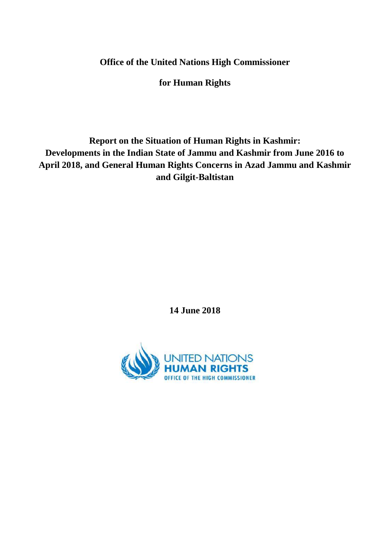**Office of the United Nations High Commissioner**

**for Human Rights**

**Report on the Situation of Human Rights in Kashmir: Developments in the Indian State of Jammu and Kashmir from June 2016 to April 2018, and General Human Rights Concerns in Azad Jammu and Kashmir and Gilgit-Baltistan**

**14 June 2018**

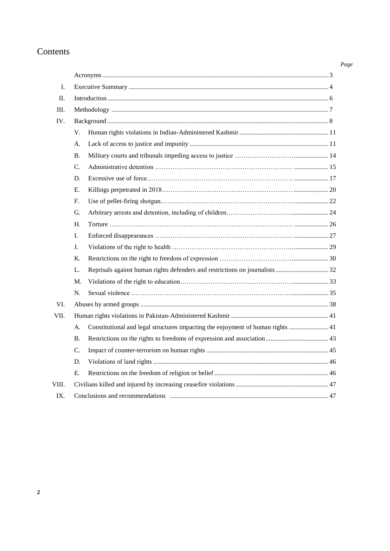# Contents

| I.    |           |                                                                                 |  |
|-------|-----------|---------------------------------------------------------------------------------|--|
| Π.    |           |                                                                                 |  |
| III.  |           |                                                                                 |  |
| IV.   |           |                                                                                 |  |
|       | V.        |                                                                                 |  |
|       | А.        |                                                                                 |  |
|       | <b>B.</b> |                                                                                 |  |
|       | C.        |                                                                                 |  |
|       | D.        |                                                                                 |  |
|       | Е.        |                                                                                 |  |
|       | F.        |                                                                                 |  |
|       | G.        |                                                                                 |  |
|       | Η.        |                                                                                 |  |
|       | Ι.        |                                                                                 |  |
|       | J.        |                                                                                 |  |
|       | Κ.        |                                                                                 |  |
|       | L.        |                                                                                 |  |
|       | M.        |                                                                                 |  |
|       | N.        |                                                                                 |  |
| VI.   |           |                                                                                 |  |
| VII.  |           |                                                                                 |  |
|       | A.        | Constitutional and legal structures impacting the enjoyment of human rights  41 |  |
|       | <b>B.</b> |                                                                                 |  |
|       | C.        |                                                                                 |  |
|       | D.        |                                                                                 |  |
|       | Ε.        |                                                                                 |  |
| VIII. |           |                                                                                 |  |
| IX.   |           |                                                                                 |  |

#### *Page*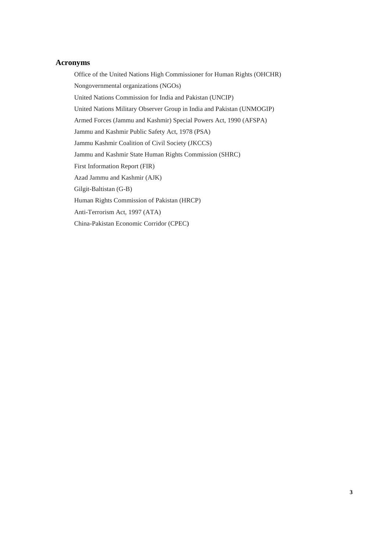## **Acronyms**

Office of the United Nations High Commissioner for Human Rights (OHCHR) Nongovernmental organizations (NGOs) United Nations Commission for India and Pakistan (UNCIP) United Nations Military Observer Group in India and Pakistan (UNMOGIP) Armed Forces (Jammu and Kashmir) Special Powers Act, 1990 (AFSPA) Jammu and Kashmir Public Safety Act, 1978 (PSA) Jammu Kashmir Coalition of Civil Society (JKCCS) Jammu and Kashmir State Human Rights Commission (SHRC) First Information Report (FIR) Azad Jammu and Kashmir (AJK) Gilgit-Baltistan (G-B) Human Rights Commission of Pakistan (HRCP) Anti-Terrorism Act, 1997 (ATA) China-Pakistan Economic Corridor (CPEC)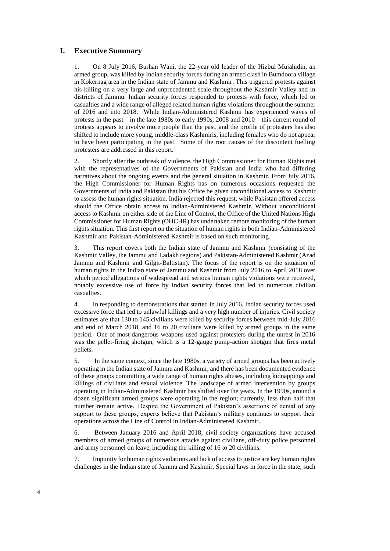#### **I. Executive Summary**

1. On 8 July 2016, Burhan Wani, the 22-year old leader of the Hizbul Mujahidin, an armed group, was killed by Indian security forces during an armed clash in Bumdoora village in [Kokernag](https://en.wikipedia.org/wiki/Kokernag) area in the Indian state of Jammu and Kashmir. This triggered protests against his killing on a very large and unprecedented scale throughout the Kashmir Valley and in districts of Jammu. Indian security forces responded to protests with force, which led to casualties and a wide range of alleged related human rights violations throughout the summer of 2016 and into 2018. While Indian-Administered Kashmir has experienced waves of protests in the past—in the late 1980s to early 1990s, 2008 and 2010—this current round of protests appears to involve more people than the past, and the profile of protesters has also shifted to include more young, middle-class Kashmiris, including females who do not appear to have been participating in the past. Some of the root causes of the discontent fuelling protesters are addressed in this report.

2. Shortly after the outbreak of violence, the High Commissioner for Human Rights met with the representatives of the Governments of Pakistan and India who had differing narratives about the ongoing events and the general situation in Kashmir. From July 2016, the High Commissioner for Human Rights has on numerous occasions requested the Governments of India and Pakistan that his Office be given unconditional access to Kashmir to assess the human rights situation. India rejected this request, while Pakistan offered access should the Office obtain access to Indian-Administered Kashmir. Without unconditional access to Kashmir on either side of the Line of Control, the Office of the United Nations High Commissioner for Human Rights (OHCHR) has undertaken remote monitoring of the human rights situation. This first report on the situation of human rights in both Indian-Administered Kashmir and Pakistan-Administered Kashmir is based on such monitoring.

3. This report covers both the Indian state of Jammu and Kashmir (consisting of the Kashmir Valley, the Jammu and Ladakh regions) and Pakistan-Administered Kashmir (Azad Jammu and Kashmir and Gilgit-Baltistan). The focus of the report is on the situation of human rights in the Indian state of Jammu and Kashmir from July 2016 to April 2018 over which period allegations of widespread and serious human rights violations were received, notably excessive use of force by Indian security forces that led to numerous civilian casualties.

4. In responding to demonstrations that started in July 2016, Indian security forces used excessive force that led to unlawful killings and a very high number of injuries. Civil society estimates are that 130 to 145 civilians were killed by security forces between mid-July 2016 and end of March 2018, and 16 to 20 civilians were killed by armed groups in the same period. One of most dangerous weapons used against protesters during the unrest in 2016 was the pellet-firing shotgun, which is a 12-gauge pump-action shotgun that fires metal pellets.

5. In the same context, since the late 1980s, a variety of armed groups has been actively operating in the Indian state of Jammu and Kashmir, and there has been documented evidence of these groups committing a wide range of human rights abuses, including kidnappings and killings of civilians and sexual violence. The landscape of armed intervention by groups operating in Indian-Administered Kashmir has shifted over the years. In the 1990s, around a dozen significant armed groups were operating in the region; currently, less than half that number remain active. Despite the Government of Pakistan's assertions of denial of any support to these groups, experts believe that Pakistan's military continues to support their operations across the Line of Control in Indian-Administered Kashmir.

6. Between January 2016 and April 2018, civil society organizations have accused members of armed groups of numerous attacks against civilians, off-duty police personnel and army personnel on leave, including the killing of 16 to 20 civilians.

7. Impunity for human rights violations and lack of access to justice are key human rights challenges in the Indian state of Jammu and Kashmir. Special laws in force in the state, such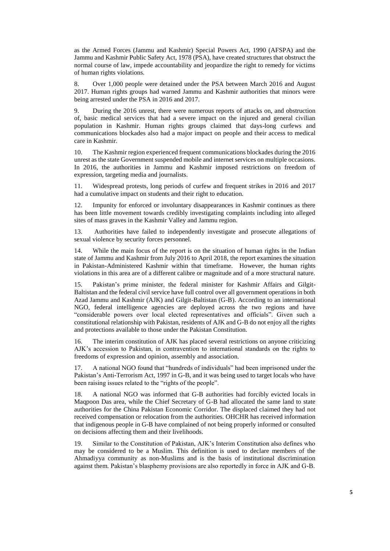as the Armed Forces (Jammu and Kashmir) Special Powers Act, 1990 (AFSPA) and the Jammu and Kashmir Public Safety Act, 1978 (PSA), have created structures that obstruct the normal course of law, impede accountability and jeopardize the right to remedy for victims of human rights violations.

8. Over 1,000 people were detained under the PSA between March 2016 and August 2017. Human rights groups had warned Jammu and Kashmir authorities that minors were being arrested under the PSA in 2016 and 2017.

9. During the 2016 unrest, there were numerous reports of attacks on, and obstruction of, basic medical services that had a severe impact on the injured and general civilian population in Kashmir. Human rights groups claimed that days-long curfews and communications blockades also had a major impact on people and their access to medical care in Kashmir.

10. The Kashmir region experienced frequent communications blockades during the 2016 unrest as the state Government suspended mobile and internet services on multiple occasions. In 2016, the authorities in Jammu and Kashmir imposed restrictions on freedom of expression, targeting media and journalists.

11. Widespread protests, long periods of curfew and frequent strikes in 2016 and 2017 had a cumulative impact on students and their right to education.

12. Impunity for enforced or involuntary disappearances in Kashmir continues as there has been little movement towards credibly investigating complaints including into alleged sites of mass graves in the Kashmir Valley and Jammu region.

13. Authorities have failed to independently investigate and prosecute allegations of sexual violence by security forces personnel.

14. While the main focus of the report is on the situation of human rights in the Indian state of Jammu and Kashmir from July 2016 to April 2018, the report examines the situation in Pakistan-Administered Kashmir within that timeframe. However, the human rights violations in this area are of a different calibre or magnitude and of a more structural nature.

15. Pakistan's prime minister, the federal minister for Kashmir Affairs and Gilgit-Baltistan and the federal civil service have full control over all government operations in both Azad Jammu and Kashmir (AJK) and Gilgit-Baltistan (G-B). According to an international NGO, federal intelligence agencies are deployed across the two regions and have "considerable powers over local elected representatives and officials". Given such a constitutional relationship with Pakistan, residents of AJK and G-B do not enjoy all the rights and protections available to those under the Pakistan Constitution.

16. The interim constitution of AJK has placed several restrictions on anyone criticizing AJK's accession to Pakistan, in contravention to international standards on the rights to freedoms of expression and opinion, assembly and association.

17. A national NGO found that "hundreds of individuals" had been imprisoned under the Pakistan's Anti-Terrorism Act, 1997 in G-B, and it was being used to target locals who have been raising issues related to the "rights of the people".

18. A national NGO was informed that G-B authorities had forcibly evicted locals in Maqpoon Das area, while the Chief Secretary of G-B had allocated the same land to state authorities for the China Pakistan Economic Corridor. The displaced claimed they had not received compensation or relocation from the authorities. OHCHR has received information that indigenous people in G-B have complained of not being properly informed or consulted on decisions affecting them and their livelihoods.

19. Similar to the Constitution of Pakistan, AJK's Interim Constitution also defines who may be considered to be a Muslim. This definition is used to declare members of the Ahmadiyya community as non-Muslims and is the basis of institutional discrimination against them. Pakistan's blasphemy provisions are also reportedly in force in AJK and G-B.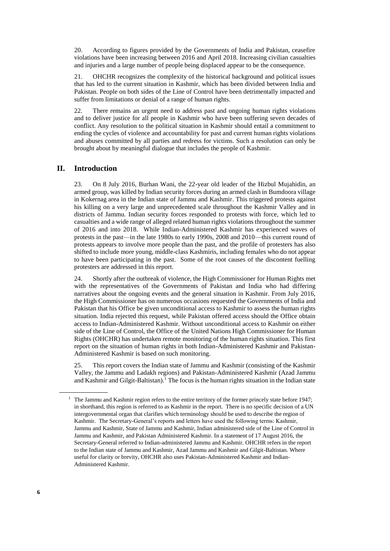20. According to figures provided by the Governments of India and Pakistan, ceasefire violations have been increasing between 2016 and April 2018. Increasing civilian casualties and injuries and a large number of people being displaced appear to be the consequence.

21. OHCHR recognizes the complexity of the historical background and political issues that has led to the current situation in Kashmir, which has been divided between India and Pakistan. People on both sides of the Line of Control have been detrimentally impacted and suffer from limitations or denial of a range of human rights.

22. There remains an urgent need to address past and ongoing human rights violations and to deliver justice for all people in Kashmir who have been suffering seven decades of conflict. Any resolution to the political situation in Kashmir should entail a commitment to ending the cycles of violence and accountability for past and current human rights violations and abuses committed by all parties and redress for victims. Such a resolution can only be brought about by meaningful dialogue that includes the people of Kashmir.

## **II. Introduction**

23. On 8 July 2016, Burhan Wani, the 22-year old leader of the Hizbul Mujahidin, an armed group, was killed by Indian security forces during an armed clash in Bumdoora village in [Kokernag](https://en.wikipedia.org/wiki/Kokernag) area in the Indian state of Jammu and Kashmir. This triggered protests against his killing on a very large and unprecedented scale throughout the Kashmir Valley and in districts of Jammu. Indian security forces responded to protests with force, which led to casualties and a wide range of alleged related human rights violations throughout the summer of 2016 and into 2018. While Indian-Administered Kashmir has experienced waves of protests in the past—in the late 1980s to early 1990s, 2008 and 2010—this current round of protests appears to involve more people than the past, and the profile of protesters has also shifted to include more young, middle-class Kashmiris, including females who do not appear to have been participating in the past. Some of the root causes of the discontent fuelling protesters are addressed in this report.

24. Shortly after the outbreak of violence, the High Commissioner for Human Rights met with the representatives of the Governments of Pakistan and India who had differing narratives about the ongoing events and the general situation in Kashmir. From July 2016, the High Commissioner has on numerous occasions requested the Governments of India and Pakistan that his Office be given unconditional access to Kashmir to assess the human rights situation. India rejected this request, while Pakistan offered access should the Office obtain access to Indian-Administered Kashmir. Without unconditional access to Kashmir on either side of the Line of Control, the Office of the United Nations High Commissioner for Human Rights (OHCHR) has undertaken remote monitoring of the human rights situation. This first report on the situation of human rights in both Indian-Administered Kashmir and Pakistan-Administered Kashmir is based on such monitoring.

25. This report covers the Indian state of Jammu and Kashmir (consisting of the Kashmir Valley, the Jammu and Ladakh regions) and Pakistan-Administered Kashmir (Azad Jammu and Kashmir and Gilgit-Baltistan).<sup>1</sup> The focus is the human rights situation in the Indian state

<sup>&</sup>lt;sup>1</sup> The Jammu and Kashmir region refers to the entire territory of the former princely state before 1947; in shorthand, this region is referred to as Kashmir in the report. There is no specific decision of a UN intergovernmental organ that clarifies which terminology should be used to describe the region of Kashmir. The Secretary-General's reports and letters have used the following terms: Kashmir, Jammu and Kashmir, State of Jammu and Kashmir, Indian administered side of the Line of Control in Jammu and Kashmir, and Pakistan Administered Kashmir. In a statement of 17 August 2016, the Secretary-General referred to Indian-administered Jammu and Kashmir. OHCHR refers in the report to the Indian state of Jammu and Kashmir, Azad Jammu and Kashmir and Gilgit-Baltistan. Where useful for clarity or brevity, OHCHR also uses Pakistan-Administered Kashmir and Indian-Administered Kashmir.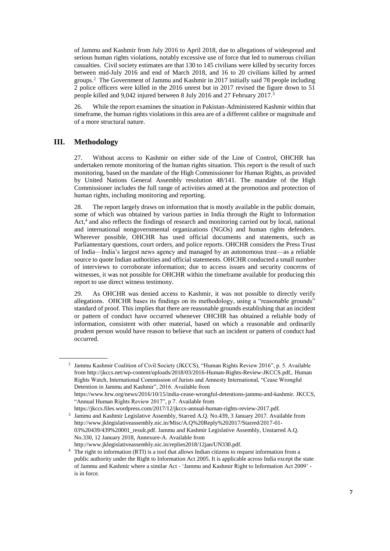of Jammu and Kashmir from July 2016 to April 2018, due to allegations of widespread and serious human rights violations, notably excessive use of force that led to numerous civilian casualties. Civil society estimates are that 130 to 145 civilians were killed by security forces between mid-July 2016 and end of March 2018, and 16 to 20 civilians killed by armed groups.<sup>2</sup> The Government of Jammu and Kashmir in 2017 initially said 78 people including 2 police officers were killed in the 2016 unrest but in 2017 revised the figure down to 51 people killed and 9,042 injured between 8 July 2016 and 27 February 2017.<sup>3</sup>

26. While the report examines the situation in Pakistan-Administered Kashmir within that timeframe, the human rights violations in this area are of a different calibre or magnitude and of a more structural nature.

## **III. Methodology**

27. Without access to Kashmir on either side of the Line of Control, OHCHR has undertaken remote monitoring of the human rights situation. This report is the result of such monitoring, based on the mandate of the High Commissioner for Human Rights, as provided by United Nations General Assembly resolution 48/141. The mandate of the High Commissioner includes the full range of activities aimed at the promotion and protection of human rights, including monitoring and reporting.

28. The report largely draws on information that is mostly available in the public domain, some of which was obtained by various parties in India through the Right to Information Act, 4 and also reflects the findings of research and monitoring carried out by local, national and international nongovernmental organizations (NGOs) and human rights defenders. Wherever possible, OHCHR has used official documents and statements, such as Parliamentary questions, court orders, and police reports. OHCHR considers the Press Trust of India—India's largest news agency and managed by an autonomous trust—as a reliable source to quote Indian authorities and official statements. OHCHR conducted a small number of interviews to corroborate information; due to access issues and security concerns of witnesses, it was not possible for OHCHR within the timeframe available for producing this report to use direct witness testimony.

29. As OHCHR was denied access to Kashmir, it was not possible to directly verify allegations. OHCHR bases its findings on its methodology, using a "reasonable grounds" standard of proof. This implies that there are reasonable grounds establishing that an incident or pattern of conduct have occurred whenever OHCHR has obtained a reliable body of information, consistent with other material, based on which a reasonable and ordinarily prudent person would have reason to believe that such an incident or pattern of conduct had occurred.

<sup>2</sup> Jammu Kashmir Coalition of Civil Society (JKCCS), "Human Rights Review 2016", p. 5. Available from [http://jkccs.net/wp-content/uploads/2018/03/2016-Human-Rights-Review-JKCCS.pdf,](http://jkccs.net/wp-content/uploads/2018/03/2016-Human-Rights-Review-JKCCS.pdf). Human Rights Watch, International Commission of Jurists and Amnesty International, "Cease Wrongful Detention in Jammu and Kashmir", 2016. Available from [https://www.hrw.org/news/2016/10/15/india-cease-wrongful-detentions-jammu-and-kashmir.](https://www.hrw.org/news/2016/10/15/india-cease-wrongful-detentions-jammu-and-kashmir) JKCCS, "Annual Human Rights Review 2017", p 7. Available from

[https://jkccs.files.wordpress.com/2017/12/jkccs-annual-human-rights-review-2017.pdf.](https://jkccs.files.wordpress.com/2017/12/jkccs-annual-human-rights-review-2017.pdf)

<sup>3</sup> Jammu and Kashmir Legislative Assembly, Starred A.Q. No.439, 3 January 2017. Available from [http://www.jklegislativeassembly.nic.in/Misc/A.Q%20Reply%202017/Starred/2017-01-](http://www.jklegislativeassembly.nic.in/Misc/A.Q%20Reply%202017/Starred/2017-01-03%20439/439%20001_result.pdf) [03%20439/439%20001\\_result.pdf.](http://www.jklegislativeassembly.nic.in/Misc/A.Q%20Reply%202017/Starred/2017-01-03%20439/439%20001_result.pdf) Jammu and Kashmir Legislative Assembly, Unstarred A.Q. No.330, 12 January 2018, Annexure-A. Available from

[http://www.jklegislativeassembly.nic.in/replies2018/12jan/UN330.pdf.](http://www.jklegislativeassembly.nic.in/replies2018/12jan/UN330.pdf)

<sup>4</sup> The right to information (RTI) is a tool that allows Indian citizens to request information from a public authority under the Right to Information Act 2005. It is applicable across India except the state of Jammu and Kashmir where a similar Act - 'Jammu and Kashmir Right to Information Act 2009' is in force.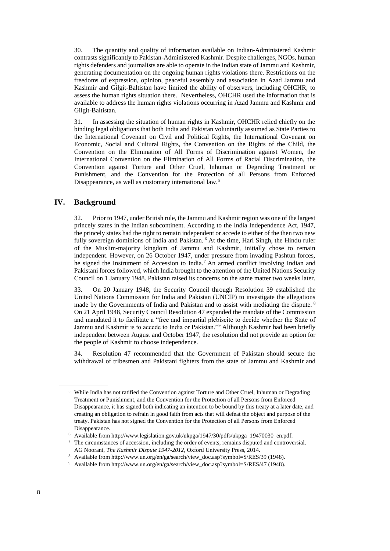30. The quantity and quality of information available on Indian-Administered Kashmir contrasts significantly to Pakistan-Administered Kashmir. Despite challenges, NGOs, human rights defenders and journalists are able to operate in the Indian state of Jammu and Kashmir, generating documentation on the ongoing human rights violations there. Restrictions on the freedoms of expression, opinion, peaceful assembly and association in Azad Jammu and Kashmir and Gilgit-Baltistan have limited the ability of observers, including OHCHR, to assess the human rights situation there. Nevertheless, OHCHR used the information that is available to address the human rights violations occurring in Azad Jammu and Kashmir and Gilgit-Baltistan.

31. In assessing the situation of human rights in Kashmir, OHCHR relied chiefly on the binding legal obligations that both India and Pakistan voluntarily assumed as State Parties to the International Covenant on Civil and Political Rights, the International Covenant on Economic, Social and Cultural Rights, the Convention on the Rights of the Child, the Convention on the Elimination of All Forms of Discrimination against Women, the International Convention on the Elimination of All Forms of Racial Discrimination, the Convention against Torture and Other Cruel, Inhuman or Degrading Treatment or Punishment, and the Convention for the Protection of all Persons from Enforced Disappearance, as well as customary international law.<sup>5</sup>

#### **IV. Background**

32. Prior to 1947, under British rule, the Jammu and Kashmir region was one of the largest princely states in the Indian subcontinent. According to the India Independence Act, 1947, the princely states had the right to remain independent or accede to either of the then two new fully sovereign dominions of India and Pakistan.<sup>6</sup> At the time, Hari Singh, the Hindu ruler of the Muslim-majority kingdom of Jammu and Kashmir, initially chose to remain independent. However, on 26 October 1947, under pressure from invading Pashtun forces, he signed the Instrument of Accession to India.<sup>7</sup> An armed conflict involving Indian and Pakistani forces followed, which India brought to the attention of the United Nations Security Council on 1 January 1948. Pakistan raised its concerns on the same matter two weeks later.

33. On 20 January 1948, the Security Council through Resolution 39 established the United Nations Commission for India and Pakistan (UNCIP) to investigate the allegations made by the Governments of India and Pakistan and to assist with mediating the dispute.<sup>8</sup> On 21 April 1948, Security Council Resolution 47 expanded the mandate of the Commission and mandated it to facilitate a "free and impartial plebiscite to decide whether the State of Jammu and Kashmir is to accede to India or Pakistan."<sup>9</sup> Although Kashmir had been briefly independent between August and October 1947, the resolution did not provide an option for the people of Kashmir to choose independence.

34. Resolution 47 recommended that the Government of Pakistan should secure the withdrawal of tribesmen and Pakistani fighters from the state of Jammu and Kashmir and

<sup>5</sup> While India has not ratified the Convention against Torture and Other Cruel, Inhuman or Degrading Treatment or Punishment, and the Convention for the Protection of all Persons from Enforced Disappearance, it has signed both indicating an intention to be bound by this treaty at a later date, and creating an obligation to refrain in good faith from acts that will defeat the object and purpose of the treaty. Pakistan has not signed the Convention for the Protection of all Persons from Enforced Disappearance.

<sup>6</sup> Available fro[m http://www.legislation.gov.uk/ukpga/1947/30/pdfs/ukpga\\_19470030\\_en.pdf.](http://www.legislation.gov.uk/ukpga/1947/30/pdfs/ukpga_19470030_en.pdf)

<sup>7</sup> The circumstances of accession, including the order of events, remains disputed and controversial. AG Noorani, *The Kashmir Dispute 1947-2012*, Oxford University Press, 2014.

<sup>8</sup> Available fro[m http://www.un.org/en/ga/search/view\\_doc.asp?symbol=S/RES/39 \(1948\).](http://www.un.org/en/ga/search/view_doc.asp?symbol=S/RES/39%20(1948)) 

<sup>9</sup> Available fro[m http://www.un.org/en/ga/search/view\\_doc.asp?symbol=S/RES/47](http://www.un.org/en/ga/search/view_doc.asp?symbol=S/RES/47) (1948).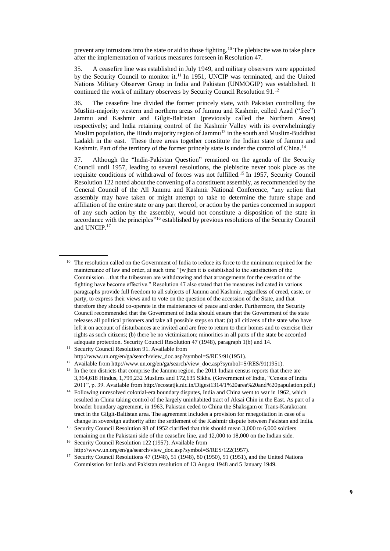prevent any intrusions into the state or aid to those fighting.<sup>10</sup> The plebiscite was to take place after the implementation of various measures foreseen in Resolution 47.

35. A ceasefire line was established in July 1949, and military observers were appointed by the Security Council to monitor it.<sup>11</sup> In 1951, UNCIP was terminated, and the United Nations Military Observer Group in India and Pakistan (UNMOGIP) was established. It continued the work of military observers by Security Council Resolution 91.<sup>12</sup>

36. The ceasefire line divided the former princely state, with Pakistan controlling the Muslim-majority western and northern areas of Jammu and Kashmir, called Azad ("free") Jammu and Kashmir and Gilgit-Baltistan (previously called the Northern Areas) respectively; and India retaining control of the Kashmir Valley with its overwhelmingly Muslim population, the Hindu majority region of Jammu<sup>13</sup> in the south and Muslim-Buddhist Ladakh in the east. These three areas together constitute the Indian state of Jammu and Kashmir. Part of the territory of the former princely state is under the control of China.<sup>14</sup>

37. Although the "India-Pakistan Question" remained on the agenda of the Security Council until 1957, leading to several resolutions, the plebiscite never took place as the requisite conditions of withdrawal of forces was not fulfilled.<sup>15</sup> In 1957, Security Council Resolution 122 noted about the convening of a constituent assembly, as recommended by the General Council of the All Jammu and Kashmir National Conference, "any action that assembly may have taken or might attempt to take to determine the future shape and affiliation of the entire state or any part thereof, or action by the parties concerned in support of any such action by the assembly, would not constitute a disposition of the state in accordance with the principles"<sup>16</sup> established by previous resolutions of the Security Council and UNCIP.<sup>17</sup>

<sup>&</sup>lt;sup>10</sup> The resolution called on the Government of India to reduce its force to the minimum required for the maintenance of law and order, at such time "[w]hen it is established to the satisfaction of the Commission…that the tribesmen are withdrawing and that arrangements for the cessation of the fighting have become effective." Resolution 47 also stated that the measures indicated in various paragraphs provide full freedom to all subjects of Jammu and Kashmir, regardless of creed, caste, or party, to express their views and to vote on the question of the accession of the State, and that therefore they should co-operate in the maintenance of peace and order. Furthermore, the Security Council recommended that the Government of India should ensure that the Government of the state releases all political prisoners and take all possible steps so that: (a) all citizens of the state who have left it on account of disturbances are invited and are free to return to their homes and to exercise their rights as such citizens; (b) there be no victimization; minorities in all parts of the state be accorded adequate protection. Security Council Resolution 47 (1948), paragraph 1(b) and 14.

<sup>&</sup>lt;sup>11</sup> Security Council Resolution 91. Available from [http://www.un.org/en/ga/search/view\\_doc.asp?symbol=S/RES/91\(1951\).](http://www.un.org/en/ga/search/view_doc.asp?symbol=S/RES/91(1951))

<sup>&</sup>lt;sup>12</sup> Available fro[m http://www.un.org/en/ga/search/view\\_doc.asp?symbol=S/RES/91\(1951\).](http://www.un.org/en/ga/search/view_doc.asp?symbol=S/RES/91(1951))

<sup>&</sup>lt;sup>13</sup> In the ten districts that comprise the Jammu region, the 2011 Indian census reports that there are 3,364,618 Hindus, 1,799,232 Muslims and 172,635 Sikhs. (Government of India, "Census of India 2011", p. 39. Available fro[m http://ecostatjk.nic.in/Digest1314/1%20area%20and%20papulation.pdf.](http://ecostatjk.nic.in/Digest1314/1%20area%20and%20papulation.pdf))

<sup>&</sup>lt;sup>14</sup> Following unresolved colonial-era boundary disputes, India and China went to war in 1962, which resulted in China taking control of the largely uninhabited tract of Aksai Chin in the East. As part of a broader boundary agreement, in 1963, Pakistan ceded to China the Shaksgam or Trans-Karakoram tract in the Gilgit-Baltistan area. The agreement includes a provision for renegotiation in case of a change in sovereign authority after the settlement of the Kashmir dispute between Pakistan and India.

<sup>&</sup>lt;sup>15</sup> Security Council Resolution 98 of 1952 clarified that this should mean 3,000 to 6,000 soldiers remaining on the Pakistani side of the ceasefire line, and 12,000 to 18,000 on the Indian side.

<sup>&</sup>lt;sup>16</sup> Security Council Resolution 122 (1957). Available from [http://www.un.org/en/ga/search/view\\_doc.asp?symbol=S/RES/122\(1957\).](http://www.un.org/en/ga/search/view_doc.asp?symbol=S/RES/122(1957)) 

<sup>&</sup>lt;sup>17</sup> Security Council Resolutions 47 (1948), 51 (1948), 80 (1950), 91 (1951), and the United Nations Commission for India and Pakistan resolution of 13 August 1948 and 5 January 1949.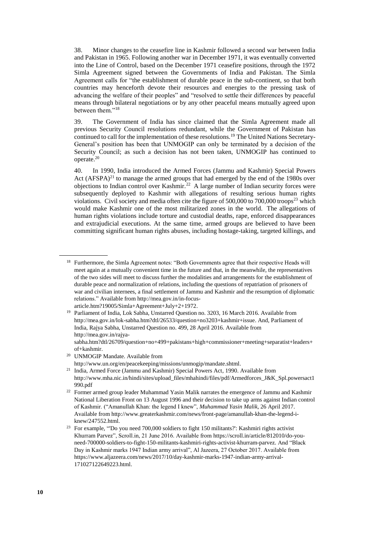38. Minor changes to the ceasefire line in Kashmir followed a second war between India and Pakistan in 1965. Following another war in December 1971, it was eventually converted into the Line of Control, based on the December 1971 ceasefire positions, through the 1972 Simla Agreement signed between the Governments of India and Pakistan. The Simla Agreement calls for "the establishment of durable peace in the sub-continent, so that both countries may henceforth devote their resources and energies to the pressing task of advancing the welfare of their peoples" and "resolved to settle their differences by peaceful means through bilateral negotiations or by any other peaceful means mutually agreed upon between them."<sup>18</sup>

39. The Government of India has since claimed that the Simla Agreement made all previous Security Council resolutions redundant, while the Government of Pakistan has continued to call for the implementation of these resolutions.<sup>19</sup> The United Nations Secretary-General's position has been that UNMOGIP can only be terminated by a decision of the Security Council; as such a decision has not been taken, UNMOGIP has continued to operate.<sup>20</sup>

40. In 1990, India introduced the Armed Forces (Jammu and Kashmir) Special Powers Act  $(AFSPA)^{21}$  to manage the armed groups that had emerged by the end of the 1980s over objections to Indian control over Kashmir.<sup>22</sup> A large number of Indian security forces were subsequently deployed to Kashmir with allegations of resulting serious human rights violations. Civil society and media often cite the figure of 500,000 to 700,000 troops<sup>23</sup> which would make Kashmir one of the most militarized zones in the world. The allegations of human rights violations include torture and custodial deaths, rape, enforced disappearances and extrajudicial executions. At the same time, armed groups are believed to have been committing significant human rights abuses, including hostage-taking, targeted killings, and

<sup>&</sup>lt;sup>18</sup> Furthermore, the Simla Agreement notes: "Both Governments agree that their respective Heads will meet again at a mutually convenient time in the future and that, in the meanwhile, the representatives of the two sides will meet to discuss further the modalities and arrangements for the establishment of durable peace and normalization of relations, including the questions of repatriation of prisoners of war and civilian internees, a final settlement of Jammu and Kashmir and the resumption of diplomatic relations." Available from [http://mea.gov.in/in-focus](http://mea.gov.in/in-focus-article.htm?19005/Simla+Agreement+July+2+1972)[article.htm?19005/Simla+Agreement+July+2+1972.](http://mea.gov.in/in-focus-article.htm?19005/Simla+Agreement+July+2+1972)

<sup>&</sup>lt;sup>19</sup> Parliament of India, Lok Sabha, Unstarred Question no. 3203, 16 March 2016. Available from [http://mea.gov.in/lok-sabha.htm?dtl/26533/question+no3203+kashmir+issue.](http://mea.gov.in/lok-sabha.htm?dtl/26533/question+no3203+kashmir+issue) And, Parliament of India, Rajya Sabha, Unstarred Question no. 499, 28 April 2016. Available from [http://mea.gov.in/rajya-](http://mea.gov.in/rajya-sabha.htm?dtl/26709/question+no+499+pakistans+high+commissioner+meeting+separatist+leaders+of+kashmir)

[sabha.htm?dtl/26709/question+no+499+pakistans+high+commissioner+meeting+separatist+leaders+](http://mea.gov.in/rajya-sabha.htm?dtl/26709/question+no+499+pakistans+high+commissioner+meeting+separatist+leaders+of+kashmir) [of+kashmir.](http://mea.gov.in/rajya-sabha.htm?dtl/26709/question+no+499+pakistans+high+commissioner+meeting+separatist+leaders+of+kashmir)

<sup>20</sup> UNMOGIP Mandate. Available from [http://www.un.org/en/peacekeeping/missions/unmogip/mandate.shtml.](http://www.un.org/en/peacekeeping/missions/unmogip/mandate.shtml)

<sup>&</sup>lt;sup>21</sup> India, Armed Force (Jammu and Kashmir) Special Powers Act, 1990. Available from [http://www.mha.nic.in/hindi/sites/upload\\_files/mhahindi/files/pdf/Armedforces\\_J&K\\_Spl.powersact1](http://www.mha.nic.in/hindi/sites/upload_files/mhahindi/files/pdf/Armedforces_J&K_Spl.powersact1990.pdf) [990.pdf](http://www.mha.nic.in/hindi/sites/upload_files/mhahindi/files/pdf/Armedforces_J&K_Spl.powersact1990.pdf)

<sup>&</sup>lt;sup>22</sup> Former armed group leader Muhammad Yasin Malik narrates the emergence of Jammu and Kashmir National Liberation Front on 13 August 1996 and their decision to take up arms against Indian control of Kashmir. ("Amanullah Khan: the legend I knew", *Muhammad Yasin Malik*, 26 April 2017. Available fro[m http://www.greaterkashmir.com/news/front-page/amanullah-khan-the-legend-i](http://www.greaterkashmir.com/news/front-page/amanullah-khan-the-legend-i-knew/247552.html)[knew/247552.html.](http://www.greaterkashmir.com/news/front-page/amanullah-khan-the-legend-i-knew/247552.html)

<sup>23</sup> For example, "'Do you need 700,000 soldiers to fight 150 militants?': Kashmiri rights activist Khurram Parvez", Scroll.in, 21 June 2016. Available from [https://scroll.in/article/812010/do-you](https://scroll.in/article/812010/do-you-need-700000-soldiers-to-fight-150-militants-kashmiri-rights-activist-khurram-parvez)[need-700000-soldiers-to-fight-150-militants-kashmiri-rights-activist-khurram-parvez.](https://scroll.in/article/812010/do-you-need-700000-soldiers-to-fight-150-militants-kashmiri-rights-activist-khurram-parvez) And "Black Day in Kashmir marks 1947 Indian army arrival", Al Jazeera, 27 October 2017. Available from [https://www.aljazeera.com/news/2017/10/day-kashmir-marks-1947-indian-army-arrival-](https://www.aljazeera.com/news/2017/10/day-kashmir-marks-1947-indian-army-arrival-171027122649223.html)[171027122649223.html.](https://www.aljazeera.com/news/2017/10/day-kashmir-marks-1947-indian-army-arrival-171027122649223.html)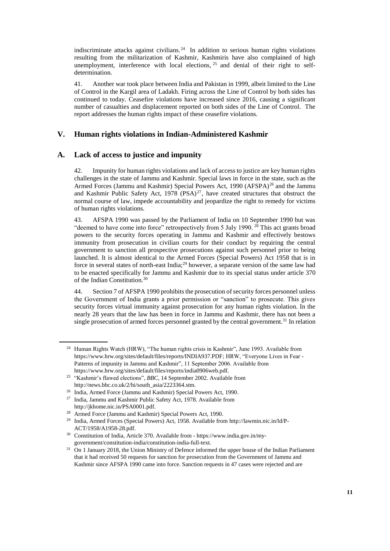indiscriminate attacks against civilians.<sup>24</sup> In addition to serious human rights violations resulting from the militarization of Kashmir, Kashmiris have also complained of high unemployment, interference with local elections, <sup>25</sup> and denial of their right to selfdetermination.

41. Another war took place between India and Pakistan in 1999, albeit limited to the Line of Control in the Kargil area of Ladakh. Firing across the Line of Control by both sides has continued to today. Ceasefire violations have increased since 2016, causing a significant number of casualties and displacement reported on both sides of the Line of Control. The report addresses the human rights impact of these ceasefire violations.

## **V. Human rights violations in Indian-Administered Kashmir**

## **A. Lack of access to justice and impunity**

42. Impunity for human rights violations and lack of access to justice are key human rights challenges in the state of Jammu and Kashmir. Special laws in force in the state, such as the Armed Forces (Jammu and Kashmir) Special Powers Act, 1990 (AFSPA)<sup>26</sup> and the Jammu and Kashmir Public Safety Act,  $1978$  (PSA)<sup>27</sup>, have created structures that obstruct the normal course of law, impede accountability and jeopardize the right to remedy for victims of human rights violations.

43. AFSPA 1990 was passed by the Parliament of India on 10 September 1990 but was "deemed to have come into force" retrospectively from 5 July 1990.<sup>28</sup> This act grants broad powers to the security forces operating in Jammu and Kashmir and effectively bestows immunity from prosecution in civilian courts for their conduct by requiring the central government to sanction all prospective prosecutions against such personnel prior to being launched. It is almost identical to the Armed Forces (Special Powers) Act 1958 that is in force in several states of north-east India;<sup>29</sup> however, a separate version of the same law had to be enacted specifically for Jammu and Kashmir due to its special status under article 370 of the Indian Constitution.<sup>30</sup>

44. Section 7 of AFSPA 1990 prohibits the prosecution of security forces personnel unless the Government of India grants a prior permission or "sanction" to prosecute. This gives security forces virtual immunity against prosecution for any human rights violation. In the nearly 28 years that the law has been in force in Jammu and Kashmir, there has not been a single prosecution of armed forces personnel granted by the central government.<sup>31</sup> In relation

<sup>&</sup>lt;sup>24</sup> Human Rights Watch (HRW), "The human rights crisis in Kashmir", June 1993. Available from <https://www.hrw.org/sites/default/files/reports/INDIA937.PDF>; HRW, "Everyone Lives in Fear - Patterns of impunity in Jammu and Kashmir", 11 September 2006. Available from [https://www.hrw.org/sites/default/files/reports/india0906web.pdf.](https://www.hrw.org/sites/default/files/reports/india0906web.pdf) 

<sup>&</sup>lt;sup>25</sup> "Kashmir's flawed elections", *BBC*, 14 September 2002. Available from [http://news.bbc.co.uk/2/hi/south\\_asia/2223364.stm.](http://news.bbc.co.uk/2/hi/south_asia/2223364.stm)

<sup>26</sup> India, Armed Force (Jammu and Kashmir) Special Powers Act, 1990.

<sup>27</sup> India, Jammu and Kashmir Public Safety Act, 1978. Available from [http://jkhome.nic.in/PSA0001.pdf.](http://jkhome.nic.in/PSA0001.pdf)

<sup>28</sup> Armed Force (Jammu and Kashmir) Special Powers Act, 1990.

<sup>29</sup> India, Armed Forces (Special Powers) Act, 1958. Available from [http://lawmin.nic.in/ld/P-](http://lawmin.nic.in/ld/P-ACT/1958/A1958-28.pdf)[ACT/1958/A1958-28.pdf.](http://lawmin.nic.in/ld/P-ACT/1958/A1958-28.pdf)

<sup>30</sup> Constitution of India, Article 370. Available from - [https://www.india.gov.in/my](https://www.india.gov.in/my-government/constitution-india/constitution-india-full-text)[government/constitution-india/constitution-india-full-text.](https://www.india.gov.in/my-government/constitution-india/constitution-india-full-text)

<sup>&</sup>lt;sup>31</sup> On 1 January 2018, the Union Ministry of Defence informed the upper house of the Indian Parliament that it had received 50 requests for sanction for prosecution from the Government of Jammu and Kashmir since AFSPA 1990 came into force. Sanction requests in 47 cases were rejected and are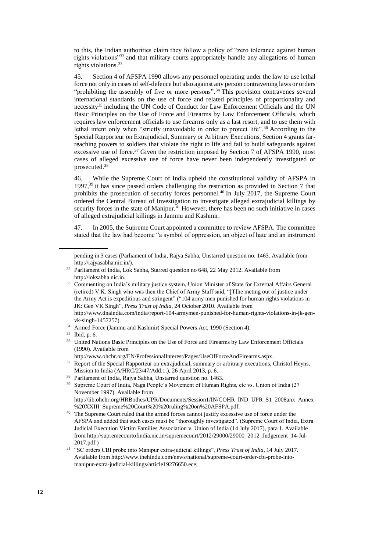to this, the Indian authorities claim they follow a policy of "zero tolerance against human rights violations"<sup>32</sup> and that military courts appropriately handle any allegations of human rights violations.<sup>33</sup>

45. Section 4 of AFSPA 1990 allows any personnel operating under the law to use lethal force not only in cases of self-defence but also against any person contravening laws or orders "prohibiting the assembly of five or more persons".<sup>34</sup> This provision contravenes several international standards on the use of force and related principles of proportionality and necessity<sup>35</sup> including the UN Code of Conduct for Law Enforcement Officials and the UN Basic Principles on the Use of Force and Firearms by Law Enforcement Officials, which requires law enforcement officials to use firearms only as a last resort, and to use them with lethal intent only when "strictly unavoidable in order to protect life".<sup>36</sup> According to the Special Rapporteur on Extrajudicial, Summary or Arbitrary Executions, Section 4 grants farreaching powers to soldiers that violate the right to life and fail to build safeguards against excessive use of force.<sup>37</sup> Given the restriction imposed by Section 7 of AFSPA 1990, most cases of alleged excessive use of force have never been independently investigated or prosecuted.<sup>38</sup>

46. While the Supreme Court of India upheld the constitutional validity of AFSPA in 1997,<sup>39</sup> it has since passed orders challenging the restriction as provided in Section 7 that prohibits the prosecution of security forces personnel.<sup>40</sup> In July 2017, the Supreme Court ordered the Central Bureau of Investigation to investigate alleged extrajudicial killings by security forces in the state of Manipur.<sup>41</sup> However, there has been no such initiative in cases of alleged extrajudicial killings in Jammu and Kashmir.

47. In 2005, the Supreme Court appointed a committee to review AFSPA. The committee stated that the law had become "a symbol of oppression, an object of hate and an instrument

<sup>34</sup> Armed Force (Jammu and Kashmir) Special Powers Act, 1990 (Section 4).

pending in 3 cases (Parliament of India, Rajya Sabha, Unstarred question no. 1463. Available from [http://rajyasabha.nic.in/\)](http://rajyasabha.nic.in/).

<sup>&</sup>lt;sup>32</sup> Parliament of India, Lok Sabha, Starred question no 648, 22 May 2012. Available from [http://loksabha.nic.in.](http://loksabha.nic.in/) 

<sup>&</sup>lt;sup>33</sup> Commenting on India's military justice system, Union Minister of State for External Affairs General (retired) V.K. Singh who was then the Chief of Army Staff said, "[T]he meting out of justice under the Army Act is expeditious and stringent" ("104 army men punished for human rights violations in JK: Gen VK Singh", *Press Trust of India*, 24 October 2010. Available from [http://www.dnaindia.com/india/report-104-armymen-punished-for-human-rights-violations-in-jk-gen](http://www.dnaindia.com/india/report-104-armymen-punished-for-human-rights-violations-in-jk-gen-vk-singh-1457257)[vk-singh-1457257\)](http://www.dnaindia.com/india/report-104-armymen-punished-for-human-rights-violations-in-jk-gen-vk-singh-1457257).

<sup>35</sup> Ibid, p. 6.

<sup>&</sup>lt;sup>36</sup> United Nations Basic Principles on the Use of Force and Firearms by Law Enforcement Officials (1990). Available from

[http://www.ohchr.org/EN/ProfessionalInterest/Pages/UseOfForceAndFirearms.aspx.](http://www.ohchr.org/EN/ProfessionalInterest/Pages/UseOfForceAndFirearms.aspx)

<sup>&</sup>lt;sup>37</sup> Report of the Special Rapporteur on extrajudicial, summary or arbitrary executions, Christof Heyns, Mission to India (A/HRC/23/47/Add.1.), 26 April 2013, p. 6.

<sup>38</sup> Parliament of India, Rajya Sabha, Unstarred question no. 1463.

<sup>&</sup>lt;sup>39</sup> Supreme Court of India, Naga People's Movement of Human Rights, etc vs. Union of India (27 November 1997). Available from [http://lib.ohchr.org/HRBodies/UPR/Documents/Session1/IN/COHR\\_IND\\_UPR\\_S1\\_2008anx\\_Annex](http://lib.ohchr.org/HRBodies/UPR/Documents/Session1/IN/COHR_IND_UPR_S1_2008anx_Annex%20XXIII_Supreme%20Court%20%20ruling%20on%20AFSPA.pdf)

[<sup>%20</sup>XXIII\\_Supreme%20Court%20%20ruling%20on%20AFSPA.pdf.](http://lib.ohchr.org/HRBodies/UPR/Documents/Session1/IN/COHR_IND_UPR_S1_2008anx_Annex%20XXIII_Supreme%20Court%20%20ruling%20on%20AFSPA.pdf) <sup>40</sup> The Supreme Court ruled that the armed forces cannot justify excessive use of force under the AFSPA and added that such cases must be "thoroughly investigated". (Supreme Court of India, Extra Judicial Execution Victim Families Association v. Union of India (14 July 2017), para 1. Available from [http://supremecourtofindia.nic.in/supremecourt/2012/29000/29000\\_2012\\_Judgement\\_14-Jul-](http://supremecourtofindia.nic.in/supremecourt/2012/29000/29000_2012_Judgement_14-Jul-2017.pdf)[2017.pdf.\)](http://supremecourtofindia.nic.in/supremecourt/2012/29000/29000_2012_Judgement_14-Jul-2017.pdf)

<sup>41</sup> "SC orders CBI probe into Manipur extra-judicial killings", *Press Trust of India*, 14 July 2017. Available fro[m http://www.thehindu.com/news/national/supreme-court-order-cbi-probe-into](http://www.thehindu.com/news/national/supreme-court-order-cbi-probe-into-manipur-extra-judicial-killings/article19276650.ece)[manipur-extra-judicial-killings/article19276650.ece;](http://www.thehindu.com/news/national/supreme-court-order-cbi-probe-into-manipur-extra-judicial-killings/article19276650.ece)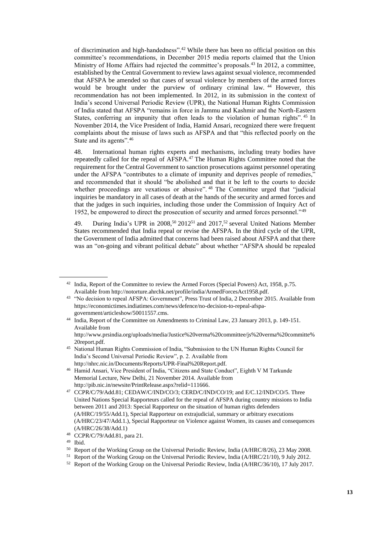of discrimination and high-handedness".<sup>42</sup> While there has been no official position on this committee's recommendations, in December 2015 media reports claimed that the Union Ministry of Home Affairs had rejected the committee's proposals.<sup>43</sup> In 2012, a committee, established by the Central Government to review laws against sexual violence, recommended that AFSPA be amended so that cases of sexual violence by members of the armed forces would be brought under the purview of ordinary criminal law. <sup>44</sup> However, this recommendation has not been implemented. In 2012, in its submission in the context of India's second Universal Periodic Review (UPR), the National Human Rights Commission of India stated that AFSPA "remains in force in Jammu and Kashmir and the North-Eastern States, conferring an impunity that often leads to the violation of human rights". <sup>45</sup> In November 2014, the Vice President of India, Hamid Ansari, recognized there were frequent complaints about the misuse of laws such as AFSPA and that "this reflected poorly on the State and its agents".<sup>46</sup>

48. International human rights experts and mechanisms, including treaty bodies have repeatedly called for the repeal of AFSPA.<sup>47</sup> The Human Rights Committee noted that the requirement for the Central Government to sanction prosecutions against personnel operating under the AFSPA "contributes to a climate of impunity and deprives people of remedies," and recommended that it should "be abolished and that it be left to the courts to decide whether proceedings are vexatious or abusive".<sup>48</sup> The Committee urged that "judicial inquiries be mandatory in all cases of death at the hands of the security and armed forces and that the judges in such inquiries, including those under the Commission of Inquiry Act of 1952, be empowered to direct the prosecution of security and armed forces personnel."<sup>49</sup>

49. During India's UPR in  $2008$ ,<sup>50</sup>  $2012^{51}$  and  $2017$ ,<sup>52</sup> several United Nations Member States recommended that India repeal or revise the AFSPA. In the third cycle of the UPR, the Government of India admitted that concerns had been raised about AFSPA and that there was an "on-going and vibrant political debate" about whether "AFSPA should be repealed

<sup>&</sup>lt;sup>42</sup> India, Report of the Committee to review the Armed Forces (Special Powers) Act, 1958, p.75. Available fro[m http://notorture.ahrchk.net/profile/india/ArmedForcesAct1958.pdf.](http://notorture.ahrchk.net/profile/india/ArmedForcesAct1958.pdf)

<sup>&</sup>lt;sup>43</sup> "No decision to repeal AFSPA: Government", Press Trust of India, 2 December 2015. Available from [https://economictimes.indiatimes.com/news/defence/no-decision-to-repeal-afspa](https://economictimes.indiatimes.com/news/defence/no-decision-to-repeal-afspa-government/articleshow/50011557.cms)[government/articleshow/50011557.cms.](https://economictimes.indiatimes.com/news/defence/no-decision-to-repeal-afspa-government/articleshow/50011557.cms)

<sup>44</sup> India, Report of the Committee on Amendments to Criminal Law, 23 January 2013, p. 149-151. Available from [http://www.prsindia.org/uploads/media/Justice%20verma%20committee/js%20verma%20committe%](http://www.prsindia.org/uploads/media/Justice%20verma%20committee/js%20verma%20committe%20report.pdf)

[<sup>20</sup>report.pdf.](http://www.prsindia.org/uploads/media/Justice%20verma%20committee/js%20verma%20committe%20report.pdf)

<sup>45</sup> National Human Rights Commission of India, "Submission to the UN Human Rights Council for India's Second Universal Periodic Review", p. 2. Available from [http://nhrc.nic.in/Documents/Reports/UPR-Final%20Report.pdf.](http://nhrc.nic.in/Documents/Reports/UPR-Final%20Report.pdf)

<sup>46</sup> Hamid Ansari, Vice President of India, "Citizens and State Conduct", Eighth V M Tarkunde Memorial Lecture, New Delhi, 21 November 2014. Available from [http://pib.nic.in/newsite/PrintRelease.aspx?relid=111666.](http://pib.nic.in/newsite/PrintRelease.aspx?relid=111666)

<sup>&</sup>lt;sup>47</sup> CCPR/C/79/Add.81; CEDAW/C/IND/CO/3; CERD/C/IND/CO/19; and E/C.12/IND/CO/5. Three United Nations Special Rapporteurs called for the repeal of AFSPA during country missions to India between 2011 and 2013: Special Rapporteur on the situation of human rights defenders (A/HRC/19/55/Add.1), Special Rapporteur on extrajudicial, summary or arbitrary executions (A/HRC/23/47/Add.1.), Special Rapporteur on Violence against Women, its causes and consequences (A/HRC/26/38/Add.1)

<sup>48</sup> CCPR/C/79/Add.81, para 21.

<sup>49</sup> Ibid.

<sup>50</sup> Report of the Working Group on the Universal Periodic Review, India (A/HRC/8/26), 23 May 2008.

<sup>51</sup> Report of the Working Group on the Universal Periodic Review, India (A/HRC/21/10), 9 July 2012.

<sup>52</sup> Report of the Working Group on the Universal Periodic Review, India (A/HRC/36/10), 17 July 2017.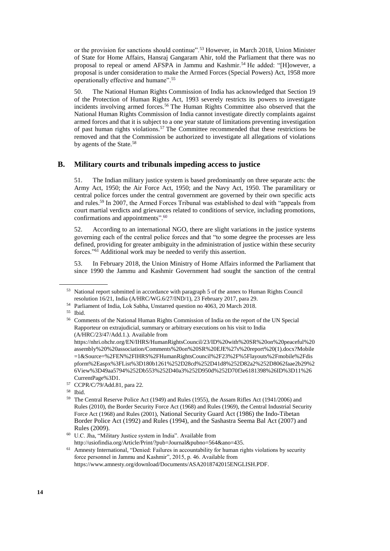or the provision for sanctions should continue".<sup>53</sup> However, in March 2018, Union Minister of State for Home Affairs, Hansraj Gangaram Ahir, told the Parliament that there was no proposal to repeal or amend AFSPA in Jammu and Kashmir.<sup>54</sup> He added: "[H]owever, a proposal is under consideration to make the Armed Forces (Special Powers) Act, 1958 more operationally effective and humane".<sup>55</sup>

50. The National Human Rights Commission of India has acknowledged that Section 19 of the Protection of Human Rights Act, 1993 severely restricts its powers to investigate incidents involving armed forces.<sup>56</sup> The Human Rights Committee also observed that the National Human Rights Commission of India cannot investigate directly complaints against armed forces and that it is subject to a one year statute of limitations preventing investigation of past human rights violations.<sup>57</sup> The Committee recommended that these restrictions be removed and that the Commission be authorized to investigate all allegations of violations by agents of the State.<sup>58</sup>

#### **B. Military courts and tribunals impeding access to justice**

51. The Indian military justice system is based predominantly on three separate acts: the Army Act, 1950; the Air Force Act, 1950; and the Navy Act, 1950. The paramilitary or central police forces under the central government are governed by their own specific acts and rules.<sup>59</sup> In 2007, the Armed Forces Tribunal was established to deal with "appeals from court martial verdicts and grievances related to conditions of service, including promotions, confirmations and appointments".<sup>60</sup>

52. According to an international NGO, there are slight variations in the justice systems governing each of the central police forces and that "to some degree the processes are less defined, providing for greater ambiguity in the administration of justice within these security forces."<sup>61</sup> Additional work may be needed to verify this assertion.

53. In February 2018, the Union Ministry of Home Affairs informed the Parliament that since 1990 the Jammu and Kashmir Government had sought the sanction of the central

<sup>55</sup> Ibid.

<sup>&</sup>lt;sup>53</sup> National report submitted in accordance with paragraph 5 of the annex to Human Rights Council resolution 16/21, India (A/HRC/WG.6/27/IND/1), 23 February 2017, para 29.

<sup>54</sup> Parliament of India, Lok Sabha, Unstarred question no 4063, 20 March 2018.

<sup>56</sup> Comments of the National Human Rights Commission of India on the report of the UN Special Rapporteur on extrajudicial, summary or arbitrary executions on his visit to India (A/HRC/23/47/Add.1.). Available from

[https://nhri.ohchr.org/EN/IHRS/HumanRightsCouncil/23/ID%20with%20SR%20on%20peaceful%20](https://nhri.ohchr.org/EN/IHRS/HumanRightsCouncil/23/ID%20with%20SR%20on%20peaceful%20assembly%20%20association/Comments%20on%20SR%20EJE%27s%20report%20(1).docx?Mobile=1&Source=%2FEN%2FIHRS%2FHumanRightsCouncil%2F23%2F%5Flayouts%2Fmobile%2Fdispform%2Easpx%3FList%3D180b1261%252D28cd%252D41d8%252D82a2%252D8062faae2b29%26View%3D49aa5794%252Db553%252D40a3%252D950d%252D70f3e6181398%26ID%3D11%26CurrentPage%3D1) [assembly%20%20association/Comments%20on%20SR%20EJE%27s%20report%20\(1\).docx?Mobile](https://nhri.ohchr.org/EN/IHRS/HumanRightsCouncil/23/ID%20with%20SR%20on%20peaceful%20assembly%20%20association/Comments%20on%20SR%20EJE%27s%20report%20(1).docx?Mobile=1&Source=%2FEN%2FIHRS%2FHumanRightsCouncil%2F23%2F%5Flayouts%2Fmobile%2Fdispform%2Easpx%3FList%3D180b1261%252D28cd%252D41d8%252D82a2%252D8062faae2b29%26View%3D49aa5794%252Db553%252D40a3%252D950d%252D70f3e6181398%26ID%3D11%26CurrentPage%3D1) [=1&Source=%2FEN%2FIHRS%2FHumanRightsCouncil%2F23%2F%5Flayouts%2Fmobile%2Fdis](https://nhri.ohchr.org/EN/IHRS/HumanRightsCouncil/23/ID%20with%20SR%20on%20peaceful%20assembly%20%20association/Comments%20on%20SR%20EJE%27s%20report%20(1).docx?Mobile=1&Source=%2FEN%2FIHRS%2FHumanRightsCouncil%2F23%2F%5Flayouts%2Fmobile%2Fdispform%2Easpx%3FList%3D180b1261%252D28cd%252D41d8%252D82a2%252D8062faae2b29%26View%3D49aa5794%252Db553%252D40a3%252D950d%252D70f3e6181398%26ID%3D11%26CurrentPage%3D1) [pform%2Easpx%3FList%3D180b1261%252D28cd%252D41d8%252D82a2%252D8062faae2b29%2](https://nhri.ohchr.org/EN/IHRS/HumanRightsCouncil/23/ID%20with%20SR%20on%20peaceful%20assembly%20%20association/Comments%20on%20SR%20EJE%27s%20report%20(1).docx?Mobile=1&Source=%2FEN%2FIHRS%2FHumanRightsCouncil%2F23%2F%5Flayouts%2Fmobile%2Fdispform%2Easpx%3FList%3D180b1261%252D28cd%252D41d8%252D82a2%252D8062faae2b29%26View%3D49aa5794%252Db553%252D40a3%252D950d%252D70f3e6181398%26ID%3D11%26CurrentPage%3D1) [6View%3D49aa5794%252Db553%252D40a3%252D950d%252D70f3e6181398%26ID%3D11%26](https://nhri.ohchr.org/EN/IHRS/HumanRightsCouncil/23/ID%20with%20SR%20on%20peaceful%20assembly%20%20association/Comments%20on%20SR%20EJE%27s%20report%20(1).docx?Mobile=1&Source=%2FEN%2FIHRS%2FHumanRightsCouncil%2F23%2F%5Flayouts%2Fmobile%2Fdispform%2Easpx%3FList%3D180b1261%252D28cd%252D41d8%252D82a2%252D8062faae2b29%26View%3D49aa5794%252Db553%252D40a3%252D950d%252D70f3e6181398%26ID%3D11%26CurrentPage%3D1) [CurrentPage%3D1.](https://nhri.ohchr.org/EN/IHRS/HumanRightsCouncil/23/ID%20with%20SR%20on%20peaceful%20assembly%20%20association/Comments%20on%20SR%20EJE%27s%20report%20(1).docx?Mobile=1&Source=%2FEN%2FIHRS%2FHumanRightsCouncil%2F23%2F%5Flayouts%2Fmobile%2Fdispform%2Easpx%3FList%3D180b1261%252D28cd%252D41d8%252D82a2%252D8062faae2b29%26View%3D49aa5794%252Db553%252D40a3%252D950d%252D70f3e6181398%26ID%3D11%26CurrentPage%3D1) 

<sup>57</sup> CCPR/C/79/Add.81, para 22.

<sup>58</sup> Ibid.

<sup>59</sup> The Central Reserve Police Act (1949) and Rules (1955), the Assam Rifles Act (1941/2006) and Rules (2010), the Border Security Force Act (1968) and Rules (1969), the Central Industrial Security Force Act (1968) and Rules (2001), National Security Guard Act (1986) the Indo-Tibetan Border Police Act (1992) and Rules (1994), and the Sashastra Seema Bal Act (2007) and Rules (2009).

<sup>60</sup> U.C. Jha, "Military Justice system in India". Available from [http://usiofindia.org/Article/Print/?pub=Journal&pubno=564&ano=435.](http://usiofindia.org/Article/Print/?pub=Journal&pubno=564&ano=435)

<sup>&</sup>lt;sup>61</sup> Amnesty International, "Denied: Failures in accountability for human rights violations by security force personnel in Jammu and Kashmir", 2015, p. 46. Available from [https://www.amnesty.org/download/Documents/ASA2018742015ENGLISH.PDF.](https://www.amnesty.org/download/Documents/ASA2018742015ENGLISH.PDF)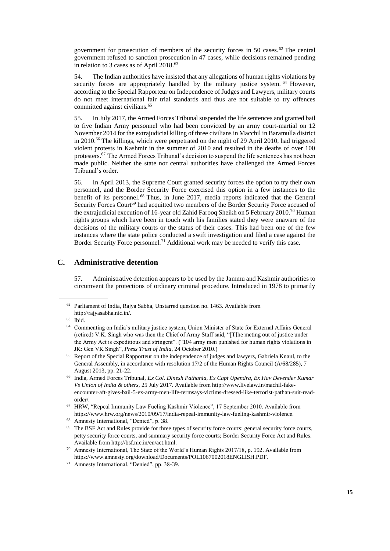government for prosecution of members of the security forces in 50 cases.<sup>62</sup> The central government refused to sanction prosecution in 47 cases, while decisions remained pending in relation to 3 cases as of April 2018.<sup>63</sup>

54. The Indian authorities have insisted that any allegations of human rights violations by security forces are appropriately handled by the military justice system. <sup>64</sup> However, according to the Special Rapporteur on Independence of Judges and Lawyers, military courts do not meet international fair trial standards and thus are not suitable to try offences committed against civilians.<sup>65</sup>

55. In July 2017, the Armed Forces Tribunal suspended the life sentences and granted bail to five Indian Army personnel who had been convicted by an army court-martial on 12 November 2014 for the extrajudicial killing of three civilians in Macchil in Baramulla district in 2010.<sup>66</sup> The killings, which were perpetrated on the night of 29 April 2010, had triggered violent protests in Kashmir in the summer of 2010 and resulted in the deaths of over 100 protesters.<sup>67</sup> The Armed Forces Tribunal's decision to suspend the life sentences has not been made public. Neither the state nor central authorities have challenged the Armed Forces Tribunal's order.

56. In April 2013, the Supreme Court granted security forces the option to try their own personnel, and the Border Security Force exercised this option in a few instances to the benefit of its personnel. <sup>68</sup> Thus, in June 2017, media reports indicated that the General Security Forces Court<sup>69</sup> had acquitted two members of the Border Security Force accused of the extrajudicial execution of 16-year old Zahid Farooq Sheikh on 5 February 2010.<sup>70</sup> Human rights groups which have been in touch with his families stated they were unaware of the decisions of the military courts or the status of their cases. This had been one of the few instances where the state police conducted a swift investigation and filed a case against the Border Security Force personnel.<sup>71</sup> Additional work may be needed to verify this case.

#### **C. Administrative detention**

57. Administrative detention appears to be used by the Jammu and Kashmir authorities to circumvent the protections of ordinary criminal procedure. Introduced in 1978 to primarily

<sup>62</sup> Parliament of India, Rajya Sabha, Unstarred question no. 1463. Available from [http://rajyasabha.nic.in/.](http://rajyasabha.nic.in/)

<sup>63</sup> Ibid.

<sup>64</sup> Commenting on India's military justice system, Union Minister of State for External Affairs General (retired) V.K. Singh who was then the Chief of Army Staff said, "[T]he meting out of justice under the Army Act is expeditious and stringent". ("104 army men punished for human rights violations in JK: Gen VK Singh", *Press Trust of India*, 24 October 2010.)

<sup>&</sup>lt;sup>65</sup> Report of the Special Rapporteur on the independence of judges and lawyers, Gabriela Knaul, to the General Assembly, in accordance with resolution 17/2 of the Human Rights Council (A/68/285), 7 August 2013, pp. 21-22.

<sup>66</sup> [India,](file://fshq.ad.ohchr.org/APB/APU/FOS-01%20Country%20Mandate%20Support/03%20Coordination%20&%20Partnership/Coordination/Country%20Files/2018/Kashmir/Public%20Report/India) Armed Forces Tribunal, *Ex Col. Dinesh Pathania, Ex Capt Upendra, Ex Hav Devender Kumar Vs Union of India & others*, 25 July 2017. Available from http://www.livelaw.in/machil-fakeencounter-aft-gives-bail-5-ex-army-men-life-termsays-victims-dressed-like-terrorist-pathan-suit-readorder/.

<sup>67</sup> HRW, "Repeal Immunity Law Fueling Kashmir Violence", 17 September 2010. Available from [https://www.hrw.org/news/2010/09/17/india-repeal-immunity-law-fueling-kashmir-violence.](https://www.hrw.org/news/2010/09/17/india-repeal-immunity-law-fueling-kashmir-violence) 

<sup>68</sup> Amnesty International, "Denied", p. 38.

<sup>&</sup>lt;sup>69</sup> The BSF Act and Rules provide for three types of security force courts: general security force courts, petty security force courts, and summary security force courts; Border Security Force Act and Rules. Available from http://bsf.nic.in/en/act.html.

<sup>70</sup> Amnesty International, The State of the World's Human Rights 2017/18, p. 192. Available from [https://www.amnesty.org/download/Documents/POL1067002018ENGLISH.PDF.](https://www.amnesty.org/download/Documents/POL1067002018ENGLISH.PDF)

<sup>71</sup> Amnesty International, "Denied", pp. 38-39.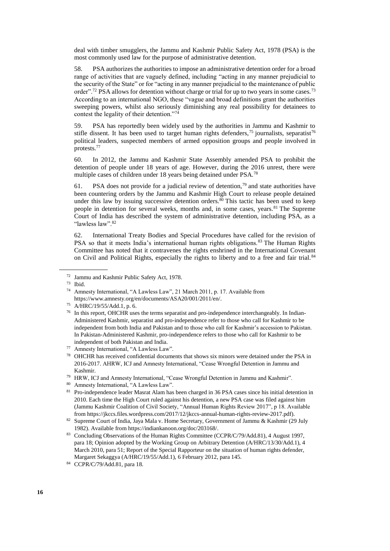deal with timber smugglers, the Jammu and Kashmir Public Safety Act, 1978 (PSA) is the most commonly used law for the purpose of administrative detention.

58. PSA authorizes the authorities to impose an administrative detention order for a broad range of activities that are vaguely defined, including "acting in any manner prejudicial to the security of the State" or for "acting in any manner prejudicial to the maintenance of public order".<sup>72</sup> PSA allows for detention without charge or trial for up to two years in some cases.<sup>73</sup> According to an international NGO, these "vague and broad definitions grant the authorities sweeping powers, whilst also seriously diminishing any real possibility for detainees to contest the legality of their detention."<sup>74</sup>

59. PSA has reportedly been widely used by the authorities in Jammu and Kashmir to stifle dissent. It has been used to target human rights defenders,<sup>75</sup> journalists, separatist<sup>76</sup> political leaders, suspected members of armed opposition groups and people involved in protests.<sup>77</sup>

60. In 2012, the Jammu and Kashmir State Assembly amended PSA to prohibit the detention of people under 18 years of age. However, during the 2016 unrest, there were multiple cases of children under 18 years being detained under PSA.<sup>78</sup>

61. PSA does not provide for a judicial review of detention,<sup>79</sup> and state authorities have been countering orders by the Jammu and Kashmir High Court to release people detained under this law by issuing successive detention orders. $80$  This tactic has been used to keep people in detention for several weeks, months and, in some cases, years.<sup>81</sup> The Supreme Court of India has described the system of administrative detention, including PSA, as a "lawless law".<sup>82</sup>

62. International Treaty Bodies and Special Procedures have called for the revision of PSA so that it meets India's international human rights obligations.<sup>83</sup> The Human Rights Committee has noted that it contravenes the rights enshrined in the International Covenant on Civil and Political Rights, especially the rights to liberty and to a free and fair trial.<sup>84</sup>

<sup>72</sup> Jammu and Kashmir Public Safety Act, 1978.

 $\frac{73}{74}$  Ibid.

Amnesty International, "A Lawless Law", 21 March 2011, p. 17. Available from [https://www.amnesty.org/en/documents/ASA20/001/2011/en/.](https://www.amnesty.org/en/documents/ASA20/001/2011/en/)

<sup>75</sup> A/HRC/19/55/Add.1, p. 6.

<sup>&</sup>lt;sup>76</sup> In this report, OHCHR uses the terms separatist and pro-independence interchangeably. In Indian-Administered Kashmir, separatist and pro-independence refer to those who call for Kashmir to be independent from both India and Pakistan and to those who call for Kashmir's accession to Pakistan. In Pakistan-Administered Kashmir, pro-independence refers to those who call for Kashmir to be independent of both Pakistan and India.

<sup>77</sup> Amnesty International, "A Lawless Law".

<sup>78</sup> OHCHR has received confidential documents that shows six minors were detained under the PSA in 2016-2017. AHRW, ICJ and Amnesty International, "Cease Wrongful Detention in Jammu and Kashmir.

<sup>79</sup> HRW, ICJ and Amnesty International, "Cease Wrongful Detention in Jammu and Kashmir".

<sup>80</sup> Amnesty International, "A Lawless Law".

<sup>&</sup>lt;sup>81</sup> Pro-independence leader Masrat Alam has been charged in 36 PSA cases since his initial detention in 2010. Each time the High Court ruled against his detention, a new PSA case was filed against him (Jammu Kashmir Coalition of Civil Society, "Annual Human Rights Review 2017", p 18. Available from [https://jkccs.files.wordpress.com/2017/12/jkccs-annual-human-rights-review-2017.pdf\)](https://jkccs.files.wordpress.com/2017/12/jkccs-annual-human-rights-review-2017.pdf).

<sup>82</sup> Supreme Court of India, Jaya Mala v. Home Secretary, Government of Jammu & Kashmir (29 July 1982). Available from [https://indiankanoon.org/doc/203168/.](https://indiankanoon.org/doc/203168/)

<sup>83</sup> Concluding Observations of the Human Rights Committee (CCPR/C/79/Add.81), 4 August 1997, para 18; Opinion adopted by the Working Group on Arbitrary Detention (A/HRC/13/30/Add.1), 4 March 2010, para 51; Report of the Special Rapporteur on the situation of human rights defender, Margaret Sekaggya (A/HRC/19/55/Add.1), 6 February 2012, para 145.

<sup>84</sup> CCPR/C/79/Add.81, para 18.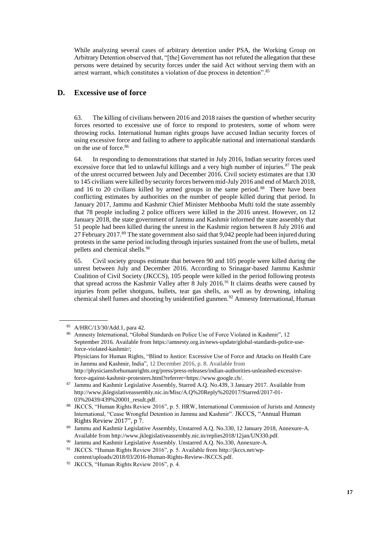While analyzing several cases of arbitrary detention under PSA, the Working Group on Arbitrary Detention observed that, "[the] Government has not refuted the allegation that these persons were detained by security forces under the said Act without serving them with an arrest warrant, which constitutes a violation of due process in detention".<sup>85</sup>

## **D. Excessive use of force**

63. The killing of civilians between 2016 and 2018 raises the question of whether security forces resorted to excessive use of force to respond to protesters, some of whom were throwing rocks. International human rights groups have accused Indian security forces of using excessive force and failing to adhere to applicable national and international standards on the use of force.<sup>86</sup>

64. In responding to demonstrations that started in July 2016, Indian security forces used excessive force that led to unlawful killings and a very high number of injuries. $87$  The peak of the unrest occurred between July and December 2016. Civil society estimates are that 130 to 145 civilians were killed by security forces between mid-July 2016 and end of March 2018, and 16 to 20 civilians killed by armed groups in the same period.<sup>88</sup> There have been conflicting estimates by authorities on the number of people killed during that period. In January 2017, Jammu and Kashmir Chief Minister Mehbooba Mufti told the state assembly that 78 people including 2 police officers were killed in the 2016 unrest. However, on 12 January 2018, the state government of Jammu and Kashmir informed the state assembly that 51 people had been killed during the unrest in the Kashmir region between 8 July 2016 and 27 February 2017.<sup>89</sup> The state government also said that 9,042 people had been injured during protests in the same period including through injuries sustained from the use of bullets, metal pellets and chemical shells.<sup>90</sup>

65. Civil society groups estimate that between 90 and 105 people were killed during the unrest between July and December 2016. According to Srinagar-based Jammu Kashmir Coalition of Civil Society (JKCCS), 105 people were killed in the period following protests that spread across the Kashmir Valley after 8 July 2016.<sup>91</sup> It claims deaths were caused by injuries from pellet shotguns, bullets, tear gas shells, as well as by drowning, inhaling chemical shell fumes and shooting by unidentified gunmen.<sup>92</sup> Amnesty International, Human

<sup>85</sup> A/HRC/13/30/Add.1, para 42.

<sup>86</sup> Amnesty International, "Global Standards on Police Use of Force Violated in Kashmir", 12 September 2016. Available fro[m https://amnesty.org.in/news-update/global-standards-police-use](https://amnesty.org.in/news-update/global-standards-police-use-force-violated-kashmir/)[force-violated-kashmir/;](https://amnesty.org.in/news-update/global-standards-police-use-force-violated-kashmir/)  Physicians for Human Rights, "[Blind to Justice: Excessive Use of Force and Attacks on Health Care](http://phr.org/kashmir)  [in Jammu and Kashmir, India"](http://phr.org/kashmir), 12 December 2016, p. 8. Available from [http://physiciansforhumanrights.org/press/press-releases/indian-authorities-unleashed-excessive](http://physiciansforhumanrights.org/press/press-releases/indian-authorities-unleashed-excessive-force-against-kashmir-protesters.html?referrer=https://www.google.ch/)[force-against-kashmir-protesters.html?referrer=https://www.google.ch/.](http://physiciansforhumanrights.org/press/press-releases/indian-authorities-unleashed-excessive-force-against-kashmir-protesters.html?referrer=https://www.google.ch/)

<sup>87</sup> Jammu and Kashmir Legislative Assembly, Starred A.Q. No.439, 3 January 2017. Available from [http://www.jklegislativeassembly.nic.in/Misc/A.Q%20Reply%202017/Starred/2017-01-](http://www.jklegislativeassembly.nic.in/Misc/A.Q%20Reply%202017/Starred/2017-01-03%20439/439%20001_result.pdf) [03%20439/439%20001\\_result.pdf.](http://www.jklegislativeassembly.nic.in/Misc/A.Q%20Reply%202017/Starred/2017-01-03%20439/439%20001_result.pdf)

<sup>88</sup> JKCCS, "Human Rights Review 2016", p. 5. HRW, International Commission of Jurists and Amnesty International, "Cease Wrongful Detention in Jammu and Kashmir". JKCCS, "Annual Human Rights Review 2017", p 7.

<sup>89</sup> Jammu and Kashmir Legislative Assembly, Unstarred A.Q. No.330, 12 January 2018, Annexure-A. Available fro[m http://www.jklegislativeassembly.nic.in/replies2018/12jan/UN330.pdf.](http://www.jklegislativeassembly.nic.in/replies2018/12jan/UN330.pdf)

<sup>90</sup> Jammu and Kashmir Legislative Assembly. Unstarred A.Q. No.330, Annexure-A.

<sup>91</sup> JKCCS. "Human Rights Review 2016", p. 5. Available from [http://jkccs.net/wp](http://jkccs.net/wp-content/uploads/2018/03/2016-Human-Rights-Review-JKCCS.pdf)[content/uploads/2018/03/2016-Human-Rights-Review-JKCCS.pdf.](http://jkccs.net/wp-content/uploads/2018/03/2016-Human-Rights-Review-JKCCS.pdf) 

<sup>92</sup> JKCCS, "Human Rights Review 2016", p. 4.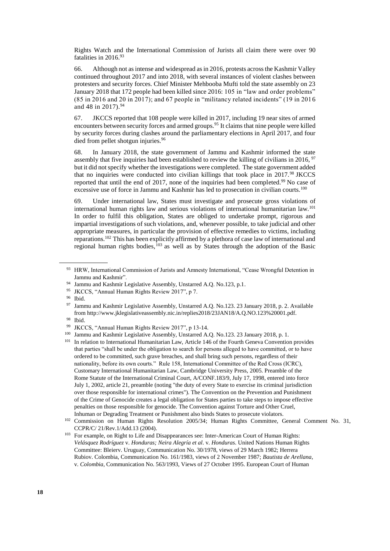Rights Watch and the International Commission of Jurists all claim there were over 90 fatalities in 2016.93

66. Although not as intense and widespread as in 2016, protests across the Kashmir Valley continued throughout 2017 and into 2018, with several instances of violent clashes between protesters and security forces. Chief Minister Mehbooba Mufti told the state assembly on 23 January 2018 that 172 people had been killed since 2016: 105 in "law and order problems" (85 in 2016 and 20 in 2017); and 67 people in "militancy related incidents" (19 in 2016 and 48 in 2017).<sup>94</sup>

67. JKCCS reported that 108 people were killed in 2017, including 19 near sites of armed encounters between security forces and armed groups.<sup>95</sup> It claims that nine people were killed by security forces during clashes around the parliamentary elections in April 2017, and four died from pellet shotgun injuries.<sup>96</sup>

68. In January 2018, the state government of Jammu and Kashmir informed the state assembly that five inquiries had been established to review the killing of civilians in 2016,  $\frac{97}{2}$ but it did not specify whether the investigations were completed. The state government added that no inquiries were conducted into civilian killings that took place in  $2017.^98$  JKCCS reported that until the end of 2017, none of the inquiries had been completed.<sup>99</sup> No case of excessive use of force in Jammu and Kashmir has led to prosecution in civilian courts.<sup>100</sup>

69. Under international law, States must investigate and prosecute gross violations of international human rights law and serious violations of international humanitarian law. 101 In order to fulfil this obligation, States are obliged to undertake prompt, rigorous and impartial investigations of such violations, and, whenever possible, to take judicial and other appropriate measures, in particular the provision of effective remedies to victims, including reparations.<sup>102</sup> This has been explicitly affirmed by a plethora of case law of international and regional human rights bodies, $103$  as well as by States through the adoption of the Basic

- <sup>94</sup> Jammu and Kashmir Legislative Assembly, Unstarred A.Q. No.123, p.1.<br><sup>95</sup> IVCCS "Annual Human Rights Review 2017" n 7
- <sup>95</sup> JKCCS, "Annual Human Rights Review 2017", p 7.<br><sup>96</sup> Ibid

<sup>98</sup> Ibid.

<sup>101</sup> In relation to International Humanitarian Law, Article 146 of the Fourth Geneva Convention provides that parties "shall be under the obligation to search for persons alleged to have committed, or to have ordered to be committed, such grave breaches, and shall bring such persons, regardless of their nationality, before its own courts." Rule 158, International Committee of the Red Cross (ICRC), Customary International Humanitarian Law, Cambridge University Press, 2005. Preamble of the Rome Statute of the International Criminal Court, A/CONF.183/9, July 17, 1998, entered into force July 1, 2002, article 21, preamble (noting "the duty of every State to exercise its criminal jurisdiction over those responsible for international crimes"). The Convention on the Prevention and Punishment of the Crime of Genocide creates a legal obligation for States parties to take steps to impose effective penalties on those responsible for genocide. The Convention against Torture and Other Cruel, Inhuman or Degrading Treatment or Punishment also binds States to prosecute violators.

<sup>93</sup> HRW, International Commission of Jurists and Amnesty International, "Cease Wrongful Detention in Jammu and Kashmir".

Ibid.

<sup>97</sup> Jammu and Kashmir Legislative Assembly, Unstarred A.Q. No.123. 23 January 2018, p. 2. Available from [http://www.jklegislativeassembly.nic.in/replies2018/23JAN18/A.Q.NO.123%20001.pdf.](http://www.jklegislativeassembly.nic.in/replies2018/23JAN18/A.Q.NO.123%20001.pdf)

<sup>&</sup>lt;sup>99</sup> JKCCS, "Annual Human Rights Review 2017", p 13-14.<br><sup>100</sup> Jammu and Kashmir Legislative Assembly Unstarred A

Jammu and Kashmir Legislative Assembly, Unstarred A.O. No.123. 23 January 2018, p. 1.

<sup>&</sup>lt;sup>102</sup> Commission on Human Rights Resolution 2005/34; Human Rights Committee, General Comment No. 31, CCPR/C/ 21/Rev.1/Add.13 (2004).

<sup>&</sup>lt;sup>103</sup> For example, on Right to Life and Disappearances see: Inter-American Court of Human Rights: *Velásquez Rodríguez* v. *Honduras; Neira Alegría et al*. v. *Honduras*. United Nations Human Rights Committee: Bleierv. Uruguay, Communication No. 30/1978, views of 29 March 1982; Herrera Rubiov. Colombia, Communication No. 161/1983, views of 2 November 1987; *Bautista de Arellana*, v. *Colombia*, Communication No. 563/1993, Views of 27 October 1995. European Court of Human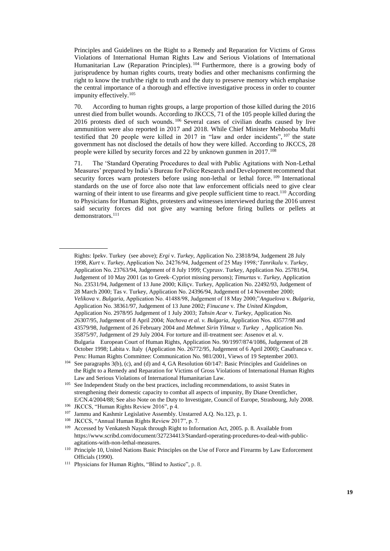Principles and Guidelines on the Right to a Remedy and Reparation for Victims of Gross Violations of International Human Rights Law and Serious Violations of International Humanitarian Law (Reparation Principles).<sup>104</sup> Furthermore, there is a growing body of jurisprudence by human rights courts, treaty bodies and other mechanisms confirming the right to know the truth/the right to truth and the duty to preserve memory which emphasise the central importance of a thorough and effective investigative process in order to counter impunity effectively.<sup>105</sup>

70. According to human rights groups, a large proportion of those killed during the 2016 unrest died from bullet wounds. According to JKCCS, 71 of the 105 people killed during the 2016 protests died of such wounds. <sup>106</sup> Several cases of civilian deaths caused by live ammunition were also reported in 2017 and 2018. While Chief Minister Mehbooba Mufti testified that 20 people were killed in 2017 in "law and order incidents",  $107$  the state government has not disclosed the details of how they were killed. According to JKCCS, 28 people were killed by security forces and 22 by unknown gunmen in 2017.<sup>108</sup>  $\ddot{\phantom{0}}$ 

71. The 'Standard Operating Procedures to deal with Public Agitations with Non-Lethal Measures' prepared by India's Bureau for Police Research and Development recommend that security forces warn protesters before using non-lethal or lethal force. <sup>109</sup> International standards on the use of force also note that law enforcement officials need to give clear warning of their intent to use firearms and give people sufficient time to react.<sup>110</sup> According to Physicians for Human Rights, protesters and witnesses interviewed during the 2016 unrest said security forces did not give any warning before firing bullets or pellets at demonstrators.<sup>111</sup>

Rights: Ipekv. Turkey (see above); *Ergi* v. *Turkey*, Application No. 23818/94, Judgement 28 July 1998, *Kurt* v. *Turkey*, Application No. 24276/94, Judgement of 25 May 1998;'*Tanrikulu* v. *Turkey*, Application No. 23763/94, Judgement of 8 July 1999; Cyprusv. Turkey, Application No. 25781/94, Judgement of 10 May 2001 (as to Greek–Cypriot missing persons); *Timurtas* v. *Turkey*, Application No. 23531/94, Judgement of 13 June 2000; Kiliçv. Turkey, Application No. 22492/93, Judgement of 28 March 2000; Tas v. Turkey, Application No. 24396/94, Judgement of 14 November 2000; *Velikova* v. *Bulgaria*, Application No. 41488/98, Judgement of 18 May 2000;"*Anguelova* v. *Bulgaria*, Application No. 38361/97, Judgement of 13 June 2002; *Finucane* v. *The United Kingdom*, Application No. 2978/95 Judgement of 1 July 2003; *Tahsin Acar* v. *Turkey*, Application No. 26307/95, Judgement of 8 April 2004; *Nachova et al. v. Bulgaria*, Application Nos. 43577/98 and 43579/98, Judgement of 26 February 2004 and *Mehmet Sirin Yilmaz v. Turkey* , Application No. 35875/97, Judgement of 29 July 2004. For torture and ill-treatment see: Assenov et al. v. Bulgaria European Court of Human Rights, Application No. 90/1997/874/1086, Judgement of 28 October 1998; Labita v. Italy (Application No. 26772/95, Judgement of 6 April 2000); Casafranca v. Peru: Human Rights Committee: Communication No. 981/2001, Views of 19 September 2003.

<sup>104</sup> See paragraphs 3(b), (c), and (d) and 4, GA Resolution 60/147: Basic Principles and Guidelines on the Right to a Remedy and Reparation for Victims of Gross Violations of International Human Rights Law and Serious Violations of International Humanitarian Law.

<sup>&</sup>lt;sup>105</sup> See Independent Study on the best practices, including recommendations, to assist States in strengthening their domestic capacity to combat all aspects of impunity, By Diane Orentlicher, E/CN.4/2004/88; See also Note on the Duty to Investigate, Council of Europe, Strasbourg, July 2008.

<sup>106</sup> JKCCS, "Human Rights Review 2016", p 4.

<sup>107</sup> Jammu and Kashmir Legislative Assembly. Unstarred A.Q. No.123, p. 1.

<sup>108</sup> JKCCS, "Annual Human Rights Review 2017", p. 7.

<sup>109</sup> Accessed by Venkatesh Nayak through Right to Information Act, 2005. p. 8. Available from [https://www.scribd.com/document/327234413/Standard-operating-procedures-to-deal-with-public](https://www.scribd.com/document/327234413/Standard-operating-procedures-to-deal-with-public-agitations-with-non-lethal-measures)[agitations-with-non-lethal-measures.](https://www.scribd.com/document/327234413/Standard-operating-procedures-to-deal-with-public-agitations-with-non-lethal-measures) 

<sup>110</sup> Principle 10, United Nations Basic Principles on the Use of Force and Firearms by Law Enforcement Officials (1990).

<sup>111</sup> Physicians for Human Rights, ["Blind to Justice"](http://phr.org/kashmir), p. 8.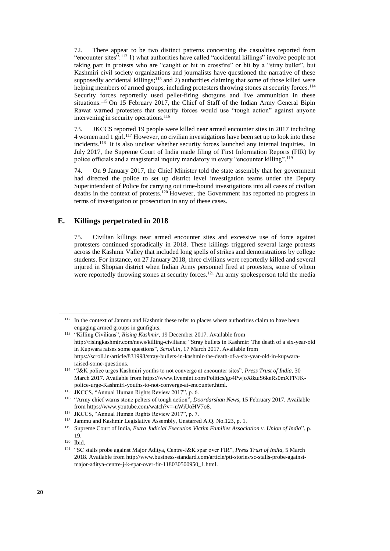72. There appear to be two distinct patterns concerning the casualties reported from "encounter sites":<sup>112</sup> 1) what authorities have called "accidental killings" involve people not taking part in protests who are "caught or hit in crossfire" or hit by a "stray bullet", but Kashmiri civil society organizations and journalists have questioned the narrative of these supposedly accidental killings;<sup>113</sup> and 2) authorities claiming that some of those killed were helping members of armed groups, including protesters throwing stones at security forces.<sup>114</sup> Security forces reportedly used pellet-firing shotguns and live ammunition in these situations.<sup>115</sup> On 15 February 2017, the Chief of Staff of the Indian Army General Bipin Rawat warned protesters that security forces would use "tough action" against anyone intervening in security operations.<sup>116</sup>

73. JKCCS reported 19 people were killed near armed encounter sites in 2017 including 4 women and 1 girl.<sup>117</sup> However, no civilian investigations have been set up to look into these incidents.<sup>118</sup> It is also unclear whether security forces launched any internal inquiries. In July 2017, the Supreme Court of India made filing of First Information Reports (FIR) by police officials and a magisterial inquiry mandatory in every "encounter killing".<sup>119</sup>

74. On 9 January 2017, the Chief Minister told the state assembly that her government had directed the police to set up district level investigation teams under the Deputy Superintendent of Police for carrying out time-bound investigations into all cases of civilian deaths in the context of protests.<sup>120</sup> However, the Government has reported no progress in terms of investigation or prosecution in any of these cases.

## **E. Killings perpetrated in 2018**

75. Civilian killings near armed encounter sites and excessive use of force against protesters continued sporadically in 2018. These killings triggered several large protests across the Kashmir Valley that included long spells of strikes and demonstrations by college students. For instance, on 27 January 2018, three civilians were reportedly killed and several injured in Shopian district when Indian Army personnel fired at protesters, some of whom were reportedly throwing stones at security forces.<sup>121</sup> An army spokesperson told the media

<sup>&</sup>lt;sup>112</sup> In the context of Jammu and Kashmir these refer to places where authorities claim to have been engaging armed groups in gunfights.

<sup>113</sup> "Killing Civilians", *Rising Kashmir*, 19 December 2017. Available from <http://risingkashmir.com/news/killing-civilians>; "Stray bullets in Kashmir: The death of a six-year-old in Kupwara raises some questions", *Scroll.In*, 17 March 2017. Available from https://scroll.in/article/831998/stray-bullets-in-kashmir-the-death-of-a-six-year-old-in-kupwararaised-some-questions.

<sup>114</sup> "J&K police urges Kashmiri youths to not converge at encounter sites", *Press Trust of India*, 30 March 2017. Available fro[m https://www.livemint.com/Politics/go4PwjoX8zuS6keRs0mXFP/JK](https://www.livemint.com/Politics/go4PwjoX8zuS6keRs0mXFP/JK-police-urge-Kashmiri-youths-to-not-converge-at-encounter.html)[police-urge-Kashmiri-youths-to-not-converge-at-encounter.html.](https://www.livemint.com/Politics/go4PwjoX8zuS6keRs0mXFP/JK-police-urge-Kashmiri-youths-to-not-converge-at-encounter.html)

<sup>115</sup> JKCCS, "Annual Human Rights Review 2017", p. 6.

<sup>116</sup> "Army chief warns stone pelters of tough action", *Doordarshan News*, 15 February 2017. Available from [https://www.youtube.com/watch?v=-uWiUoHV7o8.](https://www.youtube.com/watch?v=-uWiUoHV7o8)

<sup>117</sup> JKCCS, "Annual Human Rights Review 2017", p. 7.

<sup>118</sup> Jammu and Kashmir Legislative Assembly, Unstarred A.Q. No.123, p. 1.

<sup>119</sup> Supreme Court of India, *Extra Judicial Execution Victim Families Association v. Union of India*", p. 19.

<sup>120</sup> Ibid.

<sup>121</sup> "SC stalls probe against Major Aditya, Centre-J&K spar over FIR", *Press Trust of India*, 5 March 2018. Available from [http://www.business-standard.com/article/pti-stories/sc-stalls-probe-against](http://www.business-standard.com/article/pti-stories/sc-stalls-probe-against-major-aditya-centre-j-k-spar-over-fir-118030500950_1.html)[major-aditya-centre-j-k-spar-over-fir-118030500950\\_1.html.](http://www.business-standard.com/article/pti-stories/sc-stalls-probe-against-major-aditya-centre-j-k-spar-over-fir-118030500950_1.html)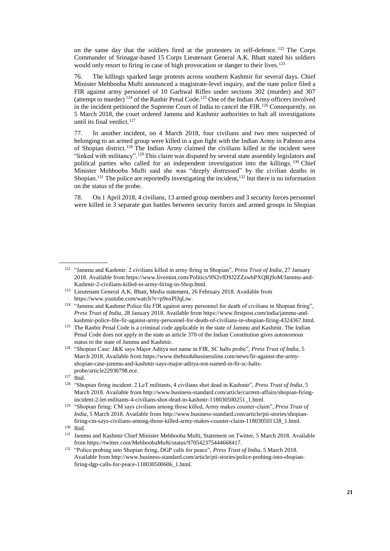on the same day that the soldiers fired at the protesters in self-defence. <sup>122</sup> The Corps Commander of Srinagar-based 15 Corps Lieutenant General A.K. Bhatt stated his soldiers would only resort to firing in case of high provocation or danger to their lives.<sup>123</sup>

76. The killings sparked large protests across southern Kashmir for several days. Chief Minister Mehbooba Mufti announced a magistrate-level inquiry, and the state police filed a FIR against army personnel of 10 Garhwal Rifles under sections 302 (murder) and 307 (attempt to murder)<sup>124</sup> of the Ranbir Penal Code.<sup>125</sup> One of the Indian Army officers involved in the incident petitioned the Supreme Court of India to cancel the FIR.<sup>126</sup> Consequently, on 5 March 2018, the court ordered Jammu and Kashmir authorities to halt all investigations until its final verdict.<sup>127</sup>

77. In another incident, on 4 March 2018, four civilians and two men suspected of belonging to an armed group were killed in a gun fight with the Indian Army in Pahnoo area of Shopian district.<sup>128</sup> The Indian Army claimed the civilians killed in the incident were "linked with militancy".<sup>129</sup> This claim was disputed by several state assembly legislators and political parties who called for an independent investigation into the killings. <sup>130</sup> Chief Minister Mehbooba Mufti said she was "deeply distressed" by the civilian deaths in Shopian.<sup>131</sup> The police are reportedly investigating the incident,<sup>132</sup> but there is no information on the status of the probe.

78. On 1 April 2018, 4 civilians, 13 armed group members and 3 security forces personnel were killed in 3 separate gun battles between security forces and armed groups in Shopian

<sup>122</sup> "Jammu and Kashmir: 2 civilians killed in army firing in Shopian", *Press Trust of India*, 27 January 2018. Available from [https://www.livemint.com/Politics/9N2vfDSJ2ZZzwhPXQRj9oM/Jammu-and-](https://www.livemint.com/Politics/9N2vfDSJ2ZZzwhPXQRj9oM/Jammu-and-Kashmir-2-civilians-killed-in-army-firing-in-Shop.html)[Kashmir-2-civilians-killed-in-army-firing-in-Shop.html.](https://www.livemint.com/Politics/9N2vfDSJ2ZZzwhPXQRj9oM/Jammu-and-Kashmir-2-civilians-killed-in-army-firing-in-Shop.html)

<sup>123</sup> Lieutenant General A.K. Bhatt, Media statement, 26 February 2018. Available from [https://www.youtube.com/watch?v=p9nxPlJqLiw.](https://www.youtube.com/watch?v=p9nxPlJqLiw) 

<sup>&</sup>lt;sup>124</sup> "Jammu and Kashmir Police file FIR against army personnel for death of civilians in Shopian firing", *Press Trust of India*, 28 January 2018. Available fro[m https://www.firstpost.com/india/jammu-and](https://www.firstpost.com/india/jammu-and-kashmir-police-file-fir-against-army-personnel-for-death-of-civilians-in-shopian-firing-4324367.html)[kashmir-police-file-fir-against-army-personnel-for-death-of-civilians-in-shopian-firing-4324367.html.](https://www.firstpost.com/india/jammu-and-kashmir-police-file-fir-against-army-personnel-for-death-of-civilians-in-shopian-firing-4324367.html)

<sup>&</sup>lt;sup>125</sup> The Ranbir Penal Code is a criminal code applicable in the state of Jammu and Kashmir. The Indian Penal Code does not apply in the state as article 370 of the Indian Constitution gives autonomous status to the state of Jammu and Kashmir.

<sup>126</sup> "Shopian Case: J&K says Major Aditya not name in FIR, SC halts probe", *Press Trust of India*, 5 March 2018. Available fro[m https://www.thehindubusinessline.com/news/fir-against-the-army](https://www.thehindubusinessline.com/news/fir-against-the-army-shopian-case-jammu-and-kashmir-says-major-aditya-not-named-in-fir-sc-halts-probe/article22930798.ece)[shopian-case-jammu-and-kashmir-says-major-aditya-not-named-in-fir-sc-halts](https://www.thehindubusinessline.com/news/fir-against-the-army-shopian-case-jammu-and-kashmir-says-major-aditya-not-named-in-fir-sc-halts-probe/article22930798.ece)[probe/article22930798.ece.](https://www.thehindubusinessline.com/news/fir-against-the-army-shopian-case-jammu-and-kashmir-says-major-aditya-not-named-in-fir-sc-halts-probe/article22930798.ece)

<sup>127</sup> Ibid.

<sup>128</sup> "Shopian firing incident: 2 LeT militants, 4 civilians shot dead in Kashmir", *Press Trust of India*, 5 March 2018. Available fro[m http://www.business-standard.com/article/current-affairs/shopian-firing](http://www.business-standard.com/article/current-affairs/shopian-firing-incident-2-let-militants-4-civilians-shot-dead-in-kashmir-118030500251_1.html)[incident-2-let-militants-4-civilians-shot-dead-in-kashmir-118030500251\\_1.html.](http://www.business-standard.com/article/current-affairs/shopian-firing-incident-2-let-militants-4-civilians-shot-dead-in-kashmir-118030500251_1.html)

<sup>129</sup> "Shopian firing: CM says civilians among those killed, Army makes counter-claim", *Press Trust of India*, 5 March 2018. Available from [http://www.business-standard.com/article/pti-stories/shopian](http://www.business-standard.com/article/pti-stories/shopian-firing-cm-says-civilians-among-those-killed-army-makes-counter-claim-118030501128_1.html)[firing-cm-says-civilians-among-those-killed-army-makes-counter-claim-118030501128\\_1.html.](http://www.business-standard.com/article/pti-stories/shopian-firing-cm-says-civilians-among-those-killed-army-makes-counter-claim-118030501128_1.html)

<sup>130</sup> Ibid.

<sup>&</sup>lt;sup>131</sup> Jammu and Kashmir Chief Minister Mehbooba Mufti, Statement on Twitter, 5 March 2018. Available from [https://twitter.com/MehboobaMufti/status/970542375444668417.](https://twitter.com/MehboobaMufti/status/970542375444668417)

<sup>132</sup> "Police probing into Shopian firing, DGP calls for peace", *Press Trust of India*, 5 March 2018. Available fro[m http://www.business-standard.com/article/pti-stories/police-probing-into-shopian](http://www.business-standard.com/article/pti-stories/police-probing-into-shopian-firing-dgp-calls-for-peace-118030500606_1.html)[firing-dgp-calls-for-peace-118030500606\\_1.html.](http://www.business-standard.com/article/pti-stories/police-probing-into-shopian-firing-dgp-calls-for-peace-118030500606_1.html)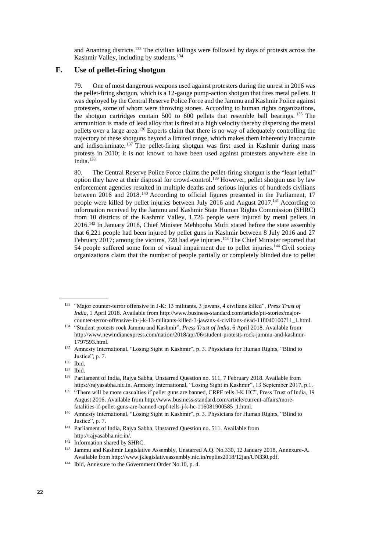and Anantnag districts.<sup>133</sup> The civilian killings were followed by days of protests across the Kashmir Valley, including by students.<sup>134</sup>

## **F. Use of pellet-firing shotgun**

79. One of most dangerous weapons used against protesters during the unrest in 2016 was the pellet-firing shotgun, which is a 12-gauge pump-action shotgun that fires metal pellets. It was deployed by the Central Reserve Police Force and the Jammu and Kashmir Police against protesters, some of whom were throwing stones. According to human rights organizations, the shotgun cartridges contain 500 to 600 pellets that resemble ball bearings. <sup>135</sup> The ammunition is made of lead alloy that is fired at a high velocity thereby dispersing the metal pellets over a large area.<sup>136</sup> Experts claim that there is no way of adequately controlling the trajectory of these shotguns beyond a limited range, which makes them inherently inaccurate and indiscriminate. <sup>137</sup> The pellet-firing shotgun was first used in Kashmir during mass protests in 2010; it is not known to have been used against protesters anywhere else in India.<sup>138</sup>

80. The Central Reserve Police Force claims the pellet-firing shotgun is the "least lethal" option they have at their disposal for crowd-control.<sup>139</sup> However, pellet shotgun use by law enforcement agencies resulted in multiple deaths and serious injuries of hundreds civilians between 2016 and 2018.<sup>140</sup> According to official figures presented in the Parliament, 17 people were killed by pellet injuries between July 2016 and August 2017.<sup>141</sup> According to information received by the Jammu and Kashmir State Human Rights Commission (SHRC) from 10 districts of the Kashmir Valley, 1,726 people were injured by metal pellets in 2016.<sup>142</sup> In January 2018, Chief Minister Mehbooba Mufti stated before the state assembly that 6,221 people had been injured by pellet guns in Kashmir between 8 July 2016 and 27 February 2017; among the victims,  $728$  had eye injuries.<sup>143</sup> The Chief Minister reported that 54 people suffered some form of visual impairment due to pellet injuries.<sup>144</sup> Civil society organizations claim that the number of people partially or completely blinded due to pellet

<sup>133</sup> "Major counter-terror offensive in J-K: 13 militants, 3 jawans, 4 civilians killed", *Press Trust of India*, 1 April 2018. Available from [http://www.business-standard.com/article/pti-stories/major](http://www.business-standard.com/article/pti-stories/major-counter-terror-offensive-in-j-k-13-militants-killed-3-jawans-4-civilians-dead-118040100711_1.html)[counter-terror-offensive-in-j-k-13-militants-killed-3-jawans-4-civilians-dead-118040100711\\_1.html.](http://www.business-standard.com/article/pti-stories/major-counter-terror-offensive-in-j-k-13-militants-killed-3-jawans-4-civilians-dead-118040100711_1.html)

<sup>134</sup> "Student protests rock Jammu and Kashmir", *Press Trust of India*, 6 April 2018. Available from [http://www.newindianexpress.com/nation/2018/apr/06/student-protests-rock-jammu-and-kashmir-](http://www.newindianexpress.com/nation/2018/apr/06/student-protests-rock-jammu-and-kashmir-1797593.html)[1797593.html.](http://www.newindianexpress.com/nation/2018/apr/06/student-protests-rock-jammu-and-kashmir-1797593.html)

<sup>135</sup> Amnesty International, "Losing Sight in Kashmir", p. 3. Physicians for Human Rights, "[Blind to](file://fshq.ad.ohchr.org/APB/APU/FOS-01%20Country%20Mandate%20Support/03%20Coordination%20&%20Partnership/Coordination/Country%20Files/2018/Kashmir/Public%20Report/Blind%20to%20Justice)  [Justice"](file://fshq.ad.ohchr.org/APB/APU/FOS-01%20Country%20Mandate%20Support/03%20Coordination%20&%20Partnership/Coordination/Country%20Files/2018/Kashmir/Public%20Report/Blind%20to%20Justice), p. 7.

<sup>136</sup> Ibid.

<sup>137</sup> Ibid.

<sup>138</sup> Parliament of India, Rajya Sabha, Unstarred Question no. 511, 7 February 2018. Available from [https://rajyasabha.nic.in](https://rajyasabha.nic.in/). Amnesty International, "Losing Sight in Kashmir", 13 September 2017, p.1.

<sup>&</sup>lt;sup>139</sup> "There will be more casualties if pellet guns are banned, CRPF tells J-K HC", Press Trust of India, 19 August 2016. Available from [http://www.business-standard.com/article/current-affairs/more](http://www.business-standard.com/article/current-affairs/more-fatalities-if-pellet-guns-are-banned-crpf-tells-j-k-hc-116081900585_1.html)[fatalities-if-pellet-guns-are-banned-crpf-tells-j-k-hc-116081900585\\_1.html.](http://www.business-standard.com/article/current-affairs/more-fatalities-if-pellet-guns-are-banned-crpf-tells-j-k-hc-116081900585_1.html) 

<sup>140</sup> Amnesty International, "Losing Sight in Kashmir", p. 3. Physicians for Human Rights, "[Blind to](file://fshq.ad.ohchr.org/APB/APU/FOS-01%20Country%20Mandate%20Support/03%20Coordination%20&%20Partnership/Coordination/Country%20Files/2018/Kashmir/Public%20Report/Blind%20to%20Justice)  [Justice"](file://fshq.ad.ohchr.org/APB/APU/FOS-01%20Country%20Mandate%20Support/03%20Coordination%20&%20Partnership/Coordination/Country%20Files/2018/Kashmir/Public%20Report/Blind%20to%20Justice), p. 7.

<sup>141</sup> Parliament of India, Rajya Sabha, Unstarred Question no. 511. Available from [http://rajyasabha.nic.in/.](http://rajyasabha.nic.in/) 

 $^{142}$  Information shared by SHRC.

<sup>143</sup> Jammu and Kashmir Legislative Assembly, Unstarred A.Q. No.330, 12 January 2018, Annexure-A. Available fro[m http://www.jklegislativeassembly.nic.in/replies2018/12jan/UN330.pdf.](http://www.jklegislativeassembly.nic.in/replies2018/12jan/UN330.pdf)

<sup>144</sup> Ibid, Annexure to the Government Order No.10, p. 4.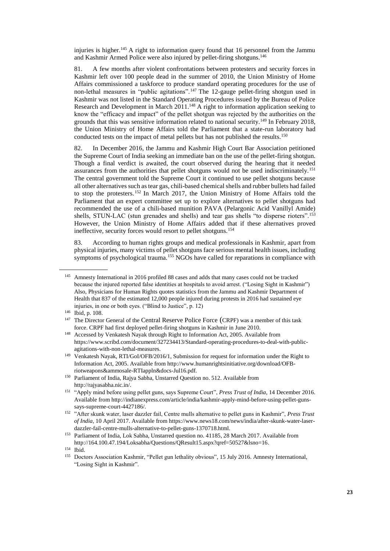injuries is higher.<sup>145</sup> A right to information query found that 16 personnel from the Jammu and Kashmir Armed Police were also injured by pellet-firing shotguns.<sup>146</sup>

81. A few months after violent confrontations between protesters and security forces in Kashmir left over 100 people dead in the summer of 2010, the Union Ministry of Home Affairs commissioned a taskforce to produce standard operating procedures for the use of non-lethal measures in "public agitations".<sup>147</sup> The 12-gauge pellet-firing shotgun used in Kashmir was not listed in the Standard Operating Procedures issued by the Bureau of Police Research and Development in March 2011.<sup>148</sup> A right to information application seeking to know the "efficacy and impact" of the pellet shotgun was rejected by the authorities on the grounds that this was sensitive information related to national security.<sup>149</sup> In February 2018, the Union Ministry of Home Affairs told the Parliament that a state-run laboratory had conducted tests on the impact of metal pellets but has not published the results.<sup>150</sup>

82. In December 2016, the Jammu and Kashmir High Court Bar Association petitioned the Supreme Court of India seeking an immediate ban on the use of the pellet-firing shotgun. Though a final verdict is awaited, the court observed during the hearing that it needed assurances from the authorities that pellet shotguns would not be used indiscriminately.<sup>151</sup> The central government told the Supreme Court it continued to use pellet shotguns because all other alternatives such as tear gas, chili-based chemical shells and rubber bullets had failed to stop the protesters. <sup>152</sup> In March 2017, the Union Ministry of Home Affairs told the Parliament that an expert committee set up to explore alternatives to pellet shotguns had recommended the use of a chili-based munition PAVA (Pelargonic Acid Vanillyl Amide) shells, STUN-LAC (stun grenades and shells) and tear gas shells "to disperse rioters".<sup>153</sup> However, the Union Ministry of Home Affairs added that if these alternatives proved ineffective, security forces would resort to pellet shotguns.<sup>154</sup>

83. According to human rights groups and medical professionals in Kashmir, apart from physical injuries, many victims of pellet shotguns face serious mental health issues, including symptoms of psychological trauma.<sup>155</sup> NGOs have called for reparations in compliance with

<sup>145</sup> Amnesty International in 2016 profiled 88 cases and adds that many cases could not be tracked because the injured reported false identities at hospitals to avoid arrest. ("Losing Sight in Kashmir") Also, Physicians for Human Rights quotes statistics from the Jammu and Kashmir Department of Health that 837 of the estimated 12,000 people injured during protests in 2016 had sustained eye injuries, in one or both eyes. ("Blind to Justice", p. 12)

<sup>146</sup> Ibid, p. 108.

<sup>&</sup>lt;sup>147</sup> The Director General of the Central Reserve Police Force (CRPF) was a member of this task force. CRPF had first deployed pellet-firing shotguns in Kashmir in June 2010.

<sup>&</sup>lt;sup>148</sup> Accessed by Venkatesh Nayak through Right to Information Act, 2005. Available from [https://www.scribd.com/document/327234413/Standard-operating-procedures-to-deal-with-public](https://www.scribd.com/document/327234413/Standard-operating-procedures-to-deal-with-public-agitations-with-non-lethal-measures)[agitations-with-non-lethal-measures.](https://www.scribd.com/document/327234413/Standard-operating-procedures-to-deal-with-public-agitations-with-non-lethal-measures) 

<sup>&</sup>lt;sup>149</sup> Venkatesh Nayak, RTI/GoI/OFB/2016/1, Submission for request for information under the Right to Information Act, 2005. Available fro[m http://www.humanrightsinitiative.org/download/OFB](http://www.humanrightsinitiative.org/download/OFB-riotweapons&ammosale-RTIappln&docs-Jul16.pdf)[riotweapons&ammosale-RTIappln&docs-Jul16.pdf.](http://www.humanrightsinitiative.org/download/OFB-riotweapons&ammosale-RTIappln&docs-Jul16.pdf)

<sup>150</sup> Parliament of India, Rajya Sabha, Unstarred Question no. 512. Available from [http://rajyasabha.nic.in/.](http://rajyasabha.nic.in/) 

<sup>151</sup> "Apply mind before using pellet guns, says Supreme Court", *Press Trust of India*, 14 December 2016. Available from [http://indianexpress.com/article/india/kashmir-apply-mind-before-using-pellet-guns](http://indianexpress.com/article/india/kashmir-apply-mind-before-using-pellet-guns-says-supreme-court-4427186/)[says-supreme-court-4427186/.](http://indianexpress.com/article/india/kashmir-apply-mind-before-using-pellet-guns-says-supreme-court-4427186/)

<sup>152</sup> "After skunk water, laser dazzler fail, Centre mulls alternative to pellet guns in Kashmir", *Press Trust of India*, 10 April 2017. Available from [https://www.news18.com/news/india/after-skunk-water-laser](https://www.news18.com/news/india/after-skunk-water-laser-dazzler-fail-centre-mulls-alternative-to-pellet-guns-1370718.html)[dazzler-fail-centre-mulls-alternative-to-pellet-guns-1370718.html.](https://www.news18.com/news/india/after-skunk-water-laser-dazzler-fail-centre-mulls-alternative-to-pellet-guns-1370718.html) 

<sup>153</sup> Parliament of India, Lok Sabha, Unstarred question no. 41185, 28 March 2017. Available from [http://164.100.47.194/Loksabha/Questions/QResult15.aspx?qref=50527&lsno=16.](http://164.100.47.194/Loksabha/Questions/QResult15.aspx?qref=50527&lsno=16)

<sup>154</sup> Ibid.

<sup>&</sup>lt;sup>155</sup> Doctors Association Kashmir, "Pellet gun lethality obvious", 15 July 2016. Amnesty International, "Losing Sight in Kashmir".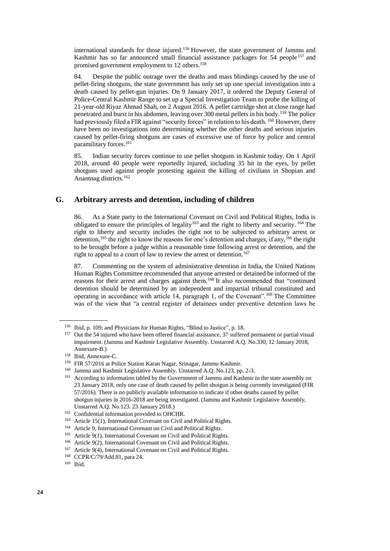international standards for those injured.<sup>156</sup> However, the state government of Jammu and Kashmir has so far announced small financial assistance packages for 54 people<sup>157</sup> and promised government employment to 12 others.<sup>158</sup>

84. Despite the public outrage over the deaths and mass blindings caused by the use of pellet-firing shotguns, the state government has only set up one special investigation into a death caused by pellet-gun injuries. On 9 January 2017, it ordered the Deputy General of Police-Central Kashmir Range to set up a Special Investigation Team to probe the killing of 21-year-old Riyaz Ahmad Shah, on 2 August 2016. A pellet cartridge shot at close range had penetrated and burst in his abdomen, leaving over 300 metal pellets in his body.<sup>159</sup> The police had previously filed a FIR against "security forces" in relation to his death. <sup>160</sup> However, there have been no investigations into determining whether the other deaths and serious injuries caused by pellet-firing shotguns are cases of excessive use of force by police and central paramilitary forces.<sup>161</sup>

85. Indian security forces continue to use pellet shotguns in Kashmir today. On 1 April 2018, around 40 people were reportedly injured, including 35 hit in the eyes, by pellet shotguns used against people protesting against the killing of civilians in Shopian and Anantnag districts.<sup>162</sup>

## **G. Arbitrary arrests and detention, including of children**

86. As a State party to the International Covenant on Civil and Political Rights, India is obligated to ensure the principles of legality<sup>163</sup> and the right to liberty and security. <sup>164</sup> The right to liberty and security includes the right not to be subjected to arbitrary arrest or detention,<sup>165</sup> the right to know the reasons for one's detention and charges, if any,<sup>166</sup> the right to be brought before a judge within a reasonable time following arrest or detention, and the right to appeal to a court of law to review the arrest or detention.<sup>167</sup>

87. Commenting on the system of administrative detention in India, the United Nations Human Rights Committee recommended that anyone arrested or detained be informed of the reasons for their arrest and charges against them.<sup>168</sup> It also recommended that "continued detention should be determined by an independent and impartial tribunal constituted and operating in accordance with article 14, paragraph 1, of the Covenant".<sup>169</sup> The Committee was of the view that "a central register of detainees under preventive detention laws be

<sup>156</sup> Ibid, p. 109; and Physicians for Human Rights, ["Blind to Justice"](http://phr.org/kashmir), p. 18.

<sup>157</sup> Out the 54 injured who have been offered financial assistance, 37 suffered permanent or partial visual impairment. (Jammu and Kashmir Legislative Assembly. Unstarred A.Q. No.330, 12 January 2018, Annexure-B.)

<sup>158</sup> Ibid, Annexure-C.

<sup>159</sup> FIR 57/2016 at Police Station Karan Nagar, Srinagar, Jammu Kashmir.

<sup>&</sup>lt;sup>160</sup> Jammu and Kashmir Legislative Assembly. Unstarred A.Q. No.123, pp. 2-3.

<sup>&</sup>lt;sup>161</sup> According to information tabled by the Government of Jammu and Kashmir in the state assembly on 23 January 2018, only one case of death caused by pellet shotgun is being currently investigated (FIR 57/2016). There is no publicly available information to indicate if other deaths caused by pellet shotgun injuries in 2016-2018 are being investigated. (Jammu and Kashmir Legislative Assembly, Unstarred A.Q. No.123. 23 January 2018.)

<sup>162</sup> Confidential information provided to OHCHR.

<sup>163</sup> Article 15(1), International Covenant on Civil and Political Rights.

<sup>164</sup> Article 9, International Covenant on Civil and Political Rights.

<sup>165</sup> Article 9(1), International Covenant on Civil and Political Rights.

<sup>166</sup> Article 9(2), International Covenant on Civil and Political Rights.

<sup>167</sup> Article 9(4), International Covenant on Civil and Political Rights.

<sup>168</sup> CCPR/C/79/Add.81, para 24.

<sup>169</sup> Ibid.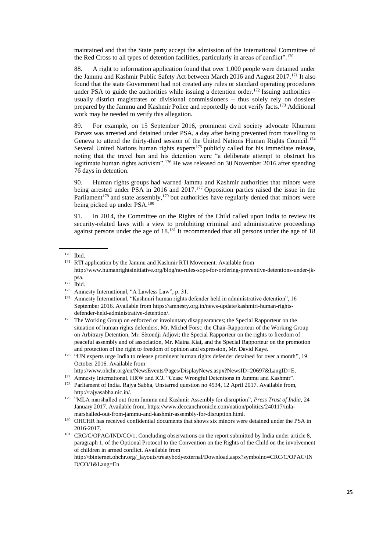maintained and that the State party accept the admission of the International Committee of the Red Cross to all types of detention facilities, particularly in areas of conflict".<sup>170</sup>

88. A right to information application found that over 1,000 people were detained under the Jammu and Kashmir Public Safety Act between March 2016 and August 2017.<sup>171</sup> It also found that the state Government had not created any rules or standard operating procedures under PSA to guide the authorities while issuing a detention order.<sup>172</sup> Issuing authorities – usually district magistrates or divisional commissioners – thus solely rely on dossiers prepared by the Jammu and Kashmir Police and reportedly do not verify facts.<sup>173</sup> Additional work may be needed to verify this allegation.

89. For example, on 15 September 2016, prominent civil society advocate Khurram Parvez was arrested and detained under PSA, a day after being prevented from travelling to Geneva to attend the thirty-third session of the United Nations Human Rights Council.<sup>174</sup> Several United Nations human rights experts<sup>175</sup> publicly called for his immediate release, noting that the travel ban and his detention were "a deliberate attempt to obstruct his legitimate human rights activism".<sup>176</sup> He was released on 30 November 2016 after spending 76 days in detention.

90. Human rights groups had warned Jammu and Kashmir authorities that minors were being arrested under PSA in 2016 and 2017.<sup>177</sup> Opposition parties raised the issue in the Parliament<sup>178</sup> and state assembly,<sup>179</sup> but authorities have regularly denied that minors were being picked up under PSA.<sup>180</sup>

91. In 2014, the Committee on the Rights of the Child called upon India to review its security-related laws with a view to prohibiting criminal and administrative proceedings against persons under the age of  $18.^{181}$  It recommended that all persons under the age of 18

<sup>170</sup> Ibid.

<sup>&</sup>lt;sup>171</sup> RTI application by the Jammu and Kashmir RTI Movement. Available from [http://www.humanrightsinitiative.org/blog/no-rules-sops-for-ordering-preventive-detentions-under-jk](http://www.humanrightsinitiative.org/blog/no-rules-sops-for-ordering-preventive-detentions-under-jk-psa)[psa.](http://www.humanrightsinitiative.org/blog/no-rules-sops-for-ordering-preventive-detentions-under-jk-psa) 

 $\frac{172}{173}$  Ibid.

Amnesty International, "A Lawless Law", p. 31.

<sup>174</sup> Amnesty International, "Kashmiri human rights defender held in administrative detention", 16 September 2016. Available fro[m https://amnesty.org.in/news-update/kashmiri-human-rights](https://amnesty.org.in/news-update/kashmiri-human-rights-defender-held-administrative-detention/)[defender-held-administrative-detention/.](https://amnesty.org.in/news-update/kashmiri-human-rights-defender-held-administrative-detention/)

<sup>&</sup>lt;sup>175</sup> The Working Group on enforced or involuntary disappearances; the Special Rapporteur on the situation of human rights defenders, Mr. Michel Forst; the Chair-Rapporteur of the Working Group on Arbitrary Detention, Mr. Sètondji Adjovi; the Special Rapporteur on the rights to freedom of peaceful assembly and of association, Mr. Maina Kiai**,** and the Special Rapporteur on the promotion and protection of the right to freedom of opinion and expression**,** Mr. David Kaye.

<sup>&</sup>lt;sup>176</sup> "UN experts urge India to release prominent human rights defender detained for over a month", 19 October 2016. Available from

[http://www.ohchr.org/en/NewsEvents/Pages/DisplayNews.aspx?NewsID=20697&LangID=E.](http://www.ohchr.org/en/NewsEvents/Pages/DisplayNews.aspx?NewsID=20697&LangID=E)

<sup>&</sup>lt;sup>177</sup> Amnesty International, HRW and ICJ, "Cease Wrongful Detentions in Jammu and Kashmir".

<sup>&</sup>lt;sup>178</sup> Parliament of India. Rajya Sabha, Unstarred question no 4534, 12 April 2017. Available from, [http://rajyasabha.nic.in/.](http://rajyasabha.nic.in/)

<sup>&</sup>lt;sup>179</sup> "MLA marshalled out from Jammu and Kashmir Assembly for disruption", *Press Trust of India*, 24 January 2017. Available from, [https://www.deccanchronicle.com/nation/politics/240117/mla](https://www.deccanchronicle.com/nation/politics/240117/mla-marshalled-out-from-jammu-and-kashmir-assembly-for-disruption.html)[marshalled-out-from-jammu-and-kashmir-assembly-for-disruption.html.](https://www.deccanchronicle.com/nation/politics/240117/mla-marshalled-out-from-jammu-and-kashmir-assembly-for-disruption.html)

<sup>&</sup>lt;sup>180</sup> OHCHR has received confidential documents that shows six minors were detained under the PSA in 2016-2017.

<sup>&</sup>lt;sup>181</sup> CRC/C/OPAC/IND/CO/1, Concluding observations on the report submitted by India under article 8, paragraph 1, of the Optional Protocol to the Convention on the Rights of the Child on the involvement of children in armed conflict. Available from

http://tbinternet.ohchr.org/\_layouts/treatybodyexternal/Download.aspx?symbolno=CRC/C/OPAC/IN D/CO/1&Lang=En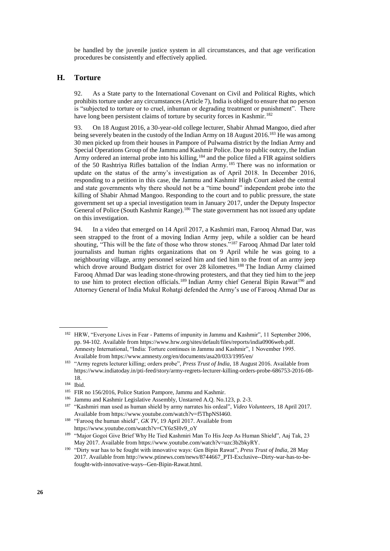be handled by the juvenile justice system in all circumstances, and that age verification procedures be consistently and effectively applied.

#### **H. Torture**

92. As a State party to the International Covenant on Civil and Political Rights, which prohibits torture under any circumstances (Article 7), India is obliged to ensure that no person is "subjected to torture or to cruel, inhuman or degrading treatment or punishment". There have long been persistent claims of torture by security forces in Kashmir.<sup>182</sup>

93. On 18 August 2016, a 30-year-old college lecturer, Shabir Ahmad Mangoo, died after being severely beaten in the custody of the Indian Army on 18 August 2016.<sup>183</sup> He was among 30 men picked up from their houses in Pampore of Pulwama district by the Indian Army and Special Operations Group of the Jammu and Kashmir Police. Due to public outcry, the Indian Army ordered an internal probe into his killing,<sup>184</sup> and the police filed a FIR against soldiers of the 50 Rashtriya Rifles battalion of the Indian Army. <sup>185</sup> There was no information or update on the status of the army's investigation as of April 2018. In December 2016, responding to a petition in this case, the Jammu and Kashmir High Court asked the central and state governments why there should not be a "time bound" independent probe into the killing of Shabir Ahmad Mangoo. Responding to the court and to public pressure, the state government set up a special investigation team in January 2017, under the Deputy Inspector General of Police (South Kashmir Range).<sup>186</sup> The state government has not issued any update on this investigation.

94. In a video that emerged on 14 April 2017, a Kashmiri man, Farooq Ahmad Dar, was seen strapped to the front of a moving Indian Army jeep, while a soldier can be heard shouting, "This will be the fate of those who throw stones."<sup>187</sup> Farooq Ahmad Dar later told journalists and human rights organizations that on 9 April while he was going to a neighbouring village, army personnel seized him and tied him to the front of an army jeep which drove around Budgam district for over 28 kilometres.<sup>188</sup> The Indian Army claimed Farooq Ahmad Dar was leading stone-throwing protesters, and that they tied him to the jeep to use him to protect election officials.<sup>189</sup> Indian Army chief General Bipin Rawat<sup>190</sup> and Attorney General of India Mukul Rohatgi defended the Army's use of Farooq Ahmad Dar as

- <sup>186</sup> Jammu and Kashmir Legislative Assembly, Unstarred A.Q. No.123, p. 2-3.<br><sup>187</sup> "Kashmiri man used as human shield by army narrates his ordeal" *Video V*
- <sup>187</sup> "Kashmiri man used as human shield by army narrates his ordeal", *Video Volunteers*, 18 April 2017. Available fro[m https://www.youtube.com/watch?v=f5ThpNSI460.](https://www.youtube.com/watch?v=f5ThpNSI460)
- <sup>188</sup> "Farooq the human shield", *GK TV*, 19 April 2017. Available from [https://www.youtube.com/watch?v=CY6zSHv9\\_oY](https://www.youtube.com/watch?v=CY6zSHv9_oY)

<sup>182</sup> HRW, "Everyone Lives in Fear - Patterns of impunity in Jammu and Kashmir", 11 September 2006, pp. 94-102. Available from [https://www.hrw.org/sites/default/files/reports/india0906web.pdf.](https://www.hrw.org/sites/default/files/reports/india0906web.pdf) Amnesty International, "India: Torture continues in Jammu and Kashmir", 1 November 1995. Available fro[m https://www.amnesty.org/en/documents/asa20/033/1995/en/](https://www.amnesty.org/en/documents/asa20/033/1995/en/) 

<sup>183</sup> "Army regrets lecturer killing; orders probe", *Press Trust of India*, 18 August 2016. Available from https://www.indiatoday.in/pti-feed/story/army-regrets-lecturer-killing-orders-probe-686753-2016-08- 18.

<sup>184</sup> Ibid.

<sup>185</sup> FIR no 156/2016, Police Station Pampore, Jammu and Kashmir.

<sup>&</sup>lt;sup>189</sup> "Major Gogoi Give Brief Why He Tied Kashmiri Man To His Jeep As Human Shield", Aaj Tak, 23 May 2017. Available fro[m https://www.youtube.com/watch?v=uzc3b2bkyRY.](https://www.youtube.com/watch?v=uzc3b2bkyRY)

<sup>190</sup> "Dirty war has to be fought with innovative ways: Gen Bipin Rawat", *Press Trust of India*, 28 May 2017. Available from [http://www.ptinews.com/news/8744667\\_PTI-Exclusive--Dirty-war-has-to-be](http://www.ptinews.com/news/8744667_PTI-Exclusive--Dirty-war-has-to-be-fought-with-innovative-ways--Gen-Bipin-Rawat.html)[fought-with-innovative-ways--Gen-Bipin-Rawat.html.](http://www.ptinews.com/news/8744667_PTI-Exclusive--Dirty-war-has-to-be-fought-with-innovative-ways--Gen-Bipin-Rawat.html)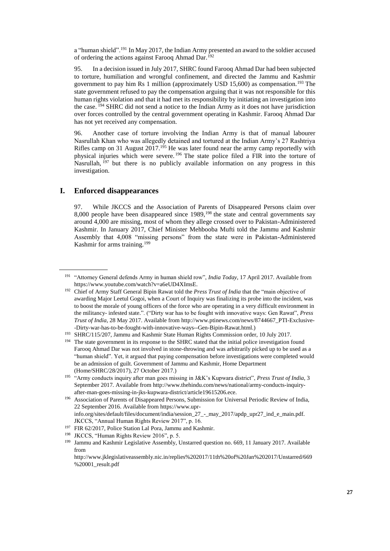a "human shield".<sup>191</sup> In May 2017, the Indian Army presented an award to the soldier accused of ordering the actions against Farooq Ahmad Dar.<sup>192</sup>

95. In a decision issued in July 2017, SHRC found Farooq Ahmad Dar had been subjected to torture, humiliation and wrongful confinement, and directed the Jammu and Kashmir government to pay him Rs 1 million (approximately USD 15,600) as compensation.<sup>193</sup> The state government refused to pay the compensation arguing that it was not responsible for this human rights violation and that it had met its responsibility by initiating an investigation into the case. <sup>194</sup> SHRC did not send a notice to the Indian Army as it does not have jurisdiction over forces controlled by the central government operating in Kashmir. Farooq Ahmad Dar has not yet received any compensation.

96. Another case of torture involving the Indian Army is that of manual labourer Nasrullah Khan who was allegedly detained and tortured at the Indian Army's 27 Rashtriya Rifles camp on 31 August 2017.<sup>195</sup> He was later found near the army camp reportedly with physical injuries which were severe. <sup>196</sup> The state police filed a FIR into the torture of Nasrullah, <sup>197</sup> but there is no publicly available information on any progress in this investigation.

## **I. Enforced disappearances**

97. While JKCCS and the Association of Parents of Disappeared Persons claim over 8,000 people have been disappeared since  $1989$ ,  $^{198}$  the state and central governments say around 4,000 are missing, most of whom they allege crossed over to Pakistan-Administered Kashmir. In January 2017, Chief Minister Mehbooba Mufti told the Jammu and Kashmir Assembly that 4,008 "missing persons" from the state were in Pakistan-Administered Kashmir for arms training.<sup>199</sup>

<sup>191</sup> "Attorney General defends Army in human shield row", *India Today*, 17 April 2017. Available from [https://www.youtube.com/watch?v=a6eUD4XImsE.](https://www.youtube.com/watch?v=a6eUD4XImsE)

<sup>&</sup>lt;sup>192</sup> Chief of Army Staff General Bipin Rawat told the *Press Trust of India* that the "main objective of awarding Major Leetul Gogoi, when a Court of Inquiry was finalizing its probe into the incident, was to boost the morale of young officers of the force who are operating in a very difficult environment in the militancy- infested state.". ("Dirty war has to be fought with innovative ways: Gen Rawat", *Press Trust of India*, 28 May 2017. Available from [http://www.ptinews.com/news/8744667\\_PTI-Exclusive-](http://www.ptinews.com/news/8744667_PTI-Exclusive--Dirty-war-has-to-be-fought-with-innovative-ways--Gen-Bipin-Rawat.html) [-Dirty-war-has-to-be-fought-with-innovative-ways--Gen-Bipin-Rawat.html.](http://www.ptinews.com/news/8744667_PTI-Exclusive--Dirty-war-has-to-be-fought-with-innovative-ways--Gen-Bipin-Rawat.html))

<sup>193</sup> SHRC/115/207, Jammu and Kashmir State Human Rights Commission order, 10 July 2017.

<sup>&</sup>lt;sup>194</sup> The state government in its response to the SHRC stated that the initial police investigation found Farooq Ahmad Dar was not involved in stone-throwing and was arbitrarily picked up to be used as a "human shield". Yet, it argued that paying compensation before investigations were completed would be an admission of guilt. Government of Jammu and Kashmir, Home Department (Home/SHRC/28/2017), 27 October 2017.)

<sup>&</sup>lt;sup>195</sup> "Army conducts inquiry after man goes missing in J&K's Kupwara district", *Press Trust of India*, 3 September 2017. Available fro[m http://www.thehindu.com/news/national/army-conducts-inquiry](http://www.thehindu.com/news/national/army-conducts-inquiry-after-man-goes-missing-in-jks-kupwara-district/article19615206.ece)[after-man-goes-missing-in-jks-kupwara-district/article19615206.ece.](http://www.thehindu.com/news/national/army-conducts-inquiry-after-man-goes-missing-in-jks-kupwara-district/article19615206.ece) 

<sup>196</sup> Association of Parents of Disappeared Persons, Submission for Universal Periodic Review of India, 22 September 2016. Available from [https://www.upr](https://www.upr-info.org/sites/default/files/document/india/session_27_-_may_2017/apdp_upr27_ind_e_main.pdf)[info.org/sites/default/files/document/india/session\\_27\\_-\\_may\\_2017/apdp\\_upr27\\_ind\\_e\\_main.pdf.](https://www.upr-info.org/sites/default/files/document/india/session_27_-_may_2017/apdp_upr27_ind_e_main.pdf)  JKCCS, "Annual Human Rights Review 2017", p. 16.

<sup>197</sup> FIR 62/2017, Police Station Lal Pora, Jammu and Kashmir.

<sup>198</sup> JKCCS, "Human Rights Review 2016", p. 5.

<sup>199</sup> Jammu and Kashmir Legislative Assembly, Unstarred question no. 669, 11 January 2017. Available from

[http://www.jklegislativeassembly.nic.in/replies%202017/11th%20of%20Jan%202017/Unstarred/669](http://www.jklegislativeassembly.nic.in/replies%202017/11th%20of%20Jan%202017/Unstarred/669%20001_result.pdf) [%20001\\_result.pdf](http://www.jklegislativeassembly.nic.in/replies%202017/11th%20of%20Jan%202017/Unstarred/669%20001_result.pdf)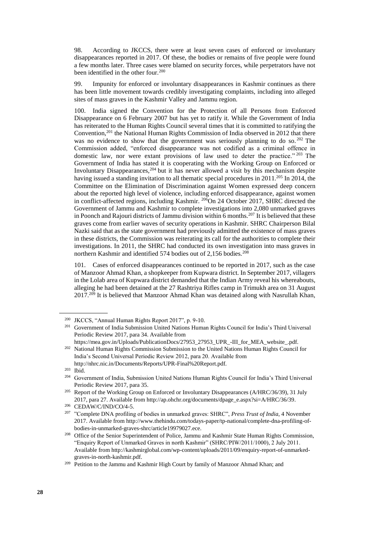98. According to JKCCS, there were at least seven cases of enforced or involuntary disappearances reported in 2017. Of these, the bodies or remains of five people were found a few months later. Three cases were blamed on security forces, while perpetrators have not been identified in the other four.<sup>200</sup>

99. Impunity for enforced or involuntary disappearances in Kashmir continues as there has been little movement towards credibly investigating complaints, including into alleged sites of mass graves in the Kashmir Valley and Jammu region.

100. India signed the Convention for the Protection of all Persons from Enforced Disappearance on 6 February 2007 but has yet to ratify it. While the Government of India has reiterated to the Human Rights Council several times that it is committed to ratifying the Convention,<sup>201</sup> the National Human Rights Commission of India observed in 2012 that there was no evidence to show that the government was seriously planning to do so.<sup>202</sup> The Commission added, "enforced disappearance was not codified as a criminal offence in domestic law, nor were extant provisions of law used to deter the practice." <sup>203</sup> The Government of India has stated it is cooperating with the Working Group on Enforced or Involuntary Disappearances,<sup>204</sup> but it has never allowed a visit by this mechanism despite having issued a standing invitation to all thematic special procedures in  $2011^{205}$  In 2014, the Committee on the Elimination of Discrimination against Women expressed deep concern about the reported high level of violence, including enforced disappearance, against women in conflict-affected regions, including Kashmir. <sup>206</sup>On 24 October 2017, SHRC directed the Government of Jammu and Kashmir to complete investigations into 2,080 unmarked graves in Poonch and Rajouri districts of Jammu division within 6 months.<sup>207</sup> It is believed that these graves come from earlier waves of security operations in Kashmir. SHRC Chairperson Bilal Nazki said that as the state government had previously admitted the existence of mass graves in these districts, the Commission was reiterating its call for the authorities to complete their investigations. In 2011, the SHRC had conducted its own investigation into mass graves in northern Kashmir and identified 574 bodies out of 2,156 bodies.<sup>208</sup>

101. Cases of enforced disappearances continued to be reported in 2017, such as the case of Manzoor Ahmad Khan, a shopkeeper from Kupwara district. In September 2017, villagers in the Lolab area of Kupwara district demanded that the Indian Army reveal his whereabouts, alleging he had been detained at the 27 Rashtriya Rifles camp in Trimukh area on 31 August 2017.<sup>209</sup> It is believed that Manzoor Ahmad Khan was detained along with Nasrullah Khan,

<sup>200</sup> JKCCS, "Annual Human Rights Report 2017", p. 9-10.

<sup>&</sup>lt;sup>201</sup> Government of India Submission United Nations Human Rights Council for India's Third Universal Periodic Review 2017, para 34. Available from

[https://mea.gov.in/Uploads/PublicationDocs/27953\\_27953\\_UPR\\_-III\\_for\\_MEA\\_website\\_.pdf.](https://mea.gov.in/Uploads/PublicationDocs/27953_27953_UPR_-III_for_MEA_website_.pdf) <sup>202</sup> National Human Rights Commission Submission to the United Nations Human Rights Council for India's Second Universal Periodic Review 2012, para 20. Available from [http://nhrc.nic.in/Documents/Reports/UPR-Final%20Report.pdf.](http://nhrc.nic.in/Documents/Reports/UPR-Final%20Report.pdf)

<sup>203</sup> Ibid.

<sup>204</sup> Government of India, Submission United Nations Human Rights Council for India's Third Universal Periodic Review 2017, para 35.

<sup>&</sup>lt;sup>205</sup> Report of the Working Group on Enforced or Involuntary Disappearances (A/HRC/36/39), 31 July 2017, para 27. Available from [http://ap.ohchr.org/documents/dpage\\_e.aspx?si=A/HRC/36/39.](http://ap.ohchr.org/documents/dpage_e.aspx?si=A/HRC/36/39)

<sup>206</sup> CEDAW/C/IND/CO/4-5.

<sup>207</sup> "Complete DNA profiling of bodies in unmarked graves: SHRC", *Press Trust of India*, 4 November 2017. Available from http://www.thehindu.com/todays-paper/tp-national/complete-dna-profiling-ofbodies-in-unmarked-graves-shrc/article19979027.ece.

<sup>&</sup>lt;sup>208</sup> Office of the Senior Superintendent of Police, Jammu and Kashmir State Human Rights Commission, "Enquiry Report of Unmarked Graves in north Kashmir" (SHRC/PIW/2011/1000), 2 July 2011. Available fro[m http://kashmirglobal.com/wp-content/uploads/2011/09/enquiry-report-of-unmarked](http://kashmirglobal.com/wp-content/uploads/2011/09/enquiry-report-of-unmarked-graves-in-north-kashmir.pdf)[graves-in-north-kashmir.pdf.](http://kashmirglobal.com/wp-content/uploads/2011/09/enquiry-report-of-unmarked-graves-in-north-kashmir.pdf)

<sup>&</sup>lt;sup>209</sup> Petition to the Jammu and Kashmir High Court by family of Manzoor Ahmad Khan; and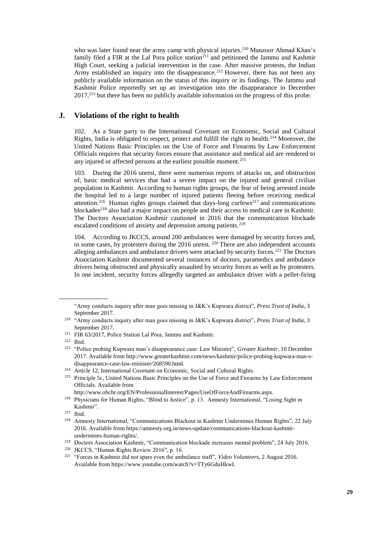who was later found near the army camp with physical injuries.<sup>210</sup> Manzoor Ahmad Khan's family filed a FIR at the Lal Pora police station<sup>211</sup> and petitioned the Jammu and Kashmir High Court, seeking a judicial intervention in the case. After massive protests, the Indian Army established an inquiry into the disappearance.<sup>212</sup> However, there has not been any publicly available information on the status of this inquiry or its findings. The Jammu and Kashmir Police reportedly set up an investigation into the disappearance in December 2017,<sup>213</sup> but there has been no publicly available information on the progress of this probe.

#### **J. Violations of the right to health**

102. As a State party to the International Covenant on Economic, Social and Cultural Rights, India is obligated to respect, protect and fulfill the right to health.<sup>214</sup> Moreover, the United Nations Basic Principles on the Use of Force and Firearms by Law Enforcement Officials requires that security forces ensure that assistance and medical aid are rendered to any injured or affected persons at the earliest possible moment.<sup>215</sup>

103. During the 2016 unrest, there were numerous reports of attacks on, and obstruction of, basic medical services that had a severe impact on the injured and general civilian population in Kashmir. According to human rights groups, the fear of being arrested inside the hospital led to a large number of injured patients fleeing before receiving medical attention.<sup>216</sup> Human rights groups claimed that days-long curfews<sup>217</sup> and communications blockades<sup>218</sup> also had a major impact on people and their access to medical care in Kashmir. The Doctors Association Kashmir cautioned in 2016 that the communication blockade escalated conditions of anxiety and depression among patients.<sup>219</sup>

104. According to JKCCS, around 200 ambulances were damaged by security forces and, in some cases, by protesters during the 2016 unrest. <sup>220</sup> There are also independent accounts alleging ambulances and ambulance drivers were attacked by security forces.<sup>221</sup> The Doctors Association Kashmir documented several instances of doctors, paramedics and ambulance drivers being obstructed and physically assaulted by security forces as well as by protesters. In one incident, security forces allegedly targeted an ambulance driver with a pellet-firing

<sup>&</sup>quot;Army conducts inquiry after man goes missing in J&K's Kupwara district", *Press Trust of India*, 3 September 2017.

<sup>210</sup> "Army conducts inquiry after man goes missing in J&K's Kupwara district", *Press Trust of India*, 3 September 2017.

<sup>211</sup> FIR 63/2017, Police Station Lal Pora, Jammu and Kashmir.

<sup>212</sup> Ibid.

<sup>213</sup> "Police probing Kupwara man's disappearance case: Law Minister", *Greater Kashmir*, 10 December 2017. Available from [http://www.greaterkashmir.com/news/kashmir/police-probing-kupwara-man-s](http://www.greaterkashmir.com/news/kashmir/police-probing-kupwara-man-s-disappearance-case-law-minister/268590.html)[disappearance-case-law-minister/268590.html.](http://www.greaterkashmir.com/news/kashmir/police-probing-kupwara-man-s-disappearance-case-law-minister/268590.html) 

<sup>&</sup>lt;sup>214</sup> Article 12, International Covenant on Economic, Social and Cultural Rights.

<sup>215</sup> Principle 5c, United Nations Basic Principles on the Use of Force and Firearms by Law Enforcement Officials. Available from

[http://www.ohchr.org/EN/ProfessionalInterest/Pages/UseOfForceAndFirearms.aspx.](http://www.ohchr.org/EN/ProfessionalInterest/Pages/UseOfForceAndFirearms.aspx)

<sup>&</sup>lt;sup>216</sup> Physicians for Human Rights, "Blind to Justice", p. 13. Amnesty International, "Losing Sight in Kashmir".

<sup>217</sup> Ibid.

<sup>218</sup> Amnesty International, "Communications Blackout in Kashmir Undermines Human Rights", 22 July 2016. Available from [https://amnesty.org.in/news-update/communications-blackout-kashmir](https://amnesty.org.in/news-update/communications-blackout-kashmir-undermines-human-rights/)[undermines-human-rights/.](https://amnesty.org.in/news-update/communications-blackout-kashmir-undermines-human-rights/)

<sup>219</sup> Doctors Association Kashmir, "Communication blockade increases mental problem", 24 July 2016.

<sup>220</sup> JKCCS, "Human Rights Review 2016", p. 16.

<sup>221</sup> "Forces in Kashmir did not spare even the ambulance staff", *Video Volunteers*, 2 August 2016. Available fro[m https://www.youtube.com/watch?v=TTy6GduHkwI.](https://www.youtube.com/watch?v=TTy6GduHkwI)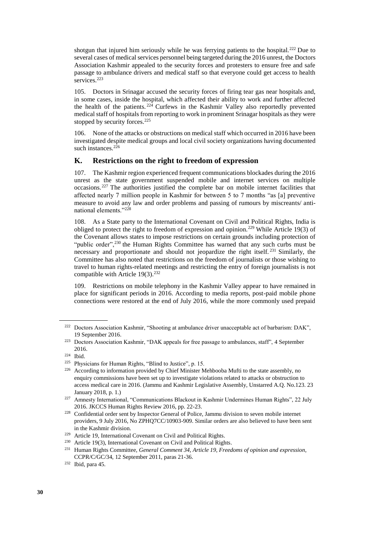shotgun that injured him seriously while he was ferrying patients to the hospital.<sup>222</sup> Due to several cases of medical services personnel being targeted during the 2016 unrest, the Doctors Association Kashmir appealed to the security forces and protesters to ensure free and safe passage to ambulance drivers and medical staff so that everyone could get access to health services.<sup>223</sup>

105. Doctors in Srinagar accused the security forces of firing tear gas near hospitals and, in some cases, inside the hospital, which affected their ability to work and further affected the health of the patients.<sup>224</sup> Curfews in the Kashmir Valley also reportedly prevented medical staff of hospitals from reporting to work in prominent Srinagar hospitals as they were stopped by security forces.<sup>225</sup>

106. None of the attacks or obstructions on medical staff which occurred in 2016 have been investigated despite medical groups and local civil society organizations having documented such instances.<sup>226</sup>

#### **K. Restrictions on the right to freedom of expression**

107. The Kashmir region experienced frequent communications blockades during the 2016 unrest as the state government suspended mobile and internet services on multiple occasions. <sup>227</sup> The authorities justified the complete bar on mobile internet facilities that affected nearly 7 million people in Kashmir for between 5 to 7 months "as [a] preventive measure to avoid any law and order problems and passing of rumours by miscreants/ antinational elements."<sup>228</sup>

108. As a State party to the International Covenant on Civil and Political Rights, India is obliged to protect the right to freedom of expression and opinion.<sup>229</sup> While Article 19(3) of the Covenant allows states to impose restrictions on certain grounds including protection of "public order", $230$  the Human Rights Committee has warned that any such curbs must be necessary and proportionate and should not jeopardize the right itself. <sup>231</sup> Similarly, the Committee has also noted that restrictions on the freedom of journalists or those wishing to travel to human rights-related meetings and restricting the entry of foreign journalists is not compatible with Article 19(3).<sup>232</sup>

109. Restrictions on mobile telephony in the Kashmir Valley appear to have remained in place for significant periods in 2016. According to media reports, post-paid mobile phone connections were restored at the end of July 2016, while the more commonly used prepaid

<sup>222</sup> Doctors Association Kashmir, "Shooting at ambulance driver unacceptable act of barbarism: DAK", 19 September 2016.

<sup>223</sup> Doctors Association Kashmir, "DAK appeals for free passage to ambulances, staff", 4 September 2016.

<sup>224</sup> Ibid.

<sup>225</sup> Physicians for Human Rights, "Blind to Justice", p. 15.

<sup>&</sup>lt;sup>226</sup> According to information provided by Chief Minister Mehbooba Mufti to the state assembly, no enquiry commissions have been set up to investigate violations related to attacks or obstruction to access medical care in 2016. (Jammu and Kashmir Legislative Assembly, Unstarred A.Q. No.123. 23 January 2018, p. 1.)

<sup>&</sup>lt;sup>227</sup> Amnesty International, "Communications Blackout in Kashmir Undermines Human Rights", 22 July 2016. JKCCS Human Rights Review 2016, pp. 22-23.

<sup>228</sup> Confidential order sent by Inspector General of Police, Jammu division to seven mobile internet providers, 9 July 2016, No ZPHQ7CC/10903-909. Similar orders are also believed to have been sent in the Kashmir division.

<sup>229</sup> Article 19, International Covenant on Civil and Political Rights.

<sup>230</sup> Article 19(3), International Covenant on Civil and Political Rights.

<sup>231</sup> Human Rights Committee, *General Comment 34, Article 19, Freedoms of opinion and expression*, CCPR/C/GC/34, 12 September 2011, paras 21-36.

<sup>232</sup> Ibid, para 45.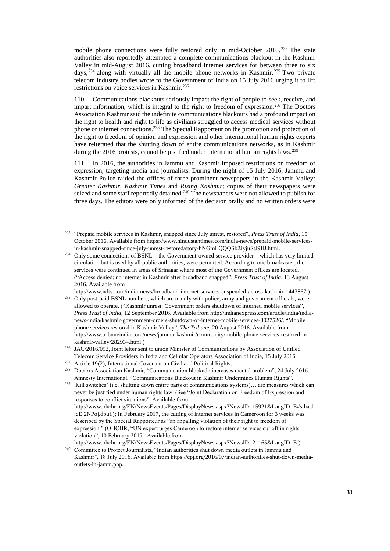mobile phone connections were fully restored only in mid-October 2016. <sup>233</sup> The state authorities also reportedly attempted a complete communications blackout in the Kashmir Valley in mid-August 2016, cutting broadband internet services for between three to six days, <sup>234</sup> along with virtually all the mobile phone networks in Kashmir. <sup>235</sup> Two private telecom industry bodies wrote to the Government of India on 15 July 2016 urging it to lift restrictions on voice services in Kashmir.<sup>236</sup>

110. Communications blackouts seriously impact the right of people to seek, receive, and impart information, which is integral to the right to freedom of expression.<sup>237</sup> The Doctors Association Kashmir said the indefinite communications blackouts had a profound impact on the right to health and right to life as civilians struggled to access medical services without phone or internet connections.<sup>238</sup> The Special Rapporteur on the promotion and protection of the right to freedom of opinion and expression and other international human rights experts have reiterated that the shutting down of entire communications networks, as in Kashmir during the 2016 protests, cannot be justified under international human rights laws.<sup>239</sup>

111. In 2016, the authorities in Jammu and Kashmir imposed restrictions on freedom of expression, targeting media and journalists. During the night of 15 July 2016, Jammu and Kashmir Police raided the offices of three prominent newspapers in the Kashmir Valley: *Greater Kashmir*, *Kashmir Times* and *Rising Kashmir*; copies of their newspapers were seized and some staff reportedly detained.<sup>240</sup> The newspapers were not allowed to publish for three days. The editors were only informed of the decision orally and no written orders were

[http://www.ndtv.com/india-news/broadband-internet-services-suspended-across-kashmir-1443867.](http://www.ndtv.com/india-news/broadband-internet-services-suspended-across-kashmir-1443867))

<sup>233</sup> "Prepaid mobile services in Kashmir, snapped since July unrest, restored", *Press Trust of India*, 15 October 2016. Available from [https://www.hindustantimes.com/india-news/prepaid-mobile-services](https://www.hindustantimes.com/india-news/prepaid-mobile-services-in-kashmir-snapped-since-july-unrest-restored/story-hNGmLQQQSb2JyjuStJ9IlJ.html)[in-kashmir-snapped-since-july-unrest-restored/story-hNGmLQQQSb2JyjuStJ9IlJ.html.](https://www.hindustantimes.com/india-news/prepaid-mobile-services-in-kashmir-snapped-since-july-unrest-restored/story-hNGmLQQQSb2JyjuStJ9IlJ.html) 

<sup>&</sup>lt;sup>234</sup> Only some connections of BSNL – the Government-owned service provider – which has very limited circulation but is used by all public authorities, were permitted. According to one broadcaster, the services were continued in areas of Srinagar where most of the Government offices are located. ("Access denied: no internet in Kashmir after broadband snapped", *Press Trust of India*, 13 August 2016. Available from

<sup>&</sup>lt;sup>235</sup> Only post-paid BSNL numbers, which are mainly with police, army and government officials, were allowed to operate. ("Kashmir unrest: Government orders shutdown of internet, mobile services", *Press Trust of India*, 12 September 2016. Available from [http://indianexpress.com/article/india/india](http://indianexpress.com/article/india/india-news-india/kashmir-government-orders-shutdown-of-internet-mobile-services-3027526/)[news-india/kashmir-government-orders-shutdown-of-internet-mobile-services-3027526/](http://indianexpress.com/article/india/india-news-india/kashmir-government-orders-shutdown-of-internet-mobile-services-3027526/). "Mobile phone services restored in Kashmir Valley", *The Tribune,* 20 August 2016. Available from [http://www.tribuneindia.com/news/jammu-kashmir/community/mobile-phone-services-restored-in](http://www.tribuneindia.com/news/jammu-kashmir/community/mobile-phone-services-restored-in-kashmir-valley/282934.html)[kashmir-valley/282934.html.\)](http://www.tribuneindia.com/news/jammu-kashmir/community/mobile-phone-services-restored-in-kashmir-valley/282934.html)

<sup>236</sup> JAC/2016/092, Joint letter sent to union Minister of Communications by Association of Unified Telecom Service Providers in India and Cellular Operators Association of India, 15 July 2016.

<sup>237</sup> Article 19(2), International Covenant on Civil and Political Rights.

<sup>238</sup> Doctors Association Kashmir, "Communication blockade increases mental problem", 24 July 2016. Amnesty International, "Communications Blackout in Kashmir Undermines Human Rights".

<sup>239</sup> 'Kill switches' (i.e. shutting down entire parts of communications systems)… are measures which can never be justified under human rights law. (See "Joint Declaration on Freedom of Expression and responses to conflict situations". Available from [http://www.ohchr.org/EN/NewsEvents/Pages/DisplayNews.aspx?NewsID=15921&LangID=E#sthash](http://www.ohchr.org/EN/NewsEvents/Pages/DisplayNews.aspx?NewsID=15921&LangID=E#sthash.qEj2NPoj.dpuf) [.qEj2NPoj.dpuf.](http://www.ohchr.org/EN/NewsEvents/Pages/DisplayNews.aspx?NewsID=15921&LangID=E#sthash.qEj2NPoj.dpuf)); In February 2017, the cutting of internet services in Cameroon for 3 weeks was described by the Special Rapporteur as "an appalling violation of their right to freedom of expression." (OHCHR, "UN expert urges Cameroon to restore internet services cut off in rights violation", 10 February 2017. Available from [http://www.ohchr.org/EN/NewsEvents/Pages/DisplayNews.aspx?NewsID=21165&LangID=E.\)](http://www.ohchr.org/EN/NewsEvents/Pages/DisplayNews.aspx?NewsID=21165&LangID=E)

<sup>&</sup>lt;sup>240</sup> Committee to Protect Journalists, "Indian authorities shut down media outlets in Jammu and Kashmir", 18 July 2016. Available from [https://cpj.org/2016/07/indian-authorities-shut-down-media](https://cpj.org/2016/07/indian-authorities-shut-down-media-outlets-in-jamm.php)[outlets-in-jamm.php.](https://cpj.org/2016/07/indian-authorities-shut-down-media-outlets-in-jamm.php)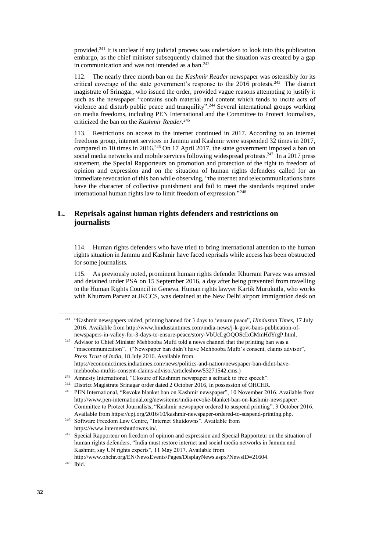provided.<sup>241</sup> It is unclear if any judicial process was undertaken to look into this publication embargo, as the chief minister subsequently claimed that the situation was created by a gap in communication and was not intended as a ban. $242$ 

112. The nearly three month ban on the *Kashmir Reader* newspaper was ostensibly for its critical coverage of the state government's response to the  $2016$  protests.<sup>243</sup> The district magistrate of Srinagar, who issued the order, provided vague reasons attempting to justify it such as the newspaper "contains such material and content which tends to incite acts of violence and disturb public peace and tranquility".<sup>244</sup> Several international groups working on media freedoms, including PEN International and the Committee to Protect Journalists, criticized the ban on the *Kashmir Reader*. 245

113. Restrictions on access to the internet continued in 2017. According to an internet freedoms group, internet services in Jammu and Kashmir were suspended 32 times in 2017, compared to 10 times in 2016.<sup>246</sup> On 17 April 2017, the state government imposed a ban on social media networks and mobile services following widespread protests.<sup>247</sup> In a 2017 press statement, the Special Rapporteurs on promotion and protection of the right to freedom of opinion and expression and on the situation of human rights defenders called for an immediate revocation of this ban while observing, "the internet and telecommunications bans have the character of collective punishment and fail to meet the standards required under international human rights law to limit freedom of expression."<sup>248</sup>

## **L. Reprisals against human rights defenders and restrictions on journalists**

114. Human rights defenders who have tried to bring international attention to the human rights situation in Jammu and Kashmir have faced reprisals while access has been obstructed for some journalists.

115. As previously noted, prominent human rights defender Khurram Parvez was arrested and detained under PSA on 15 September 2016, a day after being prevented from travelling to the Human Rights Council in Geneva. Human rights lawyer Kartik Murukutla, who works with Khurram Parvez at JKCCS, was detained at the New Delhi airport immigration desk on

<sup>241</sup> "Kashmir newspapers raided, printing banned for 3 days to 'ensure peace"*, Hindustan Times*, 17 July 2016. Available from [http://www.hindustantimes.com/india-news/j-k-govt-bans-publication-of](http://www.hindustantimes.com/india-news/j-k-govt-bans-publication-of-newspapers-in-valley-for-3-days-to-ensure-peace/story-VbUcLgOQOScIxCMmHdYrgP.html)[newspapers-in-valley-for-3-days-to-ensure-peace/story-VbUcLgOQOScIxCMmHdYrgP.html.](http://www.hindustantimes.com/india-news/j-k-govt-bans-publication-of-newspapers-in-valley-for-3-days-to-ensure-peace/story-VbUcLgOQOScIxCMmHdYrgP.html)

<sup>&</sup>lt;sup>242</sup> Advisor to Chief Minister Mehbooba Mufti told a news channel that the printing ban was a "miscommunication". ("Newspaper ban didn't have Mehbooba Mufti's consent, claims advisor", *Press Trust of India*, 18 July 2016. Available from [https://economictimes.indiatimes.com/news/politics-and-nation/newspaper-ban-didnt-have](https://economictimes.indiatimes.com/news/politics-and-nation/newspaper-ban-didnt-have-mehbooba-muftis-consent-claims-advisor/articleshow/53271542.cms)[mehbooba-muftis-consent-claims-advisor/articleshow/53271542.cms.\)](https://economictimes.indiatimes.com/news/politics-and-nation/newspaper-ban-didnt-have-mehbooba-muftis-consent-claims-advisor/articleshow/53271542.cms)

<sup>243</sup> Amnesty International, "Closure of Kashmiri newspaper a setback to free speech".

<sup>244</sup> District Magistrate Srinagar order dated 2 October 2016, in possession of OHCHR.

<sup>245</sup> PEN International, "Revoke blanket ban on Kashmir newspaper", 10 November 2016. Available from [http://www.pen-international.org/newsitems/india-revoke-blanket-ban-on-kashmir-newspaper/.](http://www.pen-international.org/newsitems/india-revoke-blanket-ban-on-kashmir-newspaper/) Committee to Protect Journalists, "Kashmir newspaper ordered to suspend printing", 3 October 2016. Available fro[m https://cpj.org/2016/10/kashmir-newspaper-ordered-to-suspend-printing.php.](https://cpj.org/2016/10/kashmir-newspaper-ordered-to-suspend-printing.php)

<sup>246</sup> Software Freedom Law Centre, "Internet Shutdowns". Available from [https://www.internetshutdowns.in/.](https://www.internetshutdowns.in/)

<sup>&</sup>lt;sup>247</sup> Special Rapporteur on freedom of opinion and expression and Special Rapporteur on the situation of human rights defenders, "India must restore internet and social media networks in Jammu and Kashmir, say UN rights experts", 11 May 2017. Available from [http://www.ohchr.org/EN/NewsEvents/Pages/DisplayNews.aspx?NewsID=21604.](http://www.ohchr.org/EN/NewsEvents/Pages/DisplayNews.aspx?NewsID=21604)

<sup>248</sup> Ibid.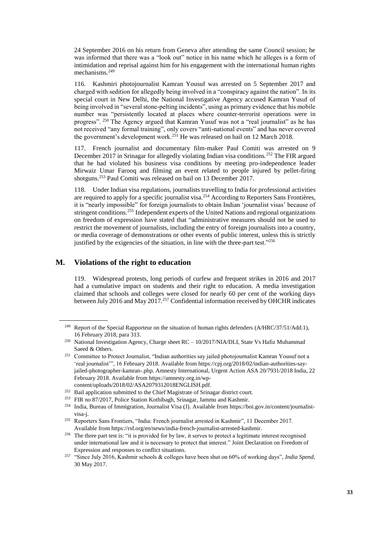24 September 2016 on his return from Geneva after attending the same Council session; he was informed that there was a "look out" notice in his name which he alleges is a form of intimidation and reprisal against him for his engagement with the international human rights mechanisms.<sup>249</sup>

116. Kashmiri photojournalist Kamran Yousuf was arrested on 5 September 2017 and charged with sedition for allegedly being involved in a "conspiracy against the nation". In its special court in New Delhi, the National Investigative Agency accused Kamran Yusuf of being involved in "several stone-pelting incidents", using as primary evidence that his mobile number was "persistently located at places where counter-terrorist operations were in progress". <sup>250</sup> The Agency argued that Kamran Yusuf was not a "real journalist" as he has not received "any formal training", only covers "anti-national events" and has never covered the government's development work.<sup>251</sup> He was released on bail on 12 March 2018.

117. French journalist and documentary film-maker Paul Comiti was arrested on 9 December 2017 in Srinagar for allegedly violating Indian visa conditions.<sup>252</sup> The FIR argued that he had violated his business visa conditions by meeting pro-independence leader Mirwaiz Umar Farooq and filming an event related to people injured by pellet-firing shotguns.<sup>253</sup> Paul Comiti was released on bail on 13 December 2017.

118. Under Indian visa regulations, journalists travelling to India for professional activities are required to apply for a specific journalist visa.<sup>254</sup> According to Reporters Sans Frontières, it is "nearly impossible" for foreign journalists to obtain Indian 'journalist visas' because of stringent conditions.<sup>255</sup> Independent experts of the United Nations and regional organizations on freedom of expression have stated that "administrative measures should not be used to restrict the movement of journalists, including the entry of foreign journalists into a country, or media coverage of demonstrations or other events of public interest, unless this is strictly justified by the exigencies of the situation, in line with the three-part test."<sup>256</sup>

#### **M. Violations of the right to education**

119. Widespread protests, long periods of curfew and frequent strikes in 2016 and 2017 had a cumulative impact on students and their right to education. A media investigation claimed that schools and colleges were closed for nearly 60 per cent of the working days between July 2016 and May 2017.<sup>257</sup> Confidential information received by OHCHR indicates

<sup>&</sup>lt;sup>249</sup> Report of the Special Rapporteur on the situation of human rights defenders (A/HRC/37/51/Add.1), 16 February 2018, para 313.

<sup>250</sup> National Investigation Agency, Charge sheet RC – 10/2017/NIA/DLI, State Vs Hafiz Muhammad Saeed & Others.

<sup>251</sup> Committee to Protect Journalist, "Indian authorities say jailed photojournalist Kamran Yousuf not a 'real journalist'", 16 February 2018. Available from [https://cpj.org/2018/02/indian-authorities-say](https://cpj.org/2018/02/indian-authorities-say-jailed-photographer-kamran-.php)[jailed-photographer-kamran-.php.](https://cpj.org/2018/02/indian-authorities-say-jailed-photographer-kamran-.php) Amnesty International, Urgent Action ASA 20/7931/2018 India, 22 February 2018. Available fro[m https://amnesty.org.in/wp-](https://amnesty.org.in/wp-content/uploads/2018/02/ASA2079312018ENGLISH.pdf)

[content/uploads/2018/02/ASA2079312018ENGLISH.pdf.](https://amnesty.org.in/wp-content/uploads/2018/02/ASA2079312018ENGLISH.pdf)

<sup>&</sup>lt;sup>252</sup> Bail application submitted to the Chief Magistrate of Srinagar district court.

<sup>253</sup> FIR no 87/2017, Police Station Kothibagh, Srinagar, Jammu and Kashmir.

<sup>254</sup> India, Bureau of Immigration, Journalist Visa (J). Available from [https://boi.gov.in/content/journalist](https://boi.gov.in/content/journalist-visa-j)[visa-j.](https://boi.gov.in/content/journalist-visa-j) 

<sup>255</sup> Reporters Sans Frontiers, "India: French journalist arrested in Kashmir", 11 December 2017. Available fro[m https://rsf.org/en/news/india-french-journalist-arrested-kashmir.](https://rsf.org/en/news/india-french-journalist-arrested-kashmir)

<sup>256</sup> The three part test is: "it is provided for by law, it serves to protect a legitimate interest recognised under international law and it is necessary to protect that interest." Joint Declaration on Freedom of Expression and responses to conflict situations.

<sup>257</sup> "Since July 2016, Kashmir schools & colleges have been shut on 60% of working days", *India Spend*, 30 May 2017.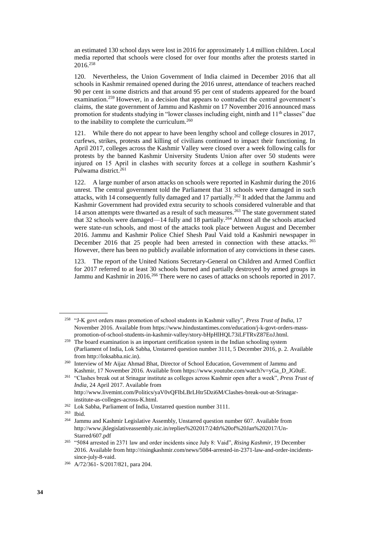an estimated 130 school days were lost in 2016 for approximately 1.4 million children. Local media reported that schools were closed for over four months after the protests started in 2016.<sup>258</sup>

120. Nevertheless, the Union Government of India claimed in December 2016 that all schools in Kashmir remained opened during the 2016 unrest, attendance of teachers reached 90 per cent in some districts and that around 95 per cent of students appeared for the board examination.<sup>259</sup> However, in a decision that appears to contradict the central government's claims, the state government of Jammu and Kashmir on 17 November 2016 announced mass promotion for students studying in "lower classes including eight, ninth and 11<sup>th</sup> classes" due to the inability to complete the curriculum.<sup>260</sup>

121. While there do not appear to have been lengthy school and college closures in 2017, curfews, strikes, protests and killing of civilians continued to impact their functioning. In April 2017, colleges across the Kashmir Valley were closed over a week following calls for protests by the banned Kashmir University Students Union after over 50 students were injured on 15 April in clashes with security forces at a college in southern Kashmir's Pulwama district.<sup>261</sup>

122. A large number of arson attacks on schools were reported in Kashmir during the 2016 unrest. The central government told the Parliament that 31 schools were damaged in such attacks, with 14 consequently fully damaged and 17 partially.<sup>262</sup> It added that the Jammu and Kashmir Government had provided extra security to schools considered vulnerable and that 14 arson attempts were thwarted as a result of such measures.<sup>263</sup> The state government stated that 32 schools were damaged—14 fully and 18 partially.<sup>264</sup> Almost all the schools attacked were state-run schools, and most of the attacks took place between August and December 2016. Jammu and Kashmir Police Chief Shesh Paul Vaid told a Kashmiri newspaper in December 2016 that 25 people had been arrested in connection with these attacks. <sup>265</sup> However, there has been no publicly available information of any convictions in these cases.

123. The report of the United Nations Secretary-General on Children and Armed Conflict for 2017 referred to at least 30 schools burned and partially destroyed by armed groups in Jammu and Kashmir in 2016.<sup>266</sup> There were no cases of attacks on schools reported in 2017.

<sup>258</sup> "J-K govt orders mass promotion of school students in Kashmir valley", *Press Trust of India*, 17 November 2016. Available from [https://www.hindustantimes.com/education/j-k-govt-orders-mass](https://www.hindustantimes.com/education/j-k-govt-orders-mass-promotion-of-school-students-in-kashmir-valley/story-bHpHlHQL73iLFTRvZ87EoJ.html)[promotion-of-school-students-in-kashmir-valley/story-bHpHlHQL73iLFTRvZ87EoJ.html.](https://www.hindustantimes.com/education/j-k-govt-orders-mass-promotion-of-school-students-in-kashmir-valley/story-bHpHlHQL73iLFTRvZ87EoJ.html)

 $259$  The board examination is an important certification system in the Indian schooling system (Parliament of India, Lok Sabha, Unstarred question number 3111, 5 December 2016, p. 2. Available from http://loksabha.nic.in).

<sup>260</sup> Interview of Mr Aijaz Ahmad Bhat, Director of School Education, Government of Jammu and Kashmir, 17 November 2016. Available from [https://www.youtube.com/watch?v=yGa\\_D\\_JG0uE.](https://www.youtube.com/watch?v=yGa_D_JG0uE)

<sup>261</sup> "Clashes break out at Srinagar institute as colleges across Kashmir open after a week", *Press Trust of India*, 24 April 2017. Available from [http://www.livemint.com/Politics/yaV0vQFIbLBrLHtr5Dzi6M/Clashes-break-out-at-Srinagar-](http://www.livemint.com/Politics/yaV0vQFIbLBrLHtr5Dzi6M/Clashes-break-out-at-Srinagar-institute-as-colleges-across-K.html)

[institute-as-colleges-across-K.html.](http://www.livemint.com/Politics/yaV0vQFIbLBrLHtr5Dzi6M/Clashes-break-out-at-Srinagar-institute-as-colleges-across-K.html)

<sup>262</sup> Lok Sabha, Parliament of India, Unstarred question number 3111.

<sup>263</sup> Ibid.

<sup>264</sup> Jammu and Kashmir Legislative Assembly, Unstarred question number 607. Available from [http://www.jklegislativeassembly.nic.in/replies%202017/24th%20of%20Jan%202017/Un-](http://www.jklegislativeassembly.nic.in/replies%202017/24th%20of%20Jan%202017/Un-Starred/607.pdf)[Starred/607.pdf](http://www.jklegislativeassembly.nic.in/replies%202017/24th%20of%20Jan%202017/Un-Starred/607.pdf) 

<sup>265</sup> "5084 arrested in 2371 law and order incidents since July 8: Vaid", *Rising Kashmir*, 19 December 2016. Available from [http://risingkashmir.com/news/5084-arrested-in-2371-law-and-order-incidents](http://risingkashmir.com/news/5084-arrested-in-2371-law-and-order-incidents-since-july-8-vaid)[since-july-8-vaid.](http://risingkashmir.com/news/5084-arrested-in-2371-law-and-order-incidents-since-july-8-vaid)

<sup>266</sup> A/72/361- S/2017/821, para 204.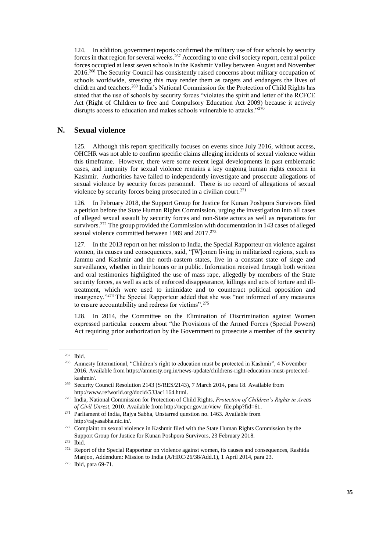124. In addition, government reports confirmed the military use of four schools by security forces in that region for several weeks.<sup>267</sup> According to one civil society report, central police forces occupied at least seven schools in the Kashmir Valley between August and November 2016.<sup>268</sup> The Security Council has consistently raised concerns about military occupation of schools worldwide, stressing this may render them as targets and endangers the lives of children and teachers.<sup>269</sup> India's National Commission for the Protection of Child Rights has stated that the use of schools by security forces "violates the spirit and letter of the RCFCE Act (Right of Children to free and Compulsory Education Act 2009) because it actively disrupts access to education and makes schools vulnerable to attacks."<sup>270</sup>

#### **N. Sexual violence**

125. Although this report specifically focuses on events since July 2016, without access, OHCHR was not able to confirm specific claims alleging incidents of sexual violence within this timeframe. However, there were some recent legal developments in past emblematic cases, and impunity for sexual violence remains a key ongoing human rights concern in Kashmir. Authorities have failed to independently investigate and prosecute allegations of sexual violence by security forces personnel. There is no record of allegations of sexual violence by security forces being prosecuted in a civilian court.<sup>271</sup>

126. In February 2018, the Support Group for Justice for Kunan Poshpora Survivors filed a petition before the State Human Rights Commission, urging the investigation into all cases of alleged sexual assault by security forces and non-State actors as well as reparations for survivors.<sup>272</sup> The group provided the Commission with documentation in 143 cases of alleged sexual violence committed between 1989 and 2017.<sup>273</sup>

127. In the 2013 report on her mission to India, the Special Rapporteur on violence against women, its causes and consequences, said, "[W]omen living in militarized regions, such as Jammu and Kashmir and the north-eastern states, live in a constant state of siege and surveillance, whether in their homes or in public. Information received through both written and oral testimonies highlighted the use of mass rape, allegedly by members of the State security forces, as well as acts of enforced disappearance, killings and acts of torture and illtreatment, which were used to intimidate and to counteract political opposition and insurgency."<sup>274</sup> The Special Rapporteur added that she was "not informed of any measures to ensure accountability and redress for victims".<sup>275</sup>

128. In 2014, the Committee on the Elimination of Discrimination against Women expressed particular concern about "the Provisions of the Armed Forces (Special Powers) Act requiring prior authorization by the Government to prosecute a member of the security

<sup>&</sup>lt;sup>267</sup> Ibid.<br><sup>268</sup> Amn

<sup>268</sup> Amnesty International, "Children's right to education must be protected in Kashmir", 4 November 2016. Available from [https://amnesty.org.in/news-update/childrens-right-education-must-protected](https://amnesty.org.in/news-update/childrens-right-education-must-protected-kashmir/)[kashmir/.](https://amnesty.org.in/news-update/childrens-right-education-must-protected-kashmir/)

<sup>269</sup> Security Council Resolution 2143 (S/RES/2143), 7 March 2014, para 18. Available from [http://www.refworld.org/docid/533ac1164.html.](http://www.refworld.org/docid/533ac1164.html)

<sup>270</sup> India, National Commission for Protection of Child Rights, *Protection of Children's Rights in Areas of Civil Unrest*, 2010. Available from [http://ncpcr.gov.in/view\\_file.php?fid=61.](http://ncpcr.gov.in/view_file.php?fid=61)

<sup>271</sup> Parliament of India, Rajya Sabha, Unstarred question no. 1463. Available from [http://rajyasabha.nic.in/.](http://rajyasabha.nic.in/)

<sup>&</sup>lt;sup>272</sup> Complaint on sexual violence in Kashmir filed with the State Human Rights Commission by the Support Group for Justice for Kunan Poshpora Survivors, 23 February 2018.

<sup>273</sup> Ibid.

<sup>&</sup>lt;sup>274</sup> Report of the Special Rapporteur on violence against women, its causes and consequences, Rashida Manjoo, Addendum: Mission to India (A/HRC/26/38/Add.1), 1 April 2014, para 23.

<sup>275</sup> Ibid, para 69-71.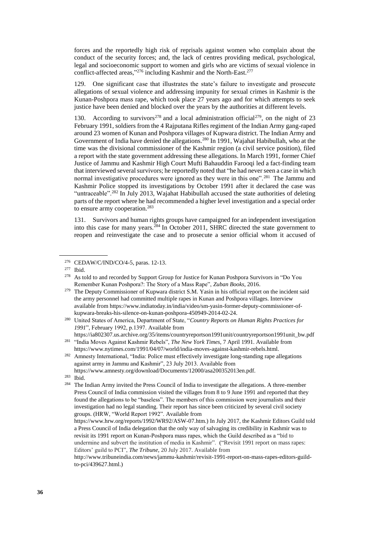forces and the reportedly high risk of reprisals against women who complain about the conduct of the security forces; and, the lack of centres providing medical, psychological, legal and socioeconomic support to women and girls who are victims of sexual violence in conflict-affected areas,"<sup>276</sup> including Kashmir and the North-East.<sup>277</sup>

129. One significant case that illustrates the state's failure to investigate and prosecute allegations of sexual violence and addressing impunity for sexual crimes in Kashmir is the Kunan-Poshpora mass rape, which took place 27 years ago and for which attempts to seek justice have been denied and blocked over the years by the authorities at different levels.

130. According to survivors<sup>278</sup> and a local administration official<sup>279</sup>, on the night of 23 February 1991, soldiers from the 4 Rajputana Rifles regiment of the Indian Army gang-raped around 23 women of Kunan and Poshpora villages of Kupwara district. The Indian Army and Government of India have denied the allegations.<sup>280</sup> In 1991, Wajahat Habibullah, who at the time was the divisional commissioner of the Kashmir region (a civil service position), filed a report with the state government addressing these allegations. In March 1991, former Chief Justice of Jammu and Kashmir High Court Mufti Bahauddin Farooqi led a fact-finding team that interviewed several survivors; he reportedly noted that "he had never seen a case in which normal investigative procedures were ignored as they were in this one".<sup>281</sup> The Jammu and Kashmir Police stopped its investigations by October 1991 after it declared the case was "untraceable".<sup>282</sup> In July 2013, Wajahat Habibullah accused the state authorities of deleting parts of the report where he had recommended a higher level investigation and a special order to ensure army cooperation.<sup>283</sup>

131. Survivors and human rights groups have campaigned for an independent investigation into this case for many years.<sup>284</sup> In October 2011, SHRC directed the state government to reopen and reinvestigate the case and to prosecute a senior official whom it accused of

<sup>279</sup> The Deputy Commissioner of Kupwara district S.M. Yasin in his official report on the incident said the army personnel had committed multiple rapes in Kunan and Poshpora villages. Interview available from [https://www.indiatoday.in/india/video/sm-yasin-former-deputy-commissioner-of](https://www.indiatoday.in/india/video/sm-yasin-former-deputy-commissioner-of-kupwara-breaks-his-silence-on-kunan-poshpora-450949-2014-02-24)[kupwara-breaks-his-silence-on-kunan-poshpora-450949-2014-02-24.](https://www.indiatoday.in/india/video/sm-yasin-former-deputy-commissioner-of-kupwara-breaks-his-silence-on-kunan-poshpora-450949-2014-02-24)

<sup>280</sup> United States of America, Department of State, "*Country Reports on Human Rights Practices for 1991*", February 1992, p.1397. Available from

[https://ia802307.us.archive.org/35/items/countryreportson1991unit/countryreportson1991unit\\_bw.pdf](https://ia802307.us.archive.org/35/items/countryreportson1991unit/countryreportson1991unit_bw.pdf) <sup>281</sup> "India Moves Against Kashmir Rebels", *The New York Times*, 7 April 1991. Available from

[https://www.nytimes.com/1991/04/07/world/india-moves-against-kashmir-rebels.html.](https://www.nytimes.com/1991/04/07/world/india-moves-against-kashmir-rebels.html) <sup>282</sup> Amnesty International, "India: Police must effectively investigate long-standing rape allegations against army in Jammu and Kashmir", 23 July 2013. Available from

[https://www.amnesty.org/download/Documents/12000/asa200352013en.pdf.](https://www.amnesty.org/download/Documents/12000/asa200352013en.pdf)

<sup>276</sup> CEDAW/C/IND/CO/4-5, paras. 12-13.

<sup>277</sup> Ibid.

<sup>&</sup>lt;sup>278</sup> As told to and recorded by Support Group for Justice for Kunan Poshpora Survivors in "Do You Remember Kunan Poshpora?: The Story of a Mass Rape", *Zuban Books*, 2016.

<sup>283</sup> Ibid.

<sup>&</sup>lt;sup>284</sup> The Indian Army invited the Press Council of India to investigate the allegations. A three-member Press Council of India commission visited the villages from 8 to 9 June 1991 and reported that they found the allegations to be "baseless". The members of this commission were journalists and their investigation had no legal standing. Their report has since been criticized by several civil society groups. (HRW, "World Report 1992". Available from

[https://www.hrw.org/reports/1992/WR92/ASW-07.htm.](https://www.hrw.org/reports/1992/WR92/ASW-07.htm)) In July 2017, the Kashmir Editors Guild told a Press Council of India delegation that the only way of salvaging its credibility in Kashmir was to revisit its 1991 report on Kunan-Poshpora mass rapes, which the Guild described as a "bid to undermine and subvert the institution of media in Kashmir". ("Revisit 1991 report on mass rapes: Editors' guild to PCI", *The Tribune*, 20 July 2017. Available from

[http://www.tribuneindia.com/news/jammu-kashmir/revisit-1991-report-on-mass-rapes-editors-guild](http://www.tribuneindia.com/news/jammu-kashmir/revisit-1991-report-on-mass-rapes-editors-guild-to-pci/439627.html)[to-pci/439627.html.\)](http://www.tribuneindia.com/news/jammu-kashmir/revisit-1991-report-on-mass-rapes-editors-guild-to-pci/439627.html)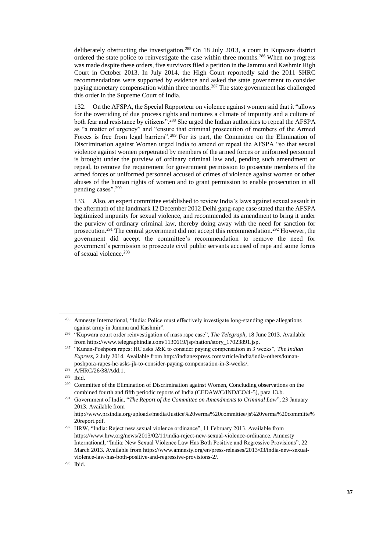deliberately obstructing the investigation.<sup>285</sup> On 18 July 2013, a court in Kupwara district ordered the state police to reinvestigate the case within three months.<sup>286</sup> When no progress was made despite these orders, five survivors filed a petition in the Jammu and Kashmir High Court in October 2013. In July 2014, the High Court reportedly said the 2011 SHRC recommendations were supported by evidence and asked the state government to consider paying monetary compensation within three months.<sup>287</sup> The state government has challenged this order in the Supreme Court of India.

132. On the AFSPA, the Special Rapporteur on violence against women said that it "allows for the overriding of due process rights and nurtures a climate of impunity and a culture of both fear and resistance by citizens".<sup>288</sup> She urged the Indian authorities to repeal the AFSPA as "a matter of urgency" and "ensure that criminal prosecution of members of the Armed Forces is free from legal barriers".<sup>289</sup> For its part, the Committee on the Elimination of Discrimination against Women urged India to amend or repeal the AFSPA "so that sexual violence against women perpetrated by members of the armed forces or uniformed personnel is brought under the purview of ordinary criminal law and, pending such amendment or repeal, to remove the requirement for government permission to prosecute members of the armed forces or uniformed personnel accused of crimes of violence against women or other abuses of the human rights of women and to grant permission to enable prosecution in all pending cases".<sup>290</sup>

133. Also, an expert committee established to review India's laws against sexual assault in the aftermath of the landmark 12 December 2012 Delhi gang-rape case stated that the AFSPA legitimized impunity for sexual violence, and recommended its amendment to bring it under the purview of ordinary criminal law, thereby doing away with the need for sanction for prosecution.<sup>291</sup> The central government did not accept this recommendation.<sup>292</sup> However, the government did accept the committee's recommendation to remove the need for government's permission to prosecute civil public servants accused of rape and some forms of sexual violence.<sup>293</sup>

<sup>285</sup> Amnesty International, "India: Police must effectively investigate long-standing rape allegations against army in Jammu and Kashmir".

<sup>286</sup> "Kupwara court order reinvestigation of mass rape case", *The Telegraph*, 18 June 2013. Available from [https://www.telegraphindia.com/1130619/jsp/nation/story\\_17023891.jsp.](https://www.telegraphindia.com/1130619/jsp/nation/story_17023891.jsp)

<sup>287</sup> "Kunan-Poshpora rapes: HC asks J&K to consider paying compensation in 3 weeks", *The Indian Express*, 2 July 2014. Available from [http://indianexpress.com/article/india/india-others/kunan](http://indianexpress.com/article/india/india-others/kunan-poshpora-rapes-hc-asks-jk-to-consider-paying-compensation-in-3-weeks/)[poshpora-rapes-hc-asks-jk-to-consider-paying-compensation-in-3-weeks/.](http://indianexpress.com/article/india/india-others/kunan-poshpora-rapes-hc-asks-jk-to-consider-paying-compensation-in-3-weeks/) 

<sup>&</sup>lt;sup>288</sup> A/HRC/26/38/Add.1.

 $\frac{289}{290}$  Ibid.

Committee of the Elimination of Discrimination against Women, Concluding observations on the combined fourth and fifth periodic reports of India (CEDAW/C/IND/CO/4-5), para 13.b.

<sup>291</sup> Government of India, "*The Report of the Committee on Amendments to Criminal Law*", 23 January 2013. Available from

[http://www.prsindia.org/uploads/media/Justice%20verma%20committee/js%20verma%20committe%](http://www.prsindia.org/uploads/media/Justice%20verma%20committee/js%20verma%20committe%20report.pdf) 20report.pdf

<sup>292</sup> HRW, "India: Reject new sexual violence ordinance", 11 February 2013. Available from [https://www.hrw.org/news/2013/02/11/india-reject-new-sexual-violence-ordinance.](https://www.hrw.org/news/2013/02/11/india-reject-new-sexual-violence-ordinance) Amnesty International, "India: New Sexual Violence Law Has Both Positive and Regressive Provisions", 22 March 2013. Available fro[m https://www.amnesty.org/en/press-releases/2013/03/india-new-sexual](https://www.amnesty.org/en/press-releases/2013/03/india-new-sexual-violence-law-has-both-positive-and-regressive-provisions-2/)[violence-law-has-both-positive-and-regressive-provisions-2/.](https://www.amnesty.org/en/press-releases/2013/03/india-new-sexual-violence-law-has-both-positive-and-regressive-provisions-2/) 

<sup>293</sup> Ibid.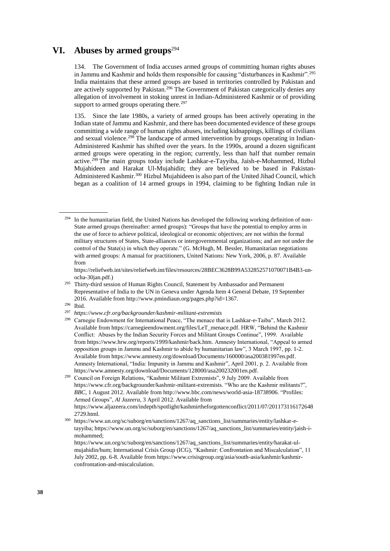## **VI. Abuses by armed groups**<sup>294</sup>

134. The Government of India accuses armed groups of committing human rights abuses in Jammu and Kashmir and holds them responsible for causing "disturbances in Kashmir".<sup>295</sup> India maintains that these armed groups are based in territories controlled by Pakistan and are actively supported by Pakistan.<sup>296</sup> The Government of Pakistan categorically denies any allegation of involvement in stoking unrest in Indian-Administered Kashmir or of providing support to armed groups operating there.<sup>297</sup>

135. Since the late 1980s, a variety of armed groups has been actively operating in the Indian state of Jammu and Kashmir, and there has been documented evidence of these groups committing a wide range of human rights abuses, including kidnappings, killings of civilians and sexual violence.<sup>298</sup> The landscape of armed intervention by groups operating in Indian-Administered Kashmir has shifted over the years. In the 1990s, around a dozen significant armed groups were operating in the region; currently, less than half that number remain active.<sup>299</sup> The main groups today include Lashkar-e-Tayyiba, Jaish-e-Mohammed, Hizbul Mujahideen and Harakat Ul-Mujahidin; they are believed to be based in Pakistan-Administered Kashmir.<sup>300</sup> Hizbul Mujahideen is also part of the United Jihad Council, which began as a coalition of 14 armed groups in 1994, claiming to be fighting Indian rule in

[https://reliefweb.int/sites/reliefweb.int/files/resources/28BEC3628B99A532852571070071B4B3-un](https://reliefweb.int/sites/reliefweb.int/files/resources/28BEC3628B99A532852571070071B4B3-un-ocha-30jan.pdf)[ocha-30jan.pdf.\)](https://reliefweb.int/sites/reliefweb.int/files/resources/28BEC3628B99A532852571070071B4B3-un-ocha-30jan.pdf)

<sup>298</sup> Carnegie Endowment for International Peace, "The menace that is Lashkar-e-Taiba", March 2012. Available fro[m https://carnegieendowment.org/files/LeT\\_menace.pdf.](https://carnegieendowment.org/files/LeT_menace.pdf) HRW, "Behind the Kashmir Conflict: Abuses by the Indian Security Forces and Militant Groups Continue", 1999. Available from [https://www.hrw.org/reports/1999/kashmir/back.htm.](https://www.hrw.org/reports/1999/kashmir/back.htm) Amnesty International, "Appeal to armed opposition groups in Jammu and Kashmir to abide by humanitarian law", 3 March 1997, pp. 1-2. Available fro[m https://www.amnesty.org/download/Documents/160000/asa200381997en.pdf.](https://www.amnesty.org/download/Documents/160000/asa200381997en.pdf)  Amnesty International, "India: Impunity in Jammu and Kashmir", April 2001, p. 2. Available from [https://www.amnesty.org/download/Documents/128000/asa200232001en.pdf.](https://www.amnesty.org/download/Documents/128000/asa200232001en.pdf) 

<sup>300</sup> [https://www.un.org/sc/suborg/en/sanctions/1267/aq\\_sanctions\\_list/summaries/entity/lashkar-e](https://www.un.org/sc/suborg/en/sanctions/1267/aq_sanctions_list/summaries/entity/lashkar-e-tayyiba)[tayyiba;](https://www.un.org/sc/suborg/en/sanctions/1267/aq_sanctions_list/summaries/entity/lashkar-e-tayyiba) [https://www.un.org/sc/suborg/en/sanctions/1267/aq\\_sanctions\\_list/summaries/entity/jaish-i](https://www.un.org/sc/suborg/en/sanctions/1267/aq_sanctions_list/summaries/entity/jaish-i-mohammed)[mohammed;](https://www.un.org/sc/suborg/en/sanctions/1267/aq_sanctions_list/summaries/entity/jaish-i-mohammed)

<sup>&</sup>lt;sup>294</sup> In the humanitarian field, the United Nations has developed the following working definition of non-State armed groups (hereinafter: armed groups): "Groups that have the potential to employ arms in the use of force to achieve political, ideological or economic objectives; are not within the formal military structures of States, State-alliances or intergovernmental organizations; and are not under the control of the State(s) in which they operate." (G. McHugh, M. Bessler, [Humanitarian negotiations](https://reliefweb.int/sites/reliefweb.int/files/resources/28BEC3628B99A532852571070071B4B3-un-ocha-30jan.pdf)  [with armed groups: A manual for practitioners,](https://reliefweb.int/sites/reliefweb.int/files/resources/28BEC3628B99A532852571070071B4B3-un-ocha-30jan.pdf) United Nations: New York, 2006, p. 87. Available from

<sup>&</sup>lt;sup>295</sup> Thirty-third session of Human Rights Council, Statement by Ambassador and Permanent Representative of India to the UN in Geneva under Agenda Item 4 General Debate, 19 September 2016. Available from [http://www.pmindiaun.org/pages.php?id=1367.](http://www.pmindiaun.org/pages.php?id=1367)

<sup>296</sup> Ibid.

<sup>297</sup> *<https://www.cfr.org/backgrounder/kashmir-militant-extremists>*

<sup>299</sup> Council on Foreign Relations, "Kashmir Militant Extremists", 9 July 2009. Available from <https://www.cfr.org/backgrounder/kashmir-militant-extremists>. "Who are the Kashmir militants?", *BBC*, 1 August 2012. Available fro[m http://www.bbc.com/news/world-asia-18738906](http://www.bbc.com/news/world-asia-18738906). "Profiles: Armed Groups", *Al Jazeera*, 3 April 2012. Available from [https://www.aljazeera.com/indepth/spotlight/kashmirtheforgottenconflict/2011/07/201173116172648](https://www.aljazeera.com/indepth/spotlight/kashmirtheforgottenconflict/2011/07/2011731161726482729.html) [2729.html.](https://www.aljazeera.com/indepth/spotlight/kashmirtheforgottenconflict/2011/07/2011731161726482729.html)

[https://www.un.org/sc/suborg/en/sanctions/1267/aq\\_sanctions\\_list/summaries/entity/harakat-ul](https://www.un.org/sc/suborg/en/sanctions/1267/aq_sanctions_list/summaries/entity/harakat-ul-mujahidin/hum)[mujahidin/hum;](https://www.un.org/sc/suborg/en/sanctions/1267/aq_sanctions_list/summaries/entity/harakat-ul-mujahidin/hum) International Crisis Group (ICG), "Kashmir: Confrontation and Miscalculation", 11 July 2002, pp. 6-8. Available from [https://www.crisisgroup.org/asia/south-asia/kashmir/kashmir](https://www.crisisgroup.org/asia/south-asia/kashmir/kashmir-confrontation-and-miscalculation)[confrontation-and-miscalculation.](https://www.crisisgroup.org/asia/south-asia/kashmir/kashmir-confrontation-and-miscalculation)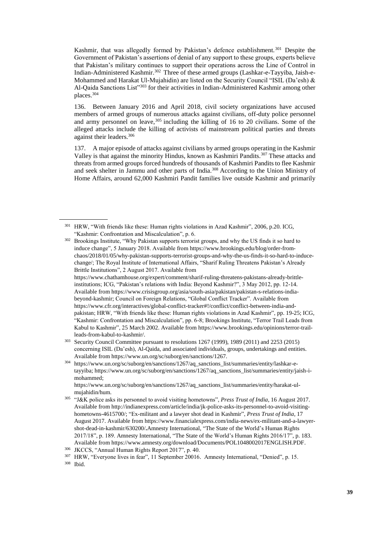Kashmir, that was allegedly formed by Pakistan's defence establishment.<sup>301</sup> Despite the Government of Pakistan's assertions of denial of any support to these groups, experts believe that Pakistan's military continues to support their operations across the Line of Control in Indian-Administered Kashmir.<sup>302</sup> Three of these armed groups (Lashkar-e-Tayyiba, Jaish-e-Mohammed and Harakat Ul-Mujahidin) are listed on the Security Council "ISIL (Da'esh) & Al-Qaida Sanctions List"<sup>303</sup> for their activities in Indian-Administered Kashmir among other places.<sup>304</sup>

136. Between January 2016 and April 2018, civil society organizations have accused members of armed groups of numerous attacks against civilians, off-duty police personnel and army personnel on leave,  $305$  including the killing of 16 to 20 civilians. Some of the alleged attacks include the killing of activists of mainstream political parties and threats against their leaders.<sup>306</sup>

137. A major episode of attacks against civilians by armed groups operating in the Kashmir Valley is that against the minority Hindus, known as Kashmiri Pandits.<sup>307</sup> These attacks and threats from armed groups forced hundreds of thousands of Kashmiri Pandits to flee Kashmir and seek shelter in Jammu and other parts of India.<sup>308</sup> According to the Union Ministry of Home Affairs, around 62,000 Kashmiri Pandit families live outside Kashmir and primarily

<sup>304</sup> [https://www.un.org/sc/suborg/en/sanctions/1267/aq\\_sanctions\\_list/summaries/entity/lashkar-e](https://www.un.org/sc/suborg/en/sanctions/1267/aq_sanctions_list/summaries/entity/lashkar-e-tayyiba)[tayyiba;](https://www.un.org/sc/suborg/en/sanctions/1267/aq_sanctions_list/summaries/entity/lashkar-e-tayyiba) [https://www.un.org/sc/suborg/en/sanctions/1267/aq\\_sanctions\\_list/summaries/entity/jaish-i](https://www.un.org/sc/suborg/en/sanctions/1267/aq_sanctions_list/summaries/entity/jaish-i-mohammed)[mohammed;](https://www.un.org/sc/suborg/en/sanctions/1267/aq_sanctions_list/summaries/entity/jaish-i-mohammed)

[https://www.un.org/sc/suborg/en/sanctions/1267/aq\\_sanctions\\_list/summaries/entity/harakat-ul](https://www.un.org/sc/suborg/en/sanctions/1267/aq_sanctions_list/summaries/entity/harakat-ul-mujahidin/hum)[mujahidin/hum.](https://www.un.org/sc/suborg/en/sanctions/1267/aq_sanctions_list/summaries/entity/harakat-ul-mujahidin/hum) 

<sup>301</sup> HRW, "With friends like these: Human rights violations in Azad Kashmir", 2006, p.20. ICG, "Kashmir: Confrontation and Miscalculation", p. 6.

<sup>&</sup>lt;sup>302</sup> Brookings Institute, "Why Pakistan supports terrorist groups, and why the US finds it so hard to induce change", 5 January 2018. Available from [https://www.brookings.edu/blog/order-from](https://www.brookings.edu/blog/order-from-chaos/2018/01/05/why-pakistan-supports-terrorist-groups-and-why-the-us-finds-it-so-hard-to-induce-change/)[chaos/2018/01/05/why-pakistan-supports-terrorist-groups-and-why-the-us-finds-it-so-hard-to-induce](https://www.brookings.edu/blog/order-from-chaos/2018/01/05/why-pakistan-supports-terrorist-groups-and-why-the-us-finds-it-so-hard-to-induce-change/)[change/](https://www.brookings.edu/blog/order-from-chaos/2018/01/05/why-pakistan-supports-terrorist-groups-and-why-the-us-finds-it-so-hard-to-induce-change/); The Royal Institute of International Affairs, "Sharif Ruling Threatens Pakistan's Already Brittle Institutions", 2 August 2017. Available from [https://www.chathamhouse.org/expert/comment/sharif-ruling-threatens-pakistans-already-brittle](https://www.chathamhouse.org/expert/comment/sharif-ruling-threatens-pakistans-already-brittle-institutions)[institutions](https://www.chathamhouse.org/expert/comment/sharif-ruling-threatens-pakistans-already-brittle-institutions); ICG, "Pakistan's relations with India: Beyond Kashmir?", 3 May 2012, pp. 12-14. Available fro[m https://www.crisisgroup.org/asia/south-asia/pakistan/pakistan-s-relations-india](https://www.crisisgroup.org/asia/south-asia/pakistan/pakistan-s-relations-india-beyond-kashmir)[beyond-kashmir;](https://www.crisisgroup.org/asia/south-asia/pakistan/pakistan-s-relations-india-beyond-kashmir) Council on Foreign Relations, "Global Conflict Tracker". Available from [https://www.cfr.org/interactives/global-conflict-tracker#!/conflict/conflict-between-india-and](https://www.cfr.org/interactives/global-conflict-tracker#!/conflict/conflict-between-india-and-pakistan)[pakistan](https://www.cfr.org/interactives/global-conflict-tracker#!/conflict/conflict-between-india-and-pakistan); HRW, "With friends like these: Human rights violations in Azad Kashmir", pp. 19-25; ICG, "Kashmir: Confrontation and Miscalculation", pp. 6-8; Brookings Institute, "Terror Trail Leads from Kabul to Kashmir", 25 March 2002. Available from [https://www.brookings.edu/opinions/terror-trail](https://www.brookings.edu/opinions/terror-trail-leads-from-kabul-to-kashmir/)[leads-from-kabul-to-kashmir/.](https://www.brookings.edu/opinions/terror-trail-leads-from-kabul-to-kashmir/)

<sup>303</sup> Security Council Committee pursuant to resolutions 1267 (1999), 1989 (2011) and 2253 (2015) concerning ISIL (Da'esh), Al-Qaida, and associated individuals, groups, undertakings and entities. Available fro[m https://www.un.org/sc/suborg/en/sanctions/1267.](https://www.un.org/sc/suborg/en/sanctions/1267)

<sup>305</sup> "J&K police asks its personnel to avoid visiting hometowns", *Press Trust of India*, 16 August 2017. Available from [http://indianexpress.com/article/india/jk-police-asks-its-personnel-to-avoid-visiting](http://indianexpress.com/article/india/jk-police-asks-its-personnel-to-avoid-visiting-hometowns-4615700/)[hometowns-4615700/;](http://indianexpress.com/article/india/jk-police-asks-its-personnel-to-avoid-visiting-hometowns-4615700/) "Ex-militant and a lawyer shot dead in Kashmir", *Press Trust of India*, 17 August 2017. Available from [https://www.financialexpress.com/india-news/ex-militant-and-a-lawyer](https://www.financialexpress.com/india-news/ex-militant-and-a-lawyer-shot-dead-in-kashmir/630200/)[shot-dead-in-kashmir/630200/](https://www.financialexpress.com/india-news/ex-militant-and-a-lawyer-shot-dead-in-kashmir/630200/)**.**Amnesty International, "The State of the World's Human Rights 2017/18", p. 189. Amnesty International, "The State of the World's Human Rights 2016/17", p. 183. Available from [https://www.amnesty.org/download/Documents/POL1048002017ENGLISH.PDF.](https://www.amnesty.org/download/Documents/POL1048002017ENGLISH.PDF)

<sup>306</sup> JKCCS, "Annual Human Rights Report 2017", p. 40.

<sup>307</sup> HRW, "Everyone lives in fear", 11 September 20016. Amnesty International, "Denied", p. 15. <sup>308</sup> Ibid.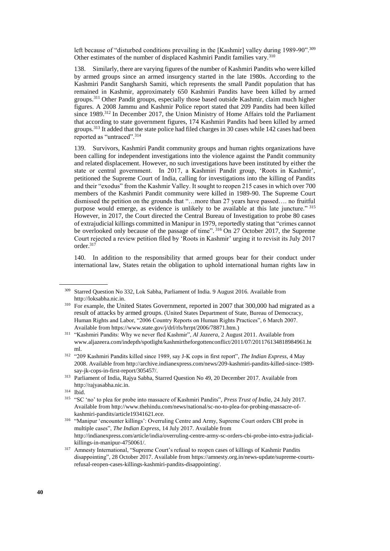left because of "disturbed conditions prevailing in the [Kashmir] valley during 1989-90".<sup>309</sup> Other estimates of the number of displaced Kashmiri Pandit families vary.<sup>310</sup>

138. Similarly, there are varying figures of the number of Kashmiri Pandits who were killed by armed groups since an armed insurgency started in the late 1980s. According to the Kashmiri Pandit Sangharsh Samiti, which represents the small Pandit population that has remained in Kashmir, approximately 650 Kashmiri Pandits have been killed by armed groups.<sup>311</sup> Other Pandit groups, especially those based outside Kashmir, claim much higher figures. A 2008 Jammu and Kashmir Police report stated that 209 Pandits had been killed since 1989.<sup>312</sup> In December 2017, the Union Ministry of Home Affairs told the Parliament that according to state government figures, 174 Kashmiri Pandits had been killed by armed groups.<sup>313</sup> It added that the state police had filed charges in 30 cases while 142 cases had been reported as "untraced".<sup>314</sup>

139. Survivors, Kashmiri Pandit community groups and human rights organizations have been calling for independent investigations into the violence against the Pandit community and related displacement. However, no such investigations have been instituted by either the state or central government. In 2017, a Kashmiri Pandit group, 'Roots in Kashmir', petitioned the Supreme Court of India, calling for investigations into the killing of Pandits and their "exodus" from the Kashmir Valley. It sought to reopen 215 cases in which over 700 members of the Kashmiri Pandit community were killed in 1989-90. The Supreme Court dismissed the petition on the grounds that "…more than 27 years have passed…. no fruitful purpose would emerge, as evidence is unlikely to be available at this late juncture." <sup>315</sup> However, in 2017, the Court directed the Central Bureau of Investigation to probe 80 cases of extrajudicial killings committed in Manipur in 1979, reportedly stating that "crimes cannot be overlooked only because of the passage of time". <sup>316</sup> On 27 October 2017, the Supreme Court rejected a review petition filed by 'Roots in Kashmir' urging it to revisit its July 2017 order.<sup>317</sup>

140. In addition to the responsibility that armed groups bear for their conduct under international law, States retain the obligation to uphold international human rights law in

<sup>309</sup> Starred Question No 332, Lok Sabha, Parliament of India. 9 August 2016. Available from [http://loksabha.nic.in.](http://loksabha.nic.in/) 

<sup>&</sup>lt;sup>310</sup> For example, the United States Government, reported in 2007 that 300,000 had migrated as a result of attacks by armed groups. (United States Department of State, Bureau of Democracy, Human Rights and Labor, "2006 Country Reports on Human Rights Practices", 6 March 2007. Available fro[m https://www.state.gov/j/drl/rls/hrrpt/2006/78871.htm.](https://www.state.gov/j/drl/rls/hrrpt/2006/78871.htm))

<sup>311</sup> "Kashmiri Pandits: Why we never fled Kashmir", *Al Jazeera*, 2 August 2011. Available from [www.aljazeera.com/indepth/spotlight/kashmirtheforgottenconflict/2011/07/201176134818984961.ht](http://www.aljazeera.com/indepth/spotlight/kashmirtheforgottenconflict/2011/07/201176134818984961.html) [ml.](http://www.aljazeera.com/indepth/spotlight/kashmirtheforgottenconflict/2011/07/201176134818984961.html)

<sup>312</sup> "209 Kashmiri Pandits killed since 1989, say J-K cops in first report", *The Indian Express*, 4 May 2008. Available from [http://archive.indianexpress.com/news/209-kashmiri-pandits-killed-since-1989](http://archive.indianexpress.com/news/209-kashmiri-pandits-killed-since-1989-say-jk-cops-in-first-report/305457/) [say-jk-cops-in-first-report/305457/.](http://archive.indianexpress.com/news/209-kashmiri-pandits-killed-since-1989-say-jk-cops-in-first-report/305457/)

<sup>313</sup> Parliament of India, Rajya Sabha, Starred Question No 49, 20 December 2017. Available from [http://rajyasabha.nic.in.](http://rajyasabha.nic.in/)

<sup>314</sup> Ibid.

<sup>315</sup> "SC 'no' to plea for probe into massacre of Kashmiri Pandits", *Press Trust of India*, 24 July 2017. Available from [http://www.thehindu.com/news/national/sc-no-to-plea-for-probing-massacre-of](http://www.thehindu.com/news/national/sc-no-to-plea-for-probing-massacre-of-kashmiri-pandits/article19341621.ece)[kashmiri-pandits/article19341621.ece.](http://www.thehindu.com/news/national/sc-no-to-plea-for-probing-massacre-of-kashmiri-pandits/article19341621.ece)

<sup>316</sup> "Manipur 'encounter killings': Overruling Centre and Army, Supreme Court orders CBI probe in multiple cases", *The Indian Express*, 14 July 2017. Available from [http://indianexpress.com/article/india/overruling-centre-army-sc-orders-cbi-probe-into-extra-judicial](http://indianexpress.com/article/india/overruling-centre-army-sc-orders-cbi-probe-into-extra-judicial-killings-in-manipur-4750061/)[killings-in-manipur-4750061/.](http://indianexpress.com/article/india/overruling-centre-army-sc-orders-cbi-probe-into-extra-judicial-killings-in-manipur-4750061/)

<sup>&</sup>lt;sup>317</sup> Amnesty International, "Supreme Court's refusal to reopen cases of killings of Kashmir Pandits disappointing", 28 October 2017. Available from [https://amnesty.org.in/news-update/supreme-courts](https://amnesty.org.in/news-update/supreme-courts-refusal-reopen-cases-killings-kashmiri-pandits-disappointing/)[refusal-reopen-cases-killings-kashmiri-pandits-disappointing/.](https://amnesty.org.in/news-update/supreme-courts-refusal-reopen-cases-killings-kashmiri-pandits-disappointing/)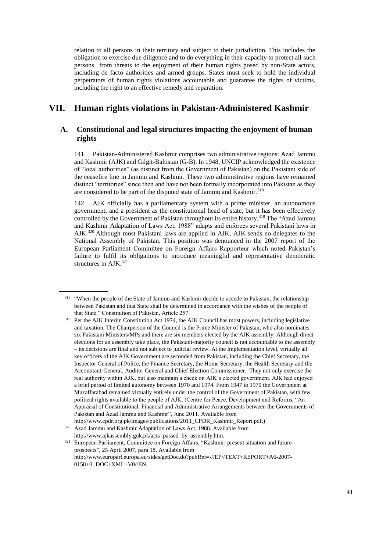relation to all persons in their territory and subject to their jurisdiction. This includes the obligation to exercise due diligence and to do everything in their capacity to protect all such persons from threats to the enjoyment of their human rights posed by non-State actors, including de facto authorities and armed groups. States must seek to hold the individual perpetrators of human rights violations accountable and guarantee the rights of victims, including the right to an effective remedy and reparation.

## **VII. Human rights violations in Pakistan-Administered Kashmir**

## **A. Constitutional and legal structures impacting the enjoyment of human rights**

141. Pakistan-Administered Kashmir comprises two administrative regions: Azad Jammu and Kashmir (AJK) and Gilgit-Baltistan (G-B). In 1948, UNCIP acknowledged the existence of "local authorities" (as distinct from the Government of Pakistan) on the Pakistani side of the ceasefire line in Jammu and Kashmir. These two administrative regions have remained distinct "territories" since then and have not been formally incorporated into Pakistan as they are considered to be part of the disputed state of Jammu and Kashmir.<sup>318</sup>

142. AJK officially has a parliamentary system with a prime minister, an autonomous government, and a president as the constitutional head of state, but it has been effectively controlled by the Government of Pakistan throughout its entire history.<sup>319</sup> The "Azad Jammu and Kashmir Adaptation of Laws Act, 1988" adapts and enforces several Pakistani laws in AJK.<sup>320</sup> Although most Pakistani laws are applied in AJK, AJK sends no delegates to the National Assembly of Pakistan. This position was denounced in the 2007 report of the European Parliament Committee on Foreign Affairs Rapporteur which noted Pakistan's failure to fulfil its obligations to introduce meaningful and representative democratic structures in AJK.<sup>321</sup>

<sup>&</sup>lt;sup>318</sup> "When the people of the State of Jammu and Kashmir decide to accede to Pakistan, the relationship between Pakistan and that State shall be determined in accordance with the wishes of the people of that State." Constitution of Pakistan, Article 257.

<sup>319</sup> Per the AJK Interim Constitution Act 1974, the AJK Council has most powers, including legislative and taxation. The Chairperson of the Council is the Prime Minister of Pakistan, who also nominates six Pakistani Ministers/MPs and there are six members elected by the AJK assembly. Although direct elections for an assembly take place, the Pakistani-majority council is not accountable to the assembly – its decisions are final and not subject to judicial review. At the implementation level, virtually all key officers of the AJK Government are seconded from Pakistan, including the Chief Secretary, the Inspector General of Police, the Finance Secretary, the Home Secretary, the Health Secretary and the Accountant-General, Auditor General and Chief Election Commissioner. They not only exercise the real authority within AJK, but also maintain a check on AJK's elected government. AJK had enjoyed a brief period of limited autonomy between 1970 and 1974. From 1947 to 1970 the Government at Muzaffarabad remained virtually entirely under the control of the Government of Pakistan, with few political rights available to the people of AJK. (Centre for Peace, Development and Reforms, "An Appraisal of Constitutional, Financial and Administrative Arrangements between the Governments of Pakistan and Azad Jammu and Kashmir", June 2011. Available from

http://www.cpdr.org.pk/images/publications/2011\_CPDR\_Kashmir\_Report.pdf.)

<sup>&</sup>lt;sup>320</sup> Azad Jammu and Kashmir Adaptation of Laws Act, 1988. Available from [http://www.ajkassembly.gok.pk/acts\\_passed\\_by\\_assembly.htm.](http://www.ajkassembly.gok.pk/acts_passed_by_assembly.htm) 

<sup>&</sup>lt;sup>321</sup> European Parliament, Committee on Foreign Affairs, "Kashmir: present situation and future prospects", 25 April 2007, para 18. Available from [http://www.europarl.europa.eu/sides/getDoc.do?pubRef=-//EP//TEXT+REPORT+A6-2007-](http://www.europarl.europa.eu/sides/getDoc.do?pubRef=-//EP//TEXT+REPORT+A6-2007-0158+0+DOC+XML+V0//EN) [0158+0+DOC+XML+V0//EN.](http://www.europarl.europa.eu/sides/getDoc.do?pubRef=-//EP//TEXT+REPORT+A6-2007-0158+0+DOC+XML+V0//EN)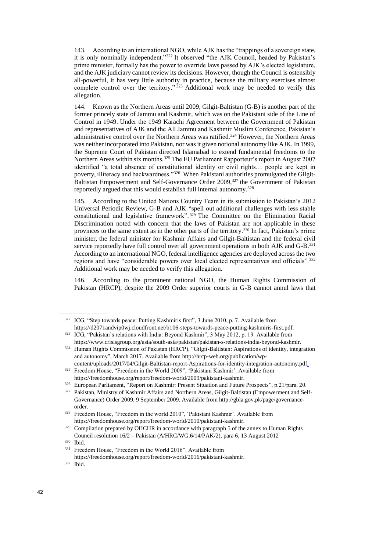143. According to an international NGO, while AJK has the "trappings of a sovereign state, it is only nominally independent."<sup>322</sup> It observed "the AJK Council, headed by Pakistan's prime minister, formally has the power to override laws passed by AJK's elected legislature, and the AJK judiciary cannot review its decisions. However, though the Council is ostensibly all-powerful, it has very little authority in practice, because the military exercises almost complete control over the territory."<sup>323</sup> Additional work may be needed to verify this allegation.

144. Known as the Northern Areas until 2009, Gilgit-Baltistan (G-B) is another part of the former princely state of Jammu and Kashmir, which was on the Pakistani side of the Line of Control in 1949. Under the 1949 Karachi Agreement between the Government of Pakistan and representatives of AJK and the All Jammu and Kashmir Muslim Conference, Pakistan's administrative control over the Northern Areas was ratified.<sup>324</sup> However, the Northern Areas was neither incorporated into Pakistan, nor was it given notional autonomy like AJK. In 1999, the Supreme Court of Pakistan directed Islamabad to extend fundamental freedoms to the Northern Areas within six months.<sup>325</sup> The EU Parliament Rapporteur's report in August 2007 identified "a total absence of constitutional identity or civil rights… people are kept in poverty, illiteracy and backwardness."<sup>326</sup> When Pakistani authorities promulgated the Gilgit-Baltistan Empowerment and Self-Governance Order 2009,<sup>327</sup> the Government of Pakistan reportedly argued that this would establish full internal autonomy.<sup>328</sup>

145. According to the United Nations Country Team in its submission to Pakistan's 2012 Universal Periodic Review, G-B and AJK "spell out additional challenges with less stable constitutional and legislative framework". <sup>329</sup> The Committee on the Elimination Racial Discrimination noted with concern that the laws of Pakistan are not applicable in these provinces to the same extent as in the other parts of the territory.<sup>330</sup> In fact, Pakistan's prime minister, the federal minister for Kashmir Affairs and Gilgit-Baltistan and the federal civil service reportedly have full control over all government operations in both AJK and G-B.<sup>331</sup> According to an international NGO, federal intelligence agencies are deployed across the two regions and have "considerable powers over local elected representatives and officials".<sup>332</sup> Additional work may be needed to verify this allegation.

146. According to the prominent national NGO, the Human Rights Commission of Pakistan (HRCP), despite the 2009 Order superior courts in G-B cannot annul laws that

<sup>322</sup> ICG, "Step towards peace: Putting Kashmiris first", 3 June 2010, p. 7. Available from [https://d2071andvip0wj.cloudfront.net/b106-steps-towards-peace-putting-kashmiris-first.pdf.](https://d2071andvip0wj.cloudfront.net/b106-steps-towards-peace-putting-kashmiris-first.pdf) 

<sup>&</sup>lt;sup>323</sup> ICG, "Pakistan's relations with India: Beyond Kashmir", 3 May 2012, p. 19. Available from [https://www.crisisgroup.org/asia/south-asia/pakistan/pakistan-s-relations-india-beyond-kashmir.](https://www.crisisgroup.org/asia/south-asia/pakistan/pakistan-s-relations-india-beyond-kashmir)

<sup>324</sup> Human Rights Commission of Pakistan (HRCP), "Gilgit-Baltistan: Aspirations of identity, integration and autonomy", March 2017. Available from [http://hrcp-web.org/publication/wp](http://hrcp-web.org/publication/wp-content/uploads/2017/04/Gilgit-Baltistan-report-Aspirations-for-identity-integration-autonomy.pdf)[content/uploads/2017/04/Gilgit-Baltistan-report-Aspirations-for-identity-integration-autonomy.pdf.](http://hrcp-web.org/publication/wp-content/uploads/2017/04/Gilgit-Baltistan-report-Aspirations-for-identity-integration-autonomy.pdf)

<sup>325</sup> Freedom House, "Freedom in the World 2009", 'Pakistani Kashmir'. Available from [https://freedomhouse.org/report/freedom-world/2009/pakistani-kashmir.](https://freedomhouse.org/report/freedom-world/2009/pakistani-kashmir) 

<sup>&</sup>lt;sup>326</sup> European Parliament, "Report on Kashmir: Present Situation and Future Prospects", p.21/para. 20.

<sup>&</sup>lt;sup>327</sup> Pakistan, Ministry of Kashmir Affairs and Northern Areas, Gilgit-Baltistan (Empowerment and Self-Governance) Order 2009, 9 September 2009. Available from [http://gbla.gov.pk/page/governance](http://gbla.gov.pk/page/governance-order)[order.](http://gbla.gov.pk/page/governance-order) 

<sup>328</sup> Freedom House, "Freedom in the world 2010", 'Pakistani Kashmir'. Available from [https://freedomhouse.org/report/freedom-world/2010/pakistani-kashmir.](https://freedomhouse.org/report/freedom-world/2010/pakistani-kashmir) 

 $329$  Compilation prepared by OHCHR in accordance with paragraph 5 of the annex to Human Rights Council resolution 16/2 – Pakistan (A/HRC/WG.6/14/PAK/2), para 6, 13 August 2012

 $\frac{330}{331}$  Free

Freedom House, "Freedom in the World 2016". Available from

[https://freedomhouse.org/report/freedom-world/2016/pakistani-kashmir.](https://freedomhouse.org/report/freedom-world/2016/pakistani-kashmir)

<sup>332</sup> Ibid.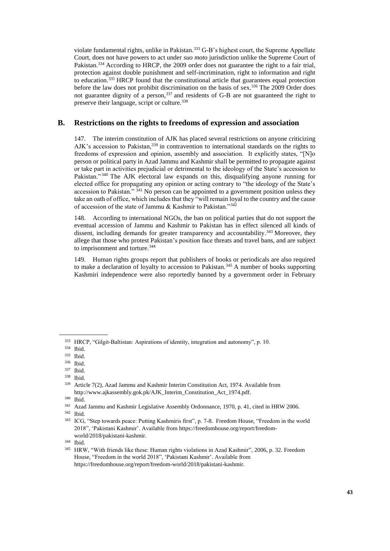violate fundamental rights, unlike in Pakistan.<sup>333</sup> G-B's highest court, the Supreme Appellate Court, does not have powers to act under *suo moto* jurisdiction unlike the Supreme Court of Pakistan.<sup>334</sup> According to HRCP, the 2009 order does not guarantee the right to a fair trial, protection against double punishment and self-incrimination, right to information and right to education.<sup>335</sup> HRCP found that the constitutional article that guarantees equal protection before the law does not prohibit discrimination on the basis of sex.<sup>336</sup> The 2009 Order does not guarantee dignity of a person, 337 and residents of G-B are not guaranteed the right to preserve their language, script or culture.<sup>338</sup>

## **B. Restrictions on the rights to freedoms of expression and association**

147. The interim constitution of AJK has placed several restrictions on anyone criticizing AJK's accession to Pakistan,<sup>339</sup> in contravention to international standards on the rights to freedoms of expression and opinion, assembly and association. It explicitly states, "[N]o person or political party in Azad Jammu and Kashmir shall be permitted to propagate against or take part in activities prejudicial or detrimental to the ideology of the State's accession to Pakistan." <sup>340</sup> The AJK electoral law expands on this, disqualifying anyone running for elected office for propagating any opinion or acting contrary to "the ideology of the State's accession to Pakistan."  $341$  No person can be appointed to a government position unless they take an oath of office, which includes that they "will remain loyal to the country and the cause of accession of the state of Jammu & Kashmir to Pakistan."<sup>342</sup>

148. According to international NGOs, the ban on political parties that do not support the eventual accession of Jammu and Kashmir to Pakistan has in effect silenced all kinds of dissent, including demands for greater transparency and accountability.<sup>343</sup> Moreover, they allege that those who protest Pakistan's position face threats and travel bans, and are subject to imprisonment and torture. 344

149. Human rights groups report that publishers of books or periodicals are also required to make a declaration of loyalty to accession to Pakistan.<sup>345</sup> A number of books supporting Kashmiri independence were also reportedly banned by a government order in February

<sup>333</sup> HRCP, "Gilgit-Baltistan: Aspirations of identity, integration and autonomy", p. 10.

<sup>334</sup> Ibid.

<sup>335</sup> Ibid.

<sup>336</sup> Ibid.

<sup>337</sup> Ibid.

 $\frac{338}{339}$  Ibid.

Article 7(2), Azad Jammu and Kashmir Interim Constitution Act, 1974. Available from [http://www.ajkassembly.gok.pk/AJK\\_Interim\\_Constitution\\_Act\\_1974.pdf.](http://www.ajkassembly.gok.pk/AJK_Interim_Constitution_Act_1974.pdf) 

<sup>340</sup> Ibid.

<sup>341</sup> Azad Jammu and Kashmir Legislative Assembly Ordonnance, 1970, p. 41, cited in HRW 2006.

<sup>342</sup> Ibid.

<sup>343</sup> ICG, "Step towards peace: Putting Kashmiris first", p. 7-8. Freedom House, "Freedom in the world 2018", 'Pakistani Kashmir'. Available from [https://freedomhouse.org/report/freedom](https://freedomhouse.org/report/freedom-world/2018/pakistani-kashmir)[world/2018/pakistani-kashmir.](https://freedomhouse.org/report/freedom-world/2018/pakistani-kashmir)

<sup>344</sup> Ibid.

<sup>345</sup> HRW, "With friends like these: Human rights violations in Azad Kashmir", 2006, p. 32. Freedom House, "Freedom in the world 2018", 'Pakistani Kashmir'. Available from [https://freedomhouse.org/report/freedom-world/2018/pakistani-kashmir.](https://freedomhouse.org/report/freedom-world/2018/pakistani-kashmir)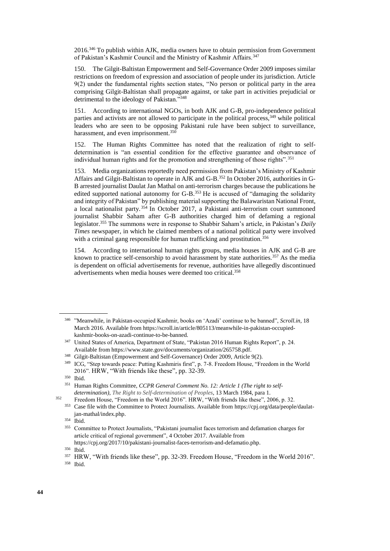2016.<sup>346</sup> To publish within AJK, media owners have to obtain permission from Government of Pakistan's Kashmir Council and the Ministry of Kashmir Affairs.<sup>347</sup>

150. The Gilgit-Baltistan Empowerment and Self-Governance Order 2009 imposes similar restrictions on freedom of expression and association of people under its jurisdiction. Article 9(2) under the fundamental rights section states, "No person or political party in the area comprising Gilgit-Baltistan shall propagate against, or take part in activities prejudicial or detrimental to the ideology of Pakistan."<sup>348</sup>

151. According to international NGOs, in both AJK and G-B, pro-independence political parties and activists are not allowed to participate in the political process,<sup>349</sup> while political leaders who are seen to be opposing Pakistani rule have been subject to surveillance, harassment, and even imprisonment.<sup>350</sup>

152. The Human Rights Committee has noted that the realization of right to selfdetermination is "an essential condition for the effective guarantee and observance of individual human rights and for the promotion and strengthening of those rights".<sup>351</sup>

153. Media organizations reportedly need permission from Pakistan's Ministry of Kashmir Affairs and Gilgit-Baltistan to operate in AJK and G-B.<sup>352</sup> In October 2016, authorities in G-B arrested journalist Daulat Jan Mathal on anti-terrorism charges because the publications he edited supported national autonomy for G-B.<sup>353</sup> He is accused of "damaging the solidarity and integrity of Pakistan" by publishing material supporting the Balawaristan National Front, a local nationalist party. <sup>354</sup> In October 2017, a Pakistani anti-terrorism court summoned journalist Shabbir Saham after G-B authorities charged him of defaming a regional legislator.<sup>355</sup> The summons were in response to Shabbir Saham's article, in Pakistan's *Daily Times* newspaper, in which he claimed members of a national political party were involved with a criminal gang responsible for human trafficking and prostitution.<sup>356</sup>

154. According to international human rights groups, media houses in AJK and G-B are known to practice self-censorship to avoid harassment by state authorities.<sup>357</sup> As the media is dependent on official advertisements for revenue, authorities have allegedly discontinued advertisements when media houses were deemed too critical.<sup>358</sup>

<sup>346</sup> "Meanwhile, in Pakistan-occupied Kashmir, books on 'Azadi' continue to be banned", *Scroll.in,* 18 March 2016. Available fro[m https://scroll.in/article/805113/meanwhile-in-pakistan-occupied](https://scroll.in/article/805113/meanwhile-in-pakistan-occupied-kashmir-books-on-azadi-continue-to-be-banned)[kashmir-books-on-azadi-continue-to-be-banned.](https://scroll.in/article/805113/meanwhile-in-pakistan-occupied-kashmir-books-on-azadi-continue-to-be-banned)

<sup>347</sup> United States of America, Department of State, "Pakistan 2016 Human Rights Report", p. 24. Available fro[m https://www.state.gov/documents/organization/265758.pdf.](https://www.state.gov/documents/organization/265758.pdf)

<sup>348</sup> Gilgit-Baltistan (Empowerment and Self-Governance) Order 2009, Article 9(2).

<sup>349</sup> ICG, "Step towards peace: Putting Kashmiris first", p. 7-8. Freedom House, "Freedom in the World 2016". HRW, "With friends like these", pp. 32-39.

<sup>350</sup> Ibid.

<sup>351</sup> Human Rights Committee, *CCPR General Comment No. 12: Article 1 (The right to selfdetermination), The Right to Self-determination of Peoples*, 13 March 1984, para 1.

<sup>&</sup>lt;sup>352</sup> Freedom House, "Freedom in the World 2016". HRW, "With friends like these", 2006, p. 32.

<sup>353</sup> Case file with the Committee to Protect Journalists. Available from [https://cpj.org/data/people/daulat](https://cpj.org/data/people/daulat-jan-mathal/index.php)[jan-mathal/index.php.](https://cpj.org/data/people/daulat-jan-mathal/index.php)

<sup>354</sup> Ibid.

<sup>355</sup> Committee to Protect Journalists, "Pakistani journalist faces terrorism and defamation charges for article critical of regional government", 4 October 2017. Available from [https://cpj.org/2017/10/pakistani-journalist-faces-terrorism-and-defamatio.php.](https://cpj.org/2017/10/pakistani-journalist-faces-terrorism-and-defamatio.php)

<sup>356</sup> Ibid.

<sup>357</sup> HRW, "With friends like these", pp. 32-39. Freedom House, "Freedom in the World 2016". <sup>358</sup> Ibid.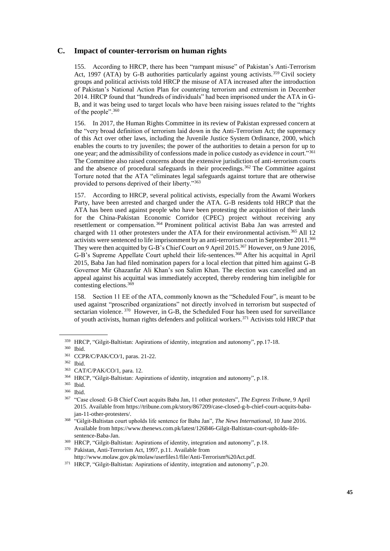### **C. Impact of counter-terrorism on human rights**

155. According to HRCP, there has been "rampant misuse" of Pakistan's Anti-Terrorism Act, 1997 (ATA) by G-B authorities particularly against young activists.<sup>359</sup> Civil society groups and political activists told HRCP the misuse of ATA increased after the introduction of Pakistan's National Action Plan for countering terrorism and extremism in December 2014. HRCP found that "hundreds of individuals" had been imprisoned under the ATA in G-B, and it was being used to target locals who have been raising issues related to the "rights of the people".<sup>360</sup>

156. In 2017, the Human Rights Committee in its review of Pakistan expressed concern at the "very broad definition of terrorism laid down in the Anti-Terrorism Act; the supremacy of this Act over other laws, including the Juvenile Justice System Ordinance, 2000, which enables the courts to try juveniles; the power of the authorities to detain a person for up to one year; and the admissibility of confessions made in police custody as evidence in court."<sup>361</sup> The Committee also raised concerns about the extensive jurisdiction of anti-terrorism courts and the absence of procedural safeguards in their proceedings.<sup>362</sup> The Committee against Torture noted that the ATA "eliminates legal safeguards against torture that are otherwise provided to persons deprived of their liberty."<sup>363</sup>

157. According to HRCP, several political activists, especially from the Awami Workers Party, have been arrested and charged under the ATA. G-B residents told HRCP that the ATA has been used against people who have been protesting the acquisition of their lands for the China-Pakistan Economic Corridor (CPEC) project without receiving any resettlement or compensation. <sup>364</sup> Prominent political activist Baba Jan was arrested and charged with 11 other protesters under the ATA for their environmental activism.<sup>365</sup> All 12 activists were sentenced to life imprisonment by an anti-terrorism court in September 2011.<sup>366</sup> They were then acquitted by G-B's Chief Court on 9 April 2015.<sup>367</sup> However, on 9 June 2016, G-B's Supreme Appellate Court upheld their life-sentences.<sup>368</sup> After his acquittal in April 2015, Baba Jan had filed nomination papers for a local election that pitted him against G-B Governor Mir Ghazanfar Ali Khan's son Salim Khan. The election was cancelled and an appeal against his acquittal was immediately accepted, thereby rendering him ineligible for contesting elections.<sup>369</sup>

158. Section 11 EE of the ATA, commonly known as the "Scheduled Four", is meant to be used against "proscribed organizations" not directly involved in terrorism but suspected of sectarian violence.<sup>370</sup> However, in G-B, the Scheduled Four has been used for surveillance of youth activists, human rights defenders and political workers.<sup>371</sup> Activists told HRCP that

<sup>359</sup> HRCP, "Gilgit-Baltistan: Aspirations of identity, integration and autonomy", pp.17-18.

 $360$  Ibid.<br> $361$  CCD

CCPR/C/PAK/CO/1, paras. 21-22.

<sup>362</sup> Ibid.

<sup>363</sup> CAT/C/PAK/CO/1, para. 12.

<sup>364</sup> HRCP, "Gilgit-Baltistan: Aspirations of identity, integration and autonomy", p.18.

<sup>365</sup> Ibid.

<sup>366</sup> Ibid.

<sup>367</sup> "Case closed: G-B Chief Court acquits Baba Jan, 11 other protesters", *The Express Tribune*, 9 April 2015. Available from [https://tribune.com.pk/story/867209/case-closed-g-b-chief-court-acquits-baba](https://tribune.com.pk/story/867209/case-closed-g-b-chief-court-acquits-baba-jan-11-other-protesters/)[jan-11-other-protesters/.](https://tribune.com.pk/story/867209/case-closed-g-b-chief-court-acquits-baba-jan-11-other-protesters/)

<sup>368</sup> "Gilgit-Baltistan court upholds life sentence for Baba Jan", *The News International*, 10 June 2016. Available fro[m https://www.thenews.com.pk/latest/126846-Gilgit-Baltistan-court-upholds-life](https://www.thenews.com.pk/latest/126846-Gilgit-Baltistan-court-upholds-life-sentence-Baba-Jan)[sentence-Baba-Jan.](https://www.thenews.com.pk/latest/126846-Gilgit-Baltistan-court-upholds-life-sentence-Baba-Jan)

<sup>369</sup> HRCP, "Gilgit-Baltistan: Aspirations of identity, integration and autonomy", p.18.

<sup>370</sup> Pakistan, Anti-Terrorism Act, 1997, p.11. Available from

[http://www.molaw.gov.pk/molaw/userfiles1/file/Anti-Terrorism%20Act.pdf.](http://www.molaw.gov.pk/molaw/userfiles1/file/Anti-Terrorism%20Act.pdf)

<sup>371</sup> HRCP, "Gilgit-Baltistan: Aspirations of identity, integration and autonomy", p.20.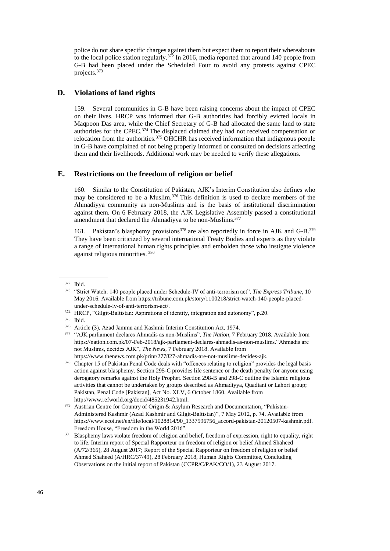police do not share specific charges against them but expect them to report their whereabouts to the local police station regularly.<sup>372</sup> In 2016, media reported that around 140 people from G-B had been placed under the Scheduled Four to avoid any protests against CPEC projects.<sup>373</sup>

### **D. Violations of land rights**

159. Several communities in G-B have been raising concerns about the impact of CPEC on their lives. HRCP was informed that G-B authorities had forcibly evicted locals in Maqpoon Das area, while the Chief Secretary of G-B had allocated the same land to state authorities for the CPEC.<sup>374</sup> The displaced claimed they had not received compensation or relocation from the authorities.<sup>375</sup> OHCHR has received information that indigenous people in G-B have complained of not being properly informed or consulted on decisions affecting them and their livelihoods. Additional work may be needed to verify these allegations.

#### **E. Restrictions on the freedom of religion or belief**

160. Similar to the Constitution of Pakistan, AJK's Interim Constitution also defines who may be considered to be a Muslim.<sup>376</sup> This definition is used to declare members of the Ahmadiyya community as non-Muslims and is the basis of institutional discrimination against them. On 6 February 2018, the AJK Legislative Assembly passed a constitutional amendment that declared the Ahmadiyya to be non-Muslims.<sup>377</sup>

161. Pakistan's blasphemy provisions<sup>378</sup> are also reportedly in force in AJK and G-B.<sup>379</sup> They have been criticized by several international Treaty Bodies and experts as they violate a range of international human rights principles and embolden those who instigate violence against religious minorities. <sup>380</sup>

<sup>374</sup> HRCP, "Gilgit-Baltistan: Aspirations of identity, integration and autonomy", p.20.

<sup>372</sup> Ibid.

<sup>373</sup> "Strict Watch: 140 people placed under Schedule-IV of anti-terrorism act", *The Express Tribune*, 10 May 2016. Available fro[m https://tribune.com.pk/story/1100218/strict-watch-140-people-placed](https://tribune.com.pk/story/1100218/strict-watch-140-people-placed-under-schedule-iv-of-anti-terrorism-act/)[under-schedule-iv-of-anti-terrorism-act/.](https://tribune.com.pk/story/1100218/strict-watch-140-people-placed-under-schedule-iv-of-anti-terrorism-act/)

<sup>375</sup> Ibid.

<sup>376</sup> Article (3), Azad Jammu and Kashmir Interim Constitution Act, 1974.

<sup>377</sup> "AJK parliament declares Ahmadis as non-Muslims", *The Nation*, 7 February 2018. Available from [https://nation.com.pk/07-Feb-2018/ajk-parliament-declares-ahmadis-as-non-muslims.](https://nation.com.pk/07-Feb-2018/ajk-parliament-declares-ahmadis-as-non-muslims)"Ahmadis are not Muslims, decides AJK", *The News*, 7 February 2018. Available from [https://www.thenews.com.pk/print/277827-ahmadis-are-not-muslims-decides-ajk.](https://www.thenews.com.pk/print/277827-ahmadis-are-not-muslims-decides-ajk)

<sup>&</sup>lt;sup>378</sup> Chapter 15 of Pakistan Penal Code deals with "offences relating to religion" provides the legal basis action against blasphemy. Section 295-C provides life sentence or the death penalty for anyone using derogatory remarks against the Holy Prophet. Section 298-B and 298-C outline the Islamic religious activities that cannot be undertaken by groups described as Ahmadiyya, Quadiani or Lahori group; Pakistan, Penal Code [Pakistan], Act No. XLV, 6 October 1860. Available from [http://www.refworld.org/docid/485231942.html.](http://www.refworld.org/docid/485231942.html)

<sup>&</sup>lt;sup>379</sup> Austrian Centre for Country of Origin & Asylum Research and Documentation, "Pakistan-Administered Kashmir (Azad Kashmir and Gilgit-Baltistan)", 7 May 2012, p. 74. Available from [https://www.ecoi.net/en/file/local/1028814/90\\_1337596756\\_accord-pakistan-20120507-kashmir.pdf.](https://www.ecoi.net/en/file/local/1028814/90_1337596756_accord-pakistan-20120507-kashmir.pdf) Freedom House, "Freedom in the World 2016".

<sup>&</sup>lt;sup>380</sup> Blasphemy laws violate freedom of religion and belief, freedom of expression, right to equality, right to life. Interim report of Special Rapporteur on freedom of religion or belief Ahmed Shaheed (A/72/365), 28 August 2017; Report of the Special Rapporteur on freedom of religion or belief Ahmed Shaheed (A/HRC/37/49), 28 February 2018, Human Rights Committee, Concluding Observations on the initial report of Pakistan (CCPR/C/PAK/CO/1), 23 August 2017.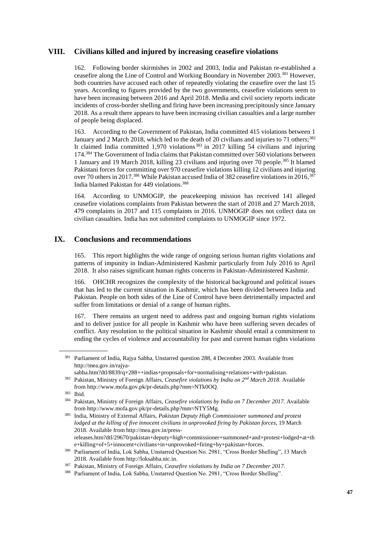## **VIII. Civilians killed and injured by increasing ceasefire violations**

162. Following border skirmishes in 2002 and 2003, India and Pakistan re-established a ceasefire along the Line of Control and Working Boundary in November 2003.<sup>381</sup> However, both countries have accused each other of repeatedly violating the ceasefire over the last 15 years. According to figures provided by the two governments, ceasefire violations seem to have been increasing between 2016 and April 2018. Media and civil society reports indicate incidents of cross-border shelling and firing have been increasing precipitously since January 2018. As a result there appears to have been increasing civilian casualties and a large number of people being displaced.

163. According to the Government of Pakistan, India committed 415 violations between 1 January and 2 March 2018, which led to the death of 20 civilians and injuries to 71 others;<sup>382</sup> It claimed India committed 1,970 violations <sup>383</sup> in 2017 killing 54 civilians and injuring 174.<sup>384</sup> The Government of India claims that Pakistan committed over 560 violations between 1 January and 19 March 2018, killing 23 civilians and injuring over 70 people.<sup>385</sup> It blamed Pakistani forces for committing over 970 ceasefire violations killing 12 civilians and injuring over 70 others in 2017.<sup>386</sup> While Pakistan accused India of 382 ceasefire violations in 2016,<sup>387</sup> India blamed Pakistan for 449 violations.<sup>388</sup>

164. According to UNMOGIP, the peacekeeping mission has received 141 alleged ceasefire violations complaints from Pakistan between the start of 2018 and 27 March 2018, 479 complaints in 2017 and 115 complaints in 2016. UNMOGIP does not collect data on civilian casualties. India has not submitted complaints to UNMOGIP since 1972.

## **IX. Conclusions and recommendations**

165. This report highlights the wide range of ongoing serious human rights violations and patterns of impunity in Indian-Administered Kashmir particularly from July 2016 to April 2018. It also raises significant human rights concerns in Pakistan-Administered Kashmir.

166. OHCHR recognizes the complexity of the historical background and political issues that has led to the current situation in Kashmir, which has been divided between India and Pakistan. People on both sides of the Line of Control have been detrimentally impacted and suffer from limitations or denial of a range of human rights.

167. There remains an urgent need to address past and ongoing human rights violations and to deliver justice for all people in Kashmir who have been suffering seven decades of conflict. Any resolution to the political situation in Kashmir should entail a commitment to ending the cycles of violence and accountability for past and current human rights violations

<sup>381</sup> Parliament of India, Rajya Sabha, Unstarred question 288, 4 December 2003. Available from [http://mea.gov.in/rajya-](http://mea.gov.in/rajya-sabha.htm?dtl/8839/q+288++indias+proposals+for+normalising+relations+with+pakistan)

[sabha.htm?dtl/8839/q+288++indias+proposals+for+normalising+relations+with+pakistan.](http://mea.gov.in/rajya-sabha.htm?dtl/8839/q+288++indias+proposals+for+normalising+relations+with+pakistan)

<sup>382</sup> Pakistan, Ministry of Foreign Affairs, *Ceasefire violations by India on 2nd March 2018*. Available from [http://www.mofa.gov.pk/pr-details.php?mm=NTk0OQ.](http://www.mofa.gov.pk/pr-details.php?mm=NTk0OQ)

<sup>383</sup> Ibid.

<sup>384</sup> Pakistan, Ministry of Foreign Affairs, *Ceasefire violations by India on 7 December 2017*. Available from [http://www.mofa.gov.pk/pr-details.php?mm=NTY5Mg.](http://www.mofa.gov.pk/pr-details.php?mm=NTY5Mg)

<sup>385</sup> India, Ministry of External Affairs, *Pakistan Deputy High Commissioner summoned and protest lodged at the killing of five innocent civilians in unprovoked firing by Pakistan forces*, 19 March 2018. Available from [http://mea.gov.in/press](http://mea.gov.in/press-releases.htm?dtl/29670/pakistan+deputy+high+commissioner+summoned+and+protest+lodged+at+the+killing+of+5+innocent+civilians+in+unprovoked+firing+by+pakistan+forces)[releases.htm?dtl/29670/pakistan+deputy+high+commissioner+summoned+and+protest+lodged+at+th](http://mea.gov.in/press-releases.htm?dtl/29670/pakistan+deputy+high+commissioner+summoned+and+protest+lodged+at+the+killing+of+5+innocent+civilians+in+unprovoked+firing+by+pakistan+forces)

[e+killing+of+5+innocent+civilians+in+unprovoked+firing+by+pakistan+forces.](http://mea.gov.in/press-releases.htm?dtl/29670/pakistan+deputy+high+commissioner+summoned+and+protest+lodged+at+the+killing+of+5+innocent+civilians+in+unprovoked+firing+by+pakistan+forces) <sup>386</sup> Parliament of India, Lok Sabha, Unstarred Question No. 2981, "Cross Border Shelling", 13 March 2018. Available from [http://loksabha.nic.in.](http://loksabha.nic.in/)

<sup>387</sup> Pakistan, Ministry of Foreign Affairs, *Ceasefire violations by India on 7 December 2017*.

<sup>388</sup> Parliament of India, Lok Sabha, Unstarred Question No. 2981, "Cross Border Shelling".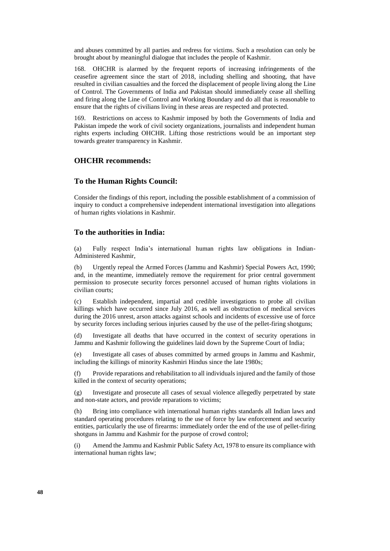and abuses committed by all parties and redress for victims. Such a resolution can only be brought about by meaningful dialogue that includes the people of Kashmir.

168. OHCHR is alarmed by the frequent reports of increasing infringements of the ceasefire agreement since the start of 2018, including shelling and shooting, that have resulted in civilian casualties and the forced the displacement of people living along the Line of Control. The Governments of India and Pakistan should immediately cease all shelling and firing along the Line of Control and Working Boundary and do all that is reasonable to ensure that the rights of civilians living in these areas are respected and protected.

169. Restrictions on access to Kashmir imposed by both the Governments of India and Pakistan impede the work of civil society organizations, journalists and independent human rights experts including OHCHR. Lifting those restrictions would be an important step towards greater transparency in Kashmir.

#### **OHCHR recommends:**

#### **To the Human Rights Council:**

Consider the findings of this report, including the possible establishment of a commission of inquiry to conduct a comprehensive independent international investigation into allegations of human rights violations in Kashmir.

#### **To the authorities in India:**

(a) Fully respect India's international human rights law obligations in Indian-Administered Kashmir,

(b) Urgently repeal the Armed Forces (Jammu and Kashmir) Special Powers Act, 1990; and, in the meantime, immediately remove the requirement for prior central government permission to prosecute security forces personnel accused of human rights violations in civilian courts;

(c) Establish independent, impartial and credible investigations to probe all civilian killings which have occurred since July 2016, as well as obstruction of medical services during the 2016 unrest, arson attacks against schools and incidents of excessive use of force by security forces including serious injuries caused by the use of the pellet-firing shotguns;

(d) Investigate all deaths that have occurred in the context of security operations in Jammu and Kashmir following the guidelines laid down by the Supreme Court of India;

(e) Investigate all cases of abuses committed by armed groups in Jammu and Kashmir, including the killings of minority Kashmiri Hindus since the late 1980s;

(f) Provide reparations and rehabilitation to all individuals injured and the family of those killed in the context of security operations;

(g) Investigate and prosecute all cases of sexual violence allegedly perpetrated by state and non-state actors, and provide reparations to victims;

(h) Bring into compliance with international human rights standards all Indian laws and standard operating procedures relating to the use of force by law enforcement and security entities, particularly the use of firearms: immediately order the end of the use of pellet-firing shotguns in Jammu and Kashmir for the purpose of crowd control;

(i) Amend the Jammu and Kashmir Public Safety Act, 1978 to ensure its compliance with international human rights law;